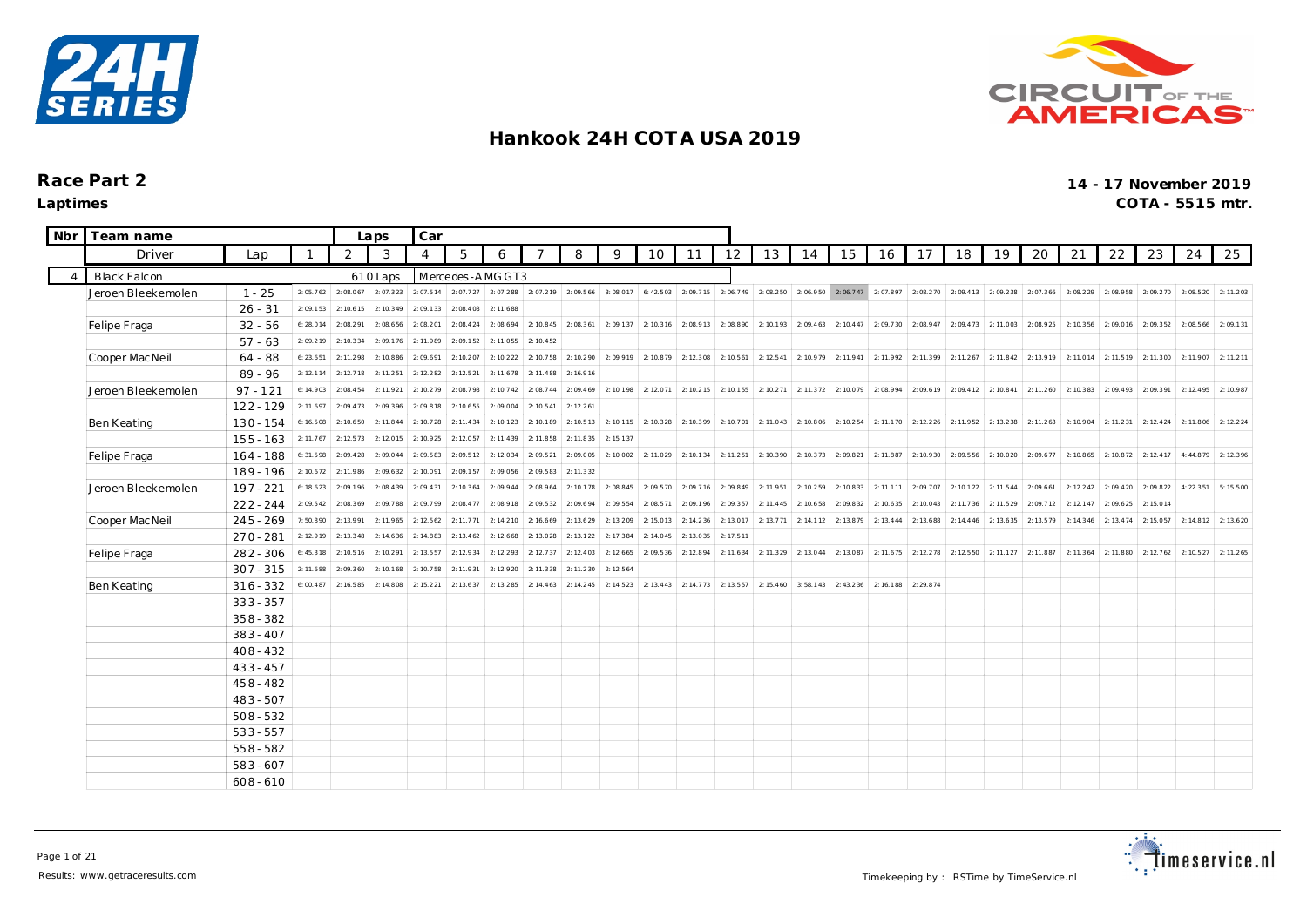



| Nbr            | Team name           |             |           |           | Laps      | Car            |                 |           |                     |                                 |           |           |                                                                |           |                     |                                                                                                               |                       |           |                     |                               |           |                                                   |                       |           |                               |           |           |
|----------------|---------------------|-------------|-----------|-----------|-----------|----------------|-----------------|-----------|---------------------|---------------------------------|-----------|-----------|----------------------------------------------------------------|-----------|---------------------|---------------------------------------------------------------------------------------------------------------|-----------------------|-----------|---------------------|-------------------------------|-----------|---------------------------------------------------|-----------------------|-----------|-------------------------------|-----------|-----------|
|                | Driver              | Lap         |           | 2         | 3         | $\overline{4}$ | 5               | 6         |                     | 8                               | 9         | 10        | 11                                                             | 12        | 13                  | 14                                                                                                            | 15                    | 16        | 17                  | 18                            | 19        | 20                                                | 21                    | 22        | 23                            | 24        | 25        |
| $\overline{4}$ | <b>Black Falcon</b> |             |           |           | 610 Laps  |                | Mercedes-AMGGT3 |           |                     |                                 |           |           |                                                                |           |                     |                                                                                                               |                       |           |                     |                               |           |                                                   |                       |           |                               |           |           |
|                | Jeroen Bleekemolen  | $1 - 25$    | 2:05.762  | 2:08.067  | 2:07.323  | 2:07.514       | 2:07.727        |           | 2: 07.288 2: 07.219 | 2:09.566                        | 3:08.017  | 6: 42.503 | 2:09.715                                                       |           | $2:06.749$ 2:08.250 | 2: 06.950 2: 06.747 2: 07.897                                                                                 |                       |           |                     |                               |           | 2: 08.270 2: 09.413 2: 09.238 2: 07.366 2: 08.229 |                       |           | 2: 08.958 2: 09.270 2: 08.520 |           | 2:11.203  |
|                |                     | $26 - 31$   | 2:09.153  | 2: 10.615 | 2: 10.349 | 2:09.133       | 2:08.408        | 2: 11.688 |                     |                                 |           |           |                                                                |           |                     |                                                                                                               |                       |           |                     |                               |           |                                                   |                       |           |                               |           |           |
|                | Felipe Fraga        | $32 - 56$   | 6:28.014  | 2:08.291  | 2:08.656  | 2:08.201       | 2:08.424        |           |                     | $2: 08.694$ 2: 10.845 2: 08.361 |           |           |                                                                |           |                     | 2: 09.137 2: 10.316 2: 08.913 2: 08.890 2: 10.193 2: 09.463 2: 10.447 2: 09.730 2: 08.947 2: 09.473 2: 11.003 |                       |           |                     |                               |           |                                                   | 2: 08.925 2: 10.356   |           | $2:09.016$ 2:09.352           | 2:08.566  | 2:09.131  |
|                |                     | $57 - 63$   | 2:09.219  | 2: 10.334 | 2:09.176  | 2: 11.989      | 2:09.152        | 2: 11.055 | 2: 10.452           |                                 |           |           |                                                                |           |                     |                                                                                                               |                       |           |                     |                               |           |                                                   |                       |           |                               |           |           |
|                | Cooper Mac Neil     | $64 - 88$   | 6: 23.651 | 2: 11.298 | 2:10.886  | 2:09.691       | 2:10.207        | 2: 10.222 | 2:10.758            | 2:10.290                        | 2:09.919  | 2:10.879  | 2: 12.308                                                      | 2: 10.561 | 2: 12.541           | 2: 10.979                                                                                                     | 2:11.941              | 2:11.992  | 2:11.399            | 2: 11.267                     | 2:11.842  | 2:13.919                                          | 2:11.014              | 2: 11.519 | 2:11.300                      | 2:11.907  | 2: 11.211 |
|                |                     | $89 - 96$   | 2: 12.114 | 2: 12.718 | 2:11.251  | 2: 12.282      | 2: 12.521       | 2: 11.678 | 2:11.488            | 2:16.916                        |           |           |                                                                |           |                     |                                                                                                               |                       |           |                     |                               |           |                                                   |                       |           |                               |           |           |
|                | Jeroen Bleekemolen  | $97 - 121$  | 6:14.903  | 2:08.454  | 2:11.921  | 2: 10.279      | 2:08.798        | 2: 10.742 | 2:08.744            | 2:09.469                        | 2:10.198  | 2: 12.071 | 2:10.215                                                       | 2: 10.155 | 2: 10.271           |                                                                                                               | 2: 11.372 2: 10.079   | 2:08.994  |                     | 2: 09.619 2: 09.412 2: 10.841 |           | 2: 11.260                                         | 2: 10.383             |           | 2:09.493 2:09.391             | 2:12.495  | 2:10.987  |
|                |                     | $122 - 129$ | 2: 11.697 | 2:09.473  | 2:09.396  | 2:09.818       | 2: 10.655       | 2:09.004  | 2: 10.541           | 2: 12.261                       |           |           |                                                                |           |                     |                                                                                                               |                       |           |                     |                               |           |                                                   |                       |           |                               |           |           |
|                | Ben Keating         | $130 - 154$ | 6:16.508  | 2: 10.650 | 2:11.844  | 2:10.728       | 2: 11.434       | 2: 10.123 | 2:10.189            | 2: 10.513                       |           |           | 2: 10.1 15   2: 10.3 28   2: 10.3 99   2: 10.7 01   2: 11.0 43 |           |                     |                                                                                                               | $2: 10.806$ 2: 10.254 | 2:11.170  | 2: 12.226 2: 11.952 |                               | 2:13.238  |                                                   | $2: 11.263$ 2: 10.904 | 2: 11.231 | 2: 12.424                     | 2:11.806  | 2: 12.224 |
|                |                     | $155 - 163$ | 2: 11.767 | 2:12.573  | 2:12.015  | 2: 10.925      | 2:12.057        | 2: 11.439 | 2:11.858            | 2: 11.835                       | 2: 15.137 |           |                                                                |           |                     |                                                                                                               |                       |           |                     |                               |           |                                                   |                       |           |                               |           |           |
|                | Felipe Fraga        | 164 - 188   | 6:31.598  | 2:09.428  | 2:09.044  | 2:09.583       | 2:09.512        | 2:12.034  | 2:09.521            | 2:09.005                        | 2:10.002  | 2: 11.029 | 2: 10.134                                                      | 2: 11.251 | 2: 10.390           | 2: 10.373                                                                                                     | 2:09.821              | 2:11.887  | 2:10.930            | 2:09.556                      | 2:10.020  | 2:09.677                                          | 2:10.865              | 2:10.872  | 2: 12.417                     | 4:44.879  | 2: 12.396 |
|                |                     | 189 - 196   | 2: 10.672 | 2:11.986  | 2:09.632  | 2:10.091       | 2:09.157        | 2:09.056  | 2:09.583            | 2: 11.332                       |           |           |                                                                |           |                     |                                                                                                               |                       |           |                     |                               |           |                                                   |                       |           |                               |           |           |
|                | Jeroen Bleekemolen  | $197 - 221$ | 6:18.623  | 2:09.196  | 2:08.439  | 2:09.431       | 2: 10.364       | 2:09.944  | 2:08.964            | 2:10.178                        | 2:08.845  | 2:09.570  | 2:09.716                                                       | 2:09.849  | 2:11.951            | 2:10.259                                                                                                      | 2: 10.833             | 2: 11.111 | 2:09.707            | 2:10.122                      | 2: 11.544 | 2:09.661                                          | 2: 12.242             | 2:09.420  | 2:09.822                      | 4:22.351  | 5:15.500  |
|                |                     | $222 - 244$ | 2:09.542  | 2:08.369  | 2:09.788  | 2:09.799       | 2:08.477        | 2:08.918  | 2:09.532            | 2:09.694                        | 2:09.554  | 2:08.571  | 2:09.196                                                       | 2:09.357  | 2: 11.445           | 2: 10.658                                                                                                     | 2:09.832              | 2: 10.635 | 2:10.043            | 2: 11.736                     | 2: 11.529 | 2:09.712                                          | 2: 12.147             | 2:09.625  | 2:15.014                      |           |           |
|                | Cooper Mac Neil     | $245 - 269$ | 7:50.890  | 2:13.991  | 2:11.965  | 2: 12.562      | 2: 11.771       | 2: 14.210 | 2:16.669            | 2: 13.629                       | 2: 13.209 | 2:15.013  | 2: 14.236                                                      | 2: 13.017 | 2: 13.771           | 2: 14.112                                                                                                     | 2:13.879              | 2: 13.444 | 2: 13.688           | 2: 14.446                     | 2:13.635  | 2: 13.579                                         | 2: 14.346             | 2: 13.474 | 2:15.057                      | 2: 14.812 | 2: 13.620 |
|                |                     | $270 - 281$ | 2:12.919  | 2:13.348  | 2: 14.636 | 2: 14.883      | 2: 13.462       | 2: 12.668 | 2:13.028            | 2: 13.122                       | 2: 17.384 | 2:14.045  | 2: 13.035                                                      | 2: 17.511 |                     |                                                                                                               |                       |           |                     |                               |           |                                                   |                       |           |                               |           |           |
|                | Felipe Fraga        | $282 - 306$ | 6:45.318  | 2: 10.516 | 2:10.291  | 2: 13.557      | 2: 12.934       | 2: 12.293 | 2: 12.737           | 2: 12.403                       | 2: 12.665 | 2:09.536  | 2:12.894                                                       | 2: 11.634 | 2: 11.329           | 2: 13.044                                                                                                     | 2:13.087              | 2: 11.675 | 2: 12.278           | 2: 12.550                     | 2:11.127  | 2:11.887                                          | 2:11.364              | 2: 11.880 | 2: 12.762                     | 2: 10.527 | 2: 11.265 |
|                |                     | $307 - 315$ | 2: 11.688 | 2:09.360  | 2: 10.168 | 2: 10.758      | 2: 11.931       | 2:12.920  | 2:11.338            | 2: 11.230                       | 2: 12.564 |           |                                                                |           |                     |                                                                                                               |                       |           |                     |                               |           |                                                   |                       |           |                               |           |           |
|                | Ben Keating         | $316 - 332$ | 6:00.487  | 2: 16.585 | 2:14.808  | 2: 15.221      | 2: 13.637       | 2: 13.285 | 2: 14.463           | 2: 14.245                       | 2: 14.523 | 2: 13.443 | 2: 14.773                                                      | 2: 13.557 | 2: 15.460           | 3:58.143                                                                                                      | 2: 43.236             | 2: 16.188 | 2:29.874            |                               |           |                                                   |                       |           |                               |           |           |
|                |                     | $333 - 357$ |           |           |           |                |                 |           |                     |                                 |           |           |                                                                |           |                     |                                                                                                               |                       |           |                     |                               |           |                                                   |                       |           |                               |           |           |
|                |                     | $358 - 382$ |           |           |           |                |                 |           |                     |                                 |           |           |                                                                |           |                     |                                                                                                               |                       |           |                     |                               |           |                                                   |                       |           |                               |           |           |
|                |                     | $383 - 407$ |           |           |           |                |                 |           |                     |                                 |           |           |                                                                |           |                     |                                                                                                               |                       |           |                     |                               |           |                                                   |                       |           |                               |           |           |
|                |                     | $408 - 432$ |           |           |           |                |                 |           |                     |                                 |           |           |                                                                |           |                     |                                                                                                               |                       |           |                     |                               |           |                                                   |                       |           |                               |           |           |
|                |                     | $433 - 457$ |           |           |           |                |                 |           |                     |                                 |           |           |                                                                |           |                     |                                                                                                               |                       |           |                     |                               |           |                                                   |                       |           |                               |           |           |
|                |                     | $458 - 482$ |           |           |           |                |                 |           |                     |                                 |           |           |                                                                |           |                     |                                                                                                               |                       |           |                     |                               |           |                                                   |                       |           |                               |           |           |
|                |                     | 483-507     |           |           |           |                |                 |           |                     |                                 |           |           |                                                                |           |                     |                                                                                                               |                       |           |                     |                               |           |                                                   |                       |           |                               |           |           |
|                |                     | $508 - 532$ |           |           |           |                |                 |           |                     |                                 |           |           |                                                                |           |                     |                                                                                                               |                       |           |                     |                               |           |                                                   |                       |           |                               |           |           |
|                |                     | $533 - 557$ |           |           |           |                |                 |           |                     |                                 |           |           |                                                                |           |                     |                                                                                                               |                       |           |                     |                               |           |                                                   |                       |           |                               |           |           |
|                |                     | $558 - 582$ |           |           |           |                |                 |           |                     |                                 |           |           |                                                                |           |                     |                                                                                                               |                       |           |                     |                               |           |                                                   |                       |           |                               |           |           |
|                |                     | $583 - 607$ |           |           |           |                |                 |           |                     |                                 |           |           |                                                                |           |                     |                                                                                                               |                       |           |                     |                               |           |                                                   |                       |           |                               |           |           |
|                |                     | $608 - 610$ |           |           |           |                |                 |           |                     |                                 |           |           |                                                                |           |                     |                                                                                                               |                       |           |                     |                               |           |                                                   |                       |           |                               |           |           |

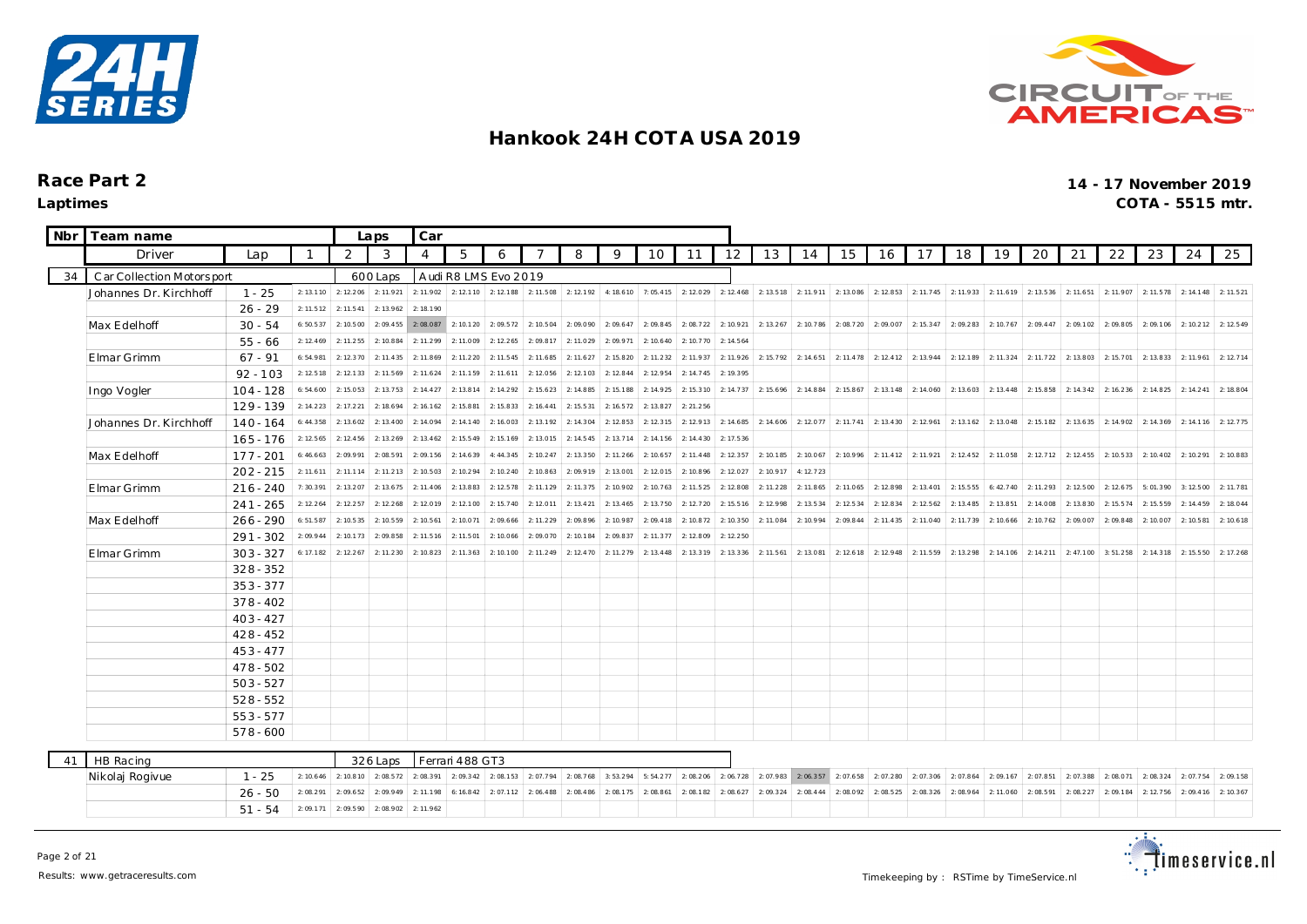



| Nbr | Team name                 |             |           |                             | Laps      | Car       |                       |           |           |           |           |                       |           |           |                   |           |                                                 |           |           |                               |           |           |                      |           |           |                               |           |
|-----|---------------------------|-------------|-----------|-----------------------------|-----------|-----------|-----------------------|-----------|-----------|-----------|-----------|-----------------------|-----------|-----------|-------------------|-----------|-------------------------------------------------|-----------|-----------|-------------------------------|-----------|-----------|----------------------|-----------|-----------|-------------------------------|-----------|
|     | Driver                    | 2           | 3         | $\boldsymbol{\vartriangle}$ | 5         | 6         |                       | 8         | 9         | 10        | 11        | 12                    | 13        | 14        | 15                | 16        | 17                                              | 18        | 19        | 20                            | 21        | 22        | 23                   | 24        | 25        |                               |           |
| 34  | Car Collection Motorsport |             |           |                             | 600 Laps  |           | A udi R8 LMS Evo 2019 |           |           |           |           |                       |           |           |                   |           |                                                 |           |           |                               |           |           |                      |           |           |                               |           |
|     | Johannes Dr. Kirchhoff    | $1 - 25$    | 2: 13.110 | 2: 12.206                   | 2:11.921  | 2: 11.902 | 2: 12.1 10 2: 12.1 88 |           | 2:11.508  | 2: 12.192 |           | 4: 18.6 10 7: 05.4 15 | 2:12.029  | 2: 12.468 |                   |           | 2: 13.5 18   2: 11.9 11   2: 13.086   2: 12.853 |           |           | 2: 11.745 2: 11.933 2: 11.619 |           | 2: 13.536 | 2:11.651             |           |           | 2: 11.907 2: 11.578 2: 14.148 | 2: 11.521 |
|     |                           | $26 - 29$   | 2: 11.512 | 2: 11.541                   | 2: 13.962 | 2:18.190  |                       |           |           |           |           |                       |           |           |                   |           |                                                 |           |           |                               |           |           |                      |           |           |                               |           |
|     | Max Edelhoff              | $30 - 54$   | 6:50.537  | 2:10.500                    | 2:09.455  | 2:08.087  | 2:10.120              | 2:09.572  | 2: 10.504 | 2:09.090  | 2:09.647  | 2:09.845              | 2:08.722  | 2: 10.921 | 2: 13.267         | 2:10.786  | 2:08.720                                        | 2:09.007  | 2: 15.347 | 2:09.283                      | 2: 10.767 | 2:09.447  | 2:09.102             | 2:09.805  | 2:09.106  | 2: 10.212                     | 2: 12.549 |
|     |                           | $55 - 66$   | 2: 12.469 | 2: 11.255                   | 2:10.884  | 2:11.299  | 2:11.009              | 2: 12.265 | 2:09.817  | 2:11.029  | 2:09.971  | 2: 10.640             | 2:10.770  | 2: 14.564 |                   |           |                                                 |           |           |                               |           |           |                      |           |           |                               |           |
|     | Elmar Grimm               | $67 - 91$   | 6:54.981  | 2: 12.370                   | 2: 11.435 | 2: 11.869 | 2: 11.220             | 2: 11.545 | 2:11.685  | 2: 11.627 | 2: 15.820 | 2: 11.232             | 2:11.937  | 2: 11.926 | 2:15.792          | 2: 14.651 | 2: 11.478                                       | 2: 12.412 | 2:13.944  | 2:12.189                      | 2:11.324  | 2: 11.722 | 2:13.803             | 2: 15.701 | 2:13.833  | 2: 11.961                     | 2: 12.714 |
|     |                           | $92 - 103$  | 2: 12.518 | 2: 12.133                   | 2:11.569  | 2: 11.624 | 2:11.159              | 2: 11.611 | 2:12.056  | 2: 12.103 | 2: 12.844 | 2: 12.954             | 2: 14.745 | 2: 19.395 |                   |           |                                                 |           |           |                               |           |           |                      |           |           |                               |           |
|     | Ingo Vogler               | $104 - 128$ | 6:54.600  | 2:15.053                    | 2:13.753  | 2: 14.427 | 2:13.814              | 2: 14.292 | 2: 15.623 | 2: 14.885 | 2: 15.188 | 2: 14.925             | 2:15.310  | 2: 14.737 | 2:15.696          | 2: 14.884 | 2:15.867                                        | 2: 13.148 | 2:14.060  | 2: 13.603                     | 2: 13.448 | 2: 15.858 | 2: 14.342            | 2: 16.236 | 2:14.825  | 2: 14.241                     | 2:18.804  |
|     |                           | $129 - 139$ | 2: 14.223 | 2: 17.221                   | 2:18.694  | 2: 16.162 | 2:15.881              | 2: 15.833 | 2: 16.441 | 2: 15.531 | 2: 16.572 | 2: 13.827             | 2: 21.256 |           |                   |           |                                                 |           |           |                               |           |           |                      |           |           |                               |           |
|     | Johannes Dr. Kirchhoff    | $140 - 164$ | 6:44.358  | 2: 13.602                   | 2: 13.400 | 2:14.094  | 2: 14.140             | 2:16.003  | 2:13.192  | 2: 14.304 | 2: 12.853 | 2: 12.315             | 2:12.913  | 2: 14.685 | 2: 14.606         | 2:12.077  | 2:11.741                                        | 2: 13.430 | 2:12.961  | 2: 13.162                     | 2:13.048  | 2: 15.182 | 2:13.635             | 2: 14.902 | 2:14.369  | 2: 14.116                     | 2:12.775  |
|     |                           | $165 - 176$ | 2: 12.565 | 2: 12.456                   | 2:13.269  | 2: 13.462 | 2: 15.549             | 2: 15.169 | 2:13.015  | 2: 14.545 | 2:13.714  | 2: 14.156             | 2: 14.430 | 2: 17.536 |                   |           |                                                 |           |           |                               |           |           |                      |           |           |                               |           |
|     | Max Edelhoff              | 177 - 201   | 6:46.663  | 2:09.991                    | 2:08.591  | 2:09.156  | 2:14.639              | 4:44.345  | 2: 10.247 | 2: 13.350 | 2: 11.266 | 2: 10.657             | 2: 11.448 | 2: 12.357 | 2:10.185          | 2:10.067  | 2:10.996                                        | 2: 11.412 |           | 2: 11.921 2: 12.452           | 2:11.058  |           | 2: 12.7 12 2: 12.455 | 2: 10.533 | 2: 10.402 | 2: 10.291                     | 2:10.883  |
|     |                           | $202 - 215$ | 2: 11.611 | 2: 11.114                   | 2: 11.213 | 2: 10.503 | 2: 10.294             | 2: 10.240 | 2: 10.863 | 2:09.919  | 2:13.001  | 2:12.015              | 2:10.896  | 2:12.027  | 2: 10.917         | 4: 12.723 |                                                 |           |           |                               |           |           |                      |           |           |                               |           |
|     | Elmar Grimm               | $216 - 240$ | 7:30.391  | 2: 13.207                   | 2: 13.675 | 2: 11.406 | 2:13.883              | 2: 12.578 | 2:11.129  | 2:11.375  | 2:10.902  | 2: 10.763             | 2:11.525  | 2:12.808  | 2:11.228          | 2: 11.865 | 2:11.065                                        | 2:12.898  | 2: 13.401 | 2: 15.555                     | 6:42.740  | 2: 11.293 | 2:12.500             | 2: 12.675 | 5:01.390  | 3:12.500                      | 2:11.781  |
|     |                           | $241 - 265$ | 2: 12.264 | 2: 12.257                   | 2: 12.268 | 2:12.019  | 2:12.100              | 2: 15.740 | 2:12.01   | 2: 13.421 | 2: 13.465 | 2:13.750              | 2:12.720  | 2: 15.516 | 2:12.998          | 2: 13.534 | 2: 12.534                                       | 2: 12.834 | 2: 12.562 | 2: 13.485                     | 2:13.851  | 2:14.008  | 2:13.830             | 2: 15.574 | 2:15.559  | 2: 14.459                     | 2:18.044  |
|     | Max Edelhoff              | $266 - 290$ | 6:51.587  | 2:10.535                    | 2: 10.559 | 2: 10.561 | 2:10.071              | 2:09.666  | 2:11.229  | 2:09.896  | 2:10.987  | 2:09.418              | 2:10.872  | 2: 10.350 | 2:11.084          | 2:10.994  | 2:09.844                                        | 2: 11.435 | 2: 11.040 | 2: 11.739                     | 2: 10.666 | 2: 10.762 | 2:09.007             | 2:09.848  | 2:10.007  | 2: 10.581                     | 2: 10.618 |
|     |                           | $291 - 302$ | 2:09.944  | 2:10.173                    | 2:09.858  | 2: 11.516 | 2:11.501              | 2:10.066  | 2:09.070  | 2: 10.184 | 2:09.837  | 2: 11.377             | 2:12.809  | 2: 12.250 |                   |           |                                                 |           |           |                               |           |           |                      |           |           |                               |           |
|     | Elmar Grimm               | $303 - 327$ | 6:17.182  | 2: 12.267                   | 2: 11.230 | 2: 10.823 | 2: 11.363             | 2:10.100  | 2:11.249  | 2: 12.470 | 2:11.279  | 2: 13.448             | 2:13.319  | 2: 13.336 | 2:11.561          | 2: 13.081 | 2: 12.618                                       | 2: 12.948 | 2:11.559  | 2: 13.298                     | 2:14.106  | 2: 14.211 | 2: 47.100            | 3:51.258  | 2:14.318  | 2: 15.550                     | 2: 17.268 |
|     |                           | $328 - 352$ |           |                             |           |           |                       |           |           |           |           |                       |           |           |                   |           |                                                 |           |           |                               |           |           |                      |           |           |                               |           |
|     |                           | $353 - 377$ |           |                             |           |           |                       |           |           |           |           |                       |           |           |                   |           |                                                 |           |           |                               |           |           |                      |           |           |                               |           |
|     |                           | $378 - 402$ |           |                             |           |           |                       |           |           |           |           |                       |           |           |                   |           |                                                 |           |           |                               |           |           |                      |           |           |                               |           |
|     |                           | $403 - 427$ |           |                             |           |           |                       |           |           |           |           |                       |           |           |                   |           |                                                 |           |           |                               |           |           |                      |           |           |                               |           |
|     |                           | $428 - 452$ |           |                             |           |           |                       |           |           |           |           |                       |           |           |                   |           |                                                 |           |           |                               |           |           |                      |           |           |                               |           |
|     |                           | $453 - 477$ |           |                             |           |           |                       |           |           |           |           |                       |           |           |                   |           |                                                 |           |           |                               |           |           |                      |           |           |                               |           |
|     |                           | $478 - 502$ |           |                             |           |           |                       |           |           |           |           |                       |           |           |                   |           |                                                 |           |           |                               |           |           |                      |           |           |                               |           |
|     |                           | $503 - 527$ |           |                             |           |           |                       |           |           |           |           |                       |           |           |                   |           |                                                 |           |           |                               |           |           |                      |           |           |                               |           |
|     |                           | $528 - 552$ |           |                             |           |           |                       |           |           |           |           |                       |           |           |                   |           |                                                 |           |           |                               |           |           |                      |           |           |                               |           |
|     |                           | $553 - 577$ |           |                             |           |           |                       |           |           |           |           |                       |           |           |                   |           |                                                 |           |           |                               |           |           |                      |           |           |                               |           |
|     |                           | $578 - 600$ |           |                             |           |           |                       |           |           |           |           |                       |           |           |                   |           |                                                 |           |           |                               |           |           |                      |           |           |                               |           |
| 41  | HB Racing                 |             |           |                             | 326 Laps  |           | Ferrari 488 GT3       |           |           |           |           |                       |           |           |                   |           |                                                 |           |           |                               |           |           |                      |           |           |                               |           |
|     | Nikolaj Rogivue           | $1 - 25$    | 2: 10.646 | 2:10.810                    | 2:08.572  | 2:08.391  | 2:09.342              | 2:08.153  | 2:07.794  | 2:08.768  | 3:53.294  | 5:54.277              | 2:08.206  |           | 2:06.728 2:07.983 | 2:06.357  | 2:07.658 2:07.280                               |           |           | $2:07.306$ 2:07.864           | 2:09.167  | 2:07.851  | 2:07.388             | 2:08.071  |           | 2: 08.324 2: 07.754           | 2:09.158  |
|     |                           | $26 - 50$   | 2:08.291  | 2:09.652                    | 2:09.949  | 2: 11.198 | 6: 16.842             | 2:07.112  | 2:06.488  | 2:08.486  | 2:08.175  | 2:08.861              | 2:08.182  | 2:08.627  | 2:09.324          | 2:08.444  | 2:08.092                                        | 2:08.525  | 2:08.326  | 2:08.964                      | 2:11.060  | 2:08.591  | 2:08.227             | 2:09.184  | 2:12.756  | 2:09.416                      | 2: 10.367 |
|     |                           | $51 - 54$   | 2:09.171  | 2:09.590                    | 2:08.902  | 2: 11.962 |                       |           |           |           |           |                       |           |           |                   |           |                                                 |           |           |                               |           |           |                      |           |           |                               |           |

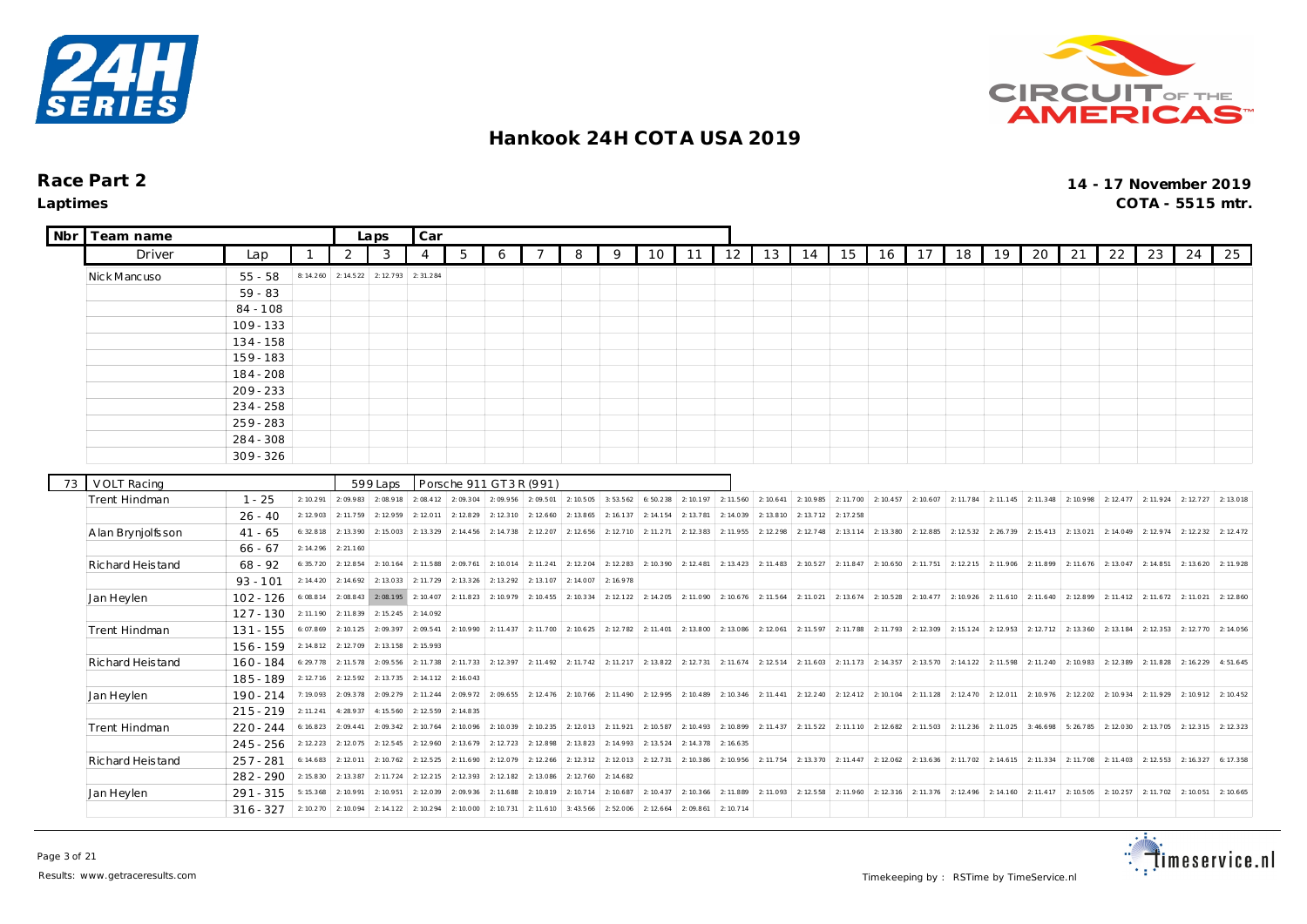



 $\overline{\phantom{a}}$ 

| Nbr | Team name          |                        |           |           | Laps                            | Car       |                                    |           |                                                                                           |                     |           |           |           |           |                       |           |           |                                                   |           |                                 |           |                                 |                                         |           |           |           |           |
|-----|--------------------|------------------------|-----------|-----------|---------------------------------|-----------|------------------------------------|-----------|-------------------------------------------------------------------------------------------|---------------------|-----------|-----------|-----------|-----------|-----------------------|-----------|-----------|---------------------------------------------------|-----------|---------------------------------|-----------|---------------------------------|-----------------------------------------|-----------|-----------|-----------|-----------|
|     | Driver             | Lap                    |           | 2         | 3                               | 4         | 5                                  | 6         | 7                                                                                         | 8                   | 9         | 10        | 11        | 12        | 13                    | 14        | 15        | 16                                                | 17        | 18                              | 19        | 20                              | 21                                      | 22        | 23        | 24        | 25        |
|     | Nick Mancuso       | $55 - 58$              | 8:14.260  | 2: 14.522 | 2:12.793                        | 2:31.284  |                                    |           |                                                                                           |                     |           |           |           |           |                       |           |           |                                                   |           |                                 |           |                                 |                                         |           |           |           |           |
|     |                    | $59 - 83$              |           |           |                                 |           |                                    |           |                                                                                           |                     |           |           |           |           |                       |           |           |                                                   |           |                                 |           |                                 |                                         |           |           |           |           |
|     |                    | $84 - 108$             |           |           |                                 |           |                                    |           |                                                                                           |                     |           |           |           |           |                       |           |           |                                                   |           |                                 |           |                                 |                                         |           |           |           |           |
|     |                    | $109 - 133$            |           |           |                                 |           |                                    |           |                                                                                           |                     |           |           |           |           |                       |           |           |                                                   |           |                                 |           |                                 |                                         |           |           |           |           |
|     |                    | $134 - 158$            |           |           |                                 |           |                                    |           |                                                                                           |                     |           |           |           |           |                       |           |           |                                                   |           |                                 |           |                                 |                                         |           |           |           |           |
|     |                    | $159 - 183$            |           |           |                                 |           |                                    |           |                                                                                           |                     |           |           |           |           |                       |           |           |                                                   |           |                                 |           |                                 |                                         |           |           |           |           |
|     |                    | 184 - 208              |           |           |                                 |           |                                    |           |                                                                                           |                     |           |           |           |           |                       |           |           |                                                   |           |                                 |           |                                 |                                         |           |           |           |           |
|     |                    | $209 - 233$            |           |           |                                 |           |                                    |           |                                                                                           |                     |           |           |           |           |                       |           |           |                                                   |           |                                 |           |                                 |                                         |           |           |           |           |
|     |                    | $234 - 258$            |           |           |                                 |           |                                    |           |                                                                                           |                     |           |           |           |           |                       |           |           |                                                   |           |                                 |           |                                 |                                         |           |           |           |           |
|     |                    | $259 - 283$            |           |           |                                 |           |                                    |           |                                                                                           |                     |           |           |           |           |                       |           |           |                                                   |           |                                 |           |                                 |                                         |           |           |           |           |
|     |                    | 284 - 308              |           |           |                                 |           |                                    |           |                                                                                           |                     |           |           |           |           |                       |           |           |                                                   |           |                                 |           |                                 |                                         |           |           |           |           |
|     |                    | $309 - 326$            |           |           |                                 |           |                                    |           |                                                                                           |                     |           |           |           |           |                       |           |           |                                                   |           |                                 |           |                                 |                                         |           |           |           |           |
|     |                    |                        |           |           |                                 |           |                                    |           |                                                                                           |                     |           |           |           |           |                       |           |           |                                                   |           |                                 |           |                                 |                                         |           |           |           |           |
| 73  | <b>VOLT Racing</b> | $1 - 25$               | 2: 10.291 |           | 599 Laps<br>$2:09.983$ 2:08.918 | 2:08.412  | Porsche 911 GT3R (991)<br>2:09.304 | 2:09.956  | 2:09.501                                                                                  | 2: 10.505           | 3:53.562  | 6:50.238  | 2: 10.197 |           | $2: 11.560$ 2: 10.641 | 2:10.985  |           | 2: 11.700 2: 10.457 2: 10.607 2: 11.784           |           |                                 | 2:11.145  | $2: 11.348$ 2: 10.998 2: 12.477 |                                         |           | 2: 11.924 | 2: 12.727 | 2:13.018  |
|     | Trent Hindman      |                        | 2:12.903  | 2: 11.759 | 2: 12.959                       | 2:12.011  | 2: 12.829                          | 2: 12.310 | 2:12.660                                                                                  | 2: 13.865           | 2: 16.137 | 2: 14.154 | 2: 13.781 | 2:14.039  | 2: 13.810             | 2: 13.712 | 2: 17.258 |                                                   |           |                                 |           |                                 |                                         |           |           |           |           |
|     | A lan Bryniolfsson | $26 - 40$<br>$41 - 65$ | 6:32.818  | 2: 13.390 | 2:15.003                        | 2: 13.329 | 2: 14.456                          | 2: 14.738 | 2:12.207                                                                                  | 2: 12.656           | 2:12.710  | 2: 11.271 | 2: 12.383 | 2: 11.955 | 2: 12.298             | 2: 12.748 | 2: 13.114 | 2: 13.380                                         | 2:12.885  | 2: 12.532                       | 2:26.739  | 2: 15.413                       | 2: 13.021                               | 2:14.049  | 2: 12.974 | 2: 12.232 | 2: 12.472 |
|     |                    | $66 - 67$              | 2:14.296  | 2: 21.160 |                                 |           |                                    |           |                                                                                           |                     |           |           |           |           |                       |           |           |                                                   |           |                                 |           |                                 |                                         |           |           |           |           |
|     | Richard Heistand   | $68 - 92$              | 6:35.720  | 2: 12.854 | 2:10.164                        | 2: 11.588 | 2:09.761                           | 2:10.014  | 2: 11.241                                                                                 | 2: 12.204           | 2: 12.283 | 2:10.390  | 2: 12.481 |           | $2: 13.423$ 2: 11.483 | 2:10.527  | 2: 11.847 | 2:10.650                                          |           | 2: 11.751 2: 12.215             | 2: 11.906 |                                 | $2: 11.899$ 2: 11.676                   | 2:13.047  | 2:14.851  | 2: 13.620 | 2:11.928  |
|     |                    | $93 - 101$             | 2: 14.420 | 2: 14.692 | 2:13.033                        | 2: 11.729 | 2: 13.326                          | 2:13.292  | 2: 13.107                                                                                 | 2:14.007            | 2: 16.978 |           |           |           |                       |           |           |                                                   |           |                                 |           |                                 |                                         |           |           |           |           |
|     | Jan Heylen         | $102 - 126$            | 6:08.814  | 2:08.843  | 2:08.195                        | 2: 10.407 | 2: 11.823                          | 2:10.979  | 2: 10.455                                                                                 | 2:10.334            | 2: 12.122 | 2: 14.205 | 2:11.090  |           | 2: 10.676 2: 11.564   | 2: 11.021 | 2: 13.674 | 2:10.528                                          |           | 2: 10.477 2: 10.926             | 2: 11.610 | 2: 11.640                       | 2:12.899                                | 2: 11.412 | 2:11.672  | 2:11.021  | 2: 12.860 |
|     |                    | $127 - 130$            | 2: 11.190 | 2: 11.839 | 2:15.245                        | 2:14.092  |                                    |           |                                                                                           |                     |           |           |           |           |                       |           |           |                                                   |           |                                 |           |                                 |                                         |           |           |           |           |
|     | Trent Hindman      | $131 - 155$            | 6:07.869  | 2: 10.125 | 2:09.397                        | 2:09.541  | 2:10.990                           | 2: 11.437 | 2:11.700 2:10.625                                                                         |                     | 2: 12.782 | 2: 11.401 | 2: 13.800 | 2:13.086  | 2:12.061              | 2: 11.597 | 2: 11.788 |                                                   |           | $2: 11.793$ 2: 12.309 2: 15.124 | 2: 12.953 | 2: 12.712                       | 2:13.360                                | 2: 13.184 | 2: 12.353 | 2:12.770  | 2:14.056  |
|     |                    | $156 - 159$            | 2: 14.812 | 2:12.709  | 2:13.158                        | 2:15.993  |                                    |           |                                                                                           |                     |           |           |           |           |                       |           |           |                                                   |           |                                 |           |                                 |                                         |           |           |           |           |
|     | Richard Heistand   | $160 - 184$            | 6:29.778  | 2: 11.578 | 2:09.556                        | 2:11.738  | 2:11.733                           |           | 2: 12.397 2: 11.492 2: 11.742 2: 11.217 2: 13.822 2: 12.731 2: 11.674 2: 12.514 2: 11.603 |                     |           |           |           |           |                       |           |           | 2: 11.173 2: 14.357 2: 13.570 2: 14.122 2: 11.598 |           |                                 |           |                                 | 2: 11.240 2: 10.983 2: 12.389 2: 11.828 |           |           | 2: 16.229 | 4:51.645  |
|     |                    | 185 - 189              | 2: 12.716 | 2: 12.592 | 2: 13.735                       | 2: 14.112 | 2: 16.043                          |           |                                                                                           |                     |           |           |           |           |                       |           |           |                                                   |           |                                 |           |                                 |                                         |           |           |           |           |
|     | Jan Heylen         | 190 - 214              | 7:19.093  | 2:09.378  | 2:09.279                        | 2: 11.244 | 2:09.972                           | 2:09.655  |                                                                                           | 2: 12.476 2: 10.766 | 2: 11.490 | 2:12.995  | 2: 10.489 |           | $2: 10.346$ 2: 11.441 | 2: 12.240 | 2: 12.412 | 2:10.104                                          | 2:11.128  | 2: 12.470                       | 2:12.011  | 2: 10.976                       | 2: 12.202                               | 2:10.934  | 2:11.929  | 2:10.912  | 2: 10.452 |
|     |                    | $215 - 219$            | 2: 11.241 | 4:28.937  | 4:15.560                        | 2: 12.559 | 2: 14.835                          |           |                                                                                           |                     |           |           |           |           |                       |           |           |                                                   |           |                                 |           |                                 |                                         |           |           |           |           |
|     | Trent Hindman      | $220 - 244$            | 6:16.823  | 2:09.441  | 2:09.342                        | 2: 10.764 | 2:10.096                           | 2:10.039  | 2: 10.235                                                                                 | 2:12.013            | 2:11.921  | 2: 10.587 | 2: 10.493 |           | 2: 10.899 2: 11.437   | 2:11.522  | 2: 11.110 | 2: 12.682                                         | 2:11.503  | 2:11.236                        | 2:11.025  | 3:46.698                        | 5:26.785                                | 2:12.030  | 2: 13.705 | 2:12.315  | 2: 12.323 |
|     |                    | $245 - 256$            | 2: 12.223 | 2:12.075  | 2:12.545                        | 2: 12.960 | 2: 13.679                          | 2: 12.723 | 2: 12.898                                                                                 | 2:13.823            | 2:14.993  | 2:13.524  | 2:14.378  | 2: 16.635 |                       |           |           |                                                   |           |                                 |           |                                 |                                         |           |           |           |           |
|     | Richard Heistand   | $257 - 281$            | 6: 14.683 | 2:12.011  | 2: 10.762                       | 2: 12.525 | 2: 11.690                          | 2:12.079  | 2: 12.266                                                                                 | 2: 12.312           | 2:12.013  | 2: 12.731 | 2: 10.386 | 2:10.956  | 2:11.754              | 2:13.370  | 2: 11.447 | 2:12.062                                          | 2: 13.636 | 2: 11.702                       | 2:14.615  | 2: 11.334                       | 2:11.708                                | 2: 11.403 | 2: 12.553 | 2: 16.327 | 6:17.358  |
|     |                    | $282 - 290$            | 2: 15.830 | 2:13.387  | 2:11.724                        | 2: 12.215 | 2:12.393                           | 2: 12.182 | 2: 13.086                                                                                 | 2: 12.760           | 2: 14.682 |           |           |           |                       |           |           |                                                   |           |                                 |           |                                 |                                         |           |           |           |           |
|     | Jan Heylen         | $291 - 315$            | 5:15.368  | 2:10.991  | 2:10.951                        | 2:12.039  | 2:09.936                           | 2: 11.688 | 2:10.819                                                                                  | 2:10.714            | 2:10.687  | 2: 10.437 | 2: 10.366 | 2:11.889  | 2:11.093              | 2: 12.558 | 2: 11.960 | 2: 12.316                                         | 2: 11.376 | 2: 12.496                       | 2: 14.160 | 2: 11.417                       | 2:10.505                                | 2: 10.257 | 2:11.702  | 2:10.051  | 2: 10.665 |
|     |                    | $316 - 327$            | 2:10.270  | 2:10.094  | 2: 14.122                       | 2: 10.294 | 2:10.000                           | 2: 10.731 | 2: 11.610                                                                                 | 3: 43.566           | 2:52.006  | 2: 12.664 | 2:09.861  | 2:10.714  |                       |           |           |                                                   |           |                                 |           |                                 |                                         |           |           |           |           |

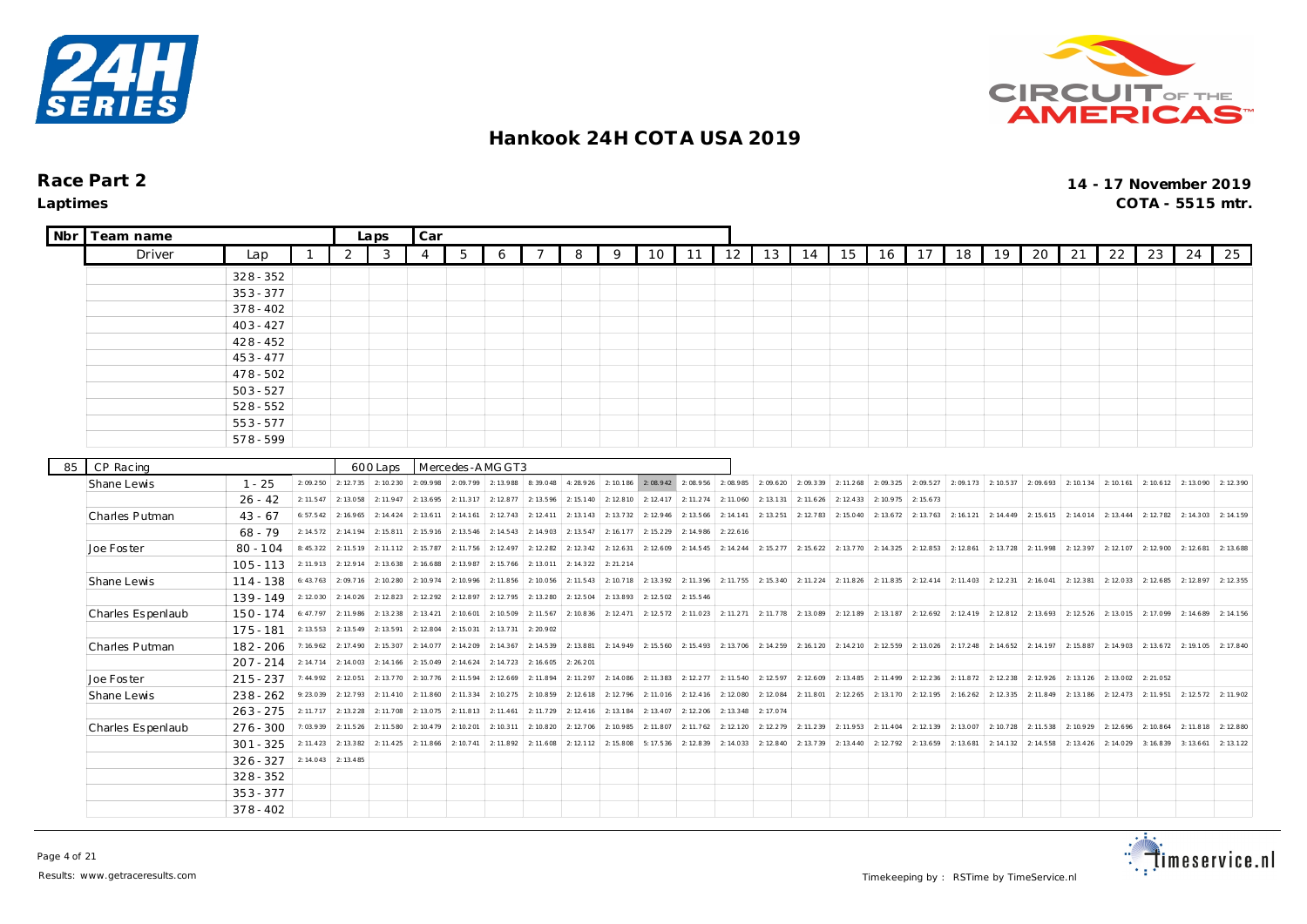



| Nbr | Team name         |             |           |                              | Laps      | Car            |                 |           |                               |           |           |                                                   |           |                       |           |           |           |           |           |           |           |           |           |           |                       |           |           |
|-----|-------------------|-------------|-----------|------------------------------|-----------|----------------|-----------------|-----------|-------------------------------|-----------|-----------|---------------------------------------------------|-----------|-----------------------|-----------|-----------|-----------|-----------|-----------|-----------|-----------|-----------|-----------|-----------|-----------------------|-----------|-----------|
|     | Driver            | Lap         |           | 2                            | 3         | $\overline{4}$ | 5               | 6         | -7                            | 8         | 9         | 10                                                | 11        | 12                    | 13        | 14        | 15        | 16        | 17        | 18        | 19        | 20        | 21        | 22        | 23                    | 24        | 25        |
|     |                   | $328 - 352$ |           |                              |           |                |                 |           |                               |           |           |                                                   |           |                       |           |           |           |           |           |           |           |           |           |           |                       |           |           |
|     |                   | $353 - 377$ |           |                              |           |                |                 |           |                               |           |           |                                                   |           |                       |           |           |           |           |           |           |           |           |           |           |                       |           |           |
|     |                   | $378 - 402$ |           |                              |           |                |                 |           |                               |           |           |                                                   |           |                       |           |           |           |           |           |           |           |           |           |           |                       |           |           |
|     |                   | $403 - 427$ |           |                              |           |                |                 |           |                               |           |           |                                                   |           |                       |           |           |           |           |           |           |           |           |           |           |                       |           |           |
|     |                   | $428 - 452$ |           |                              |           |                |                 |           |                               |           |           |                                                   |           |                       |           |           |           |           |           |           |           |           |           |           |                       |           |           |
|     |                   | $453 - 477$ |           |                              |           |                |                 |           |                               |           |           |                                                   |           |                       |           |           |           |           |           |           |           |           |           |           |                       |           |           |
|     |                   | $478 - 502$ |           |                              |           |                |                 |           |                               |           |           |                                                   |           |                       |           |           |           |           |           |           |           |           |           |           |                       |           |           |
|     |                   | $503 - 527$ |           |                              |           |                |                 |           |                               |           |           |                                                   |           |                       |           |           |           |           |           |           |           |           |           |           |                       |           |           |
|     |                   | $528 - 552$ |           |                              |           |                |                 |           |                               |           |           |                                                   |           |                       |           |           |           |           |           |           |           |           |           |           |                       |           |           |
|     |                   | $553 - 577$ |           |                              |           |                |                 |           |                               |           |           |                                                   |           |                       |           |           |           |           |           |           |           |           |           |           |                       |           |           |
|     |                   | 578-599     |           |                              |           |                |                 |           |                               |           |           |                                                   |           |                       |           |           |           |           |           |           |           |           |           |           |                       |           |           |
| 85  | CP Racing         |             |           |                              | 600 Laps  |                | Mercedes-AMGGT3 |           |                               |           |           |                                                   |           |                       |           |           |           |           |           |           |           |           |           |           |                       |           |           |
|     | Shane Lewis       | $1 - 25$    |           | $2:09.250$ 2:12.735 2:10.230 |           | 2:09.998       | 2:09.799        |           | 2: 13.988 8: 39.048 4: 28.926 |           | 2: 10.186 | 2:08.942                                          | 2:08.956  | 2:08.985              | 2:09.620  | 2:09.339  | 2: 11.268 | 2:09.325  | 2:09.527  | 2:09.173  | 2: 10.537 | 2:09.693  | 2:10.134  | 2: 10.161 | $2: 10.612$ 2: 13.090 |           | 2:12.390  |
|     |                   | $26 - 42$   | 2: 11.547 | 2:13.058                     | 2: 11.947 | 2: 13.695      | 2:11.317        | 2: 12.877 | 2:13.596                      | 2: 15.140 | 2:12.810  | 2: 12.417                                         | 2: 11.274 | 2:11.060              | 2: 13.131 | 2: 11.626 | 2: 12.433 | 2:10.975  | 2: 15.673 |           |           |           |           |           |                       |           |           |
|     | Charles Putman    | $43 - 67$   | 6: 57.542 | 2: 16.965                    | 2: 14.424 | 2: 13.611      | 2: 14.161       | 2: 12.743 | 2: 12.411                     | 2: 13.143 | 2: 13.732 | 2: 12.946                                         | 2: 13.566 | 2: 14.141             | 2:13.251  | 2: 12.783 | 2: 15.040 | 2: 13.672 | 2: 13.763 | 2: 16.121 | 2: 14.449 | 2: 15.615 | 2:14.014  | 2: 13.444 | 2:12.782              | 2: 14.303 | 2:14.159  |
|     |                   | $68 - 79$   | 2: 14.572 | 2: 14.194                    | 2: 15.811 | 2: 15.916      | 2: 13.546       | 2: 14.543 | 2:14.903                      | 2: 13.547 | 2:16.177  | 2: 15.229                                         | 2:14.986  | 2: 22.616             |           |           |           |           |           |           |           |           |           |           |                       |           |           |
|     | Joe Foster        | $80 - 104$  | 8:45.322  | 2: 11.519                    | 2: 11.112 | 2: 15.787      | 2:11.756        | 2: 12.497 | 2: 12.282                     | 2: 12.342 | 2:12.631  | 2:12.609                                          | 2:14.545  | 2: 14.244             | 2: 15.277 | 2: 15.622 | 2:13.770  | 2:14.325  | 2: 12.853 | 2: 12.861 | 2: 13.728 | 2:11.998  | 2:12.397  | 2:12.107  | 2:12.900              | 2: 12.681 | 2:13.688  |
|     |                   | $105 - 113$ | 2:11.913  | 2: 12.914                    | 2:13.638  | 2: 16.688      | 2:13.987        | 2: 15.766 | 2:13.01                       | 2: 14.322 | 2: 21.214 |                                                   |           |                       |           |           |           |           |           |           |           |           |           |           |                       |           |           |
|     | Shane Lewis       | $114 - 138$ | 6: 43.763 | 2:09.716                     | 2: 10.280 | 2: 10.974      | 2:10.996        | 2: 11.856 | 2:10.056                      | 2: 11.543 | 2: 10.718 | 2: 13.392                                         | 2:11.396  | 2: 11.755             | 2:15.340  | 2: 11.224 | 2: 11.826 | 2:11.835  | 2: 12.414 | 2: 11.403 | 2: 12.231 | 2: 16.041 | 2: 12.381 | 2:12.033  | 2: 12.685             | 2:12.897  | 2: 12.355 |
|     |                   | $139 - 149$ | 2:12.030  | 2: 14.026                    | 2: 12.823 | 2: 12.292      | 2:12.897        | 2: 12.795 | 2:13.280                      | 2: 12.504 | 2:13.893  | 2: 12.502                                         | 2: 15.546 |                       |           |           |           |           |           |           |           |           |           |           |                       |           |           |
|     | Charles Espenlaub | $150 - 174$ | 6:47.797  | 2: 11.986                    | 2:13.238  | 2: 13.421      | 2: 10.601       | 2:10.509  | 2: 11.567                     | 2: 10.836 | 2: 12.471 | 2: 12.572                                         | 2: 11.023 | 2: 11.271             | 2:11.778  | 2:13.089  | 2:12.189  | 2: 13.187 | 2: 12.692 | 2: 12.419 | 2: 12.812 | 2: 13.693 | 2: 12.526 | 2:13.015  | 2:17.099              | 2: 14.689 | 2:14.156  |
|     |                   | $175 - 181$ | 2: 13.553 | 2: 13.549                    | 2:13.591  | 2: 12.804      | 2:15.031        | 2: 13.731 | 2:20.902                      |           |           |                                                   |           |                       |           |           |           |           |           |           |           |           |           |           |                       |           |           |
|     | Charles Putman    | $182 - 206$ | 7:16.962  | 2: 17.490                    | 2:15.307  | 2: 14.077      | 2:14.209        | 2: 14.367 | 2:14.539                      | 2:13.881  |           | 2: 14.949 2: 15.560 2: 15.493 2: 13.706 2: 14.259 |           |                       |           | 2: 16.120 | 2: 14.210 | 2:12.559  | 2:13.026  | 2: 17.248 | 2: 14.652 | 2:14.197  | 2:15.887  | 2:14.903  | 2: 13.672 2: 19.105   |           | 2:17.840  |
|     |                   | $207 - 214$ | 2: 14.714 | 2: 14.003                    | 2: 14.166 | 2: 15.049      | 2: 14.624       | 2: 14.723 | 2: 16.605                     | 2:26.201  |           |                                                   |           |                       |           |           |           |           |           |           |           |           |           |           |                       |           |           |
|     | Joe Foster        | $215 - 237$ |           | 7: 44.992 2: 12.051          | 2: 13.770 | 2: 10.776      | 2: 11.594       | 2:12.669  | 2:11.894                      | 2: 11.297 |           | 2: 14.086 2: 11.383 2: 12.277                     |           | $2: 11.540$ 2: 12.597 |           | 2:12.609  | 2: 13.485 | 2: 11.499 | 2: 12.236 | 2: 11.872 | 2: 12.238 | 2: 12.926 | 2: 13.126 | 2:13.002  | 2:21.052              |           |           |
|     | Shane Lewis       | $238 - 262$ | 9:23.039  | 2:12.793                     | 2: 11.410 | 2: 11.860      | 2: 11.334       | 2: 10.275 | 2:10.859                      | 2: 12.618 | 2:12.796  | 2:11.016                                          | 2: 12.416 | 2:12.080              | 2:12.084  | 2: 11.801 | 2: 12.265 | 2:13.170  | 2: 12.195 | 2: 16.262 | 2: 12.335 | 2: 11.849 | 2: 13.186 | 2: 12.473 | 2: 11.951             | 2:12.572  | 2:11.902  |
|     |                   | $263 - 275$ | 2: 11.717 | 2: 13.228                    | 2: 11.708 | 2:13.075       | 2: 11.813       | 2: 11.461 | 2:11.729                      | 2: 12.416 | 2:13.184  | 2:13.407                                          | 2:12.206  | 2: 13.348             | 2:17.074  |           |           |           |           |           |           |           |           |           |                       |           |           |
|     | Charles Espenlaub | $276 - 300$ | 7:03.939  | 2: 11.526                    | 2: 11.580 | 2: 10.479      | 2:10.201        | 2: 10.311 | 2:10.820                      | 2:12.706  | 2:10.985  | 2: 11.807                                         | 2: 11.762 | 2: 12.120             | 2:12.279  | 2:11.239  | 2:11.953  | 2: 11.404 | 2: 12.139 | 2:13.007  | 2: 10.728 | 2: 11.538 | 2:10.929  | 2: 12.696 | 2: 10.864             | 2: 11.818 | 2: 12.880 |
|     |                   | $301 - 325$ | 2: 11.423 | 2:13.382                     | 2: 11.425 | 2: 11.866      | 2: 10.741       | 2:11.892  | 2: 11.608                     | 2: 12.112 | 2:15.808  | 5:17.536                                          | 2:12.839  | 2: 14.033             | 2: 12.840 | 2:13.739  | 2: 13.440 | 2:12.792  | 2: 13.659 | 2: 13.681 | 2: 14.132 | 2: 14.558 | 2: 13.426 | 2:14.029  | 3: 16.839             | 3: 13.661 | 2:13.122  |
|     |                   | $326 - 327$ | 2: 14.043 | 2: 13.485                    |           |                |                 |           |                               |           |           |                                                   |           |                       |           |           |           |           |           |           |           |           |           |           |                       |           |           |
|     |                   | $328 - 352$ |           |                              |           |                |                 |           |                               |           |           |                                                   |           |                       |           |           |           |           |           |           |           |           |           |           |                       |           |           |
|     |                   | $353 - 377$ |           |                              |           |                |                 |           |                               |           |           |                                                   |           |                       |           |           |           |           |           |           |           |           |           |           |                       |           |           |
|     |                   | $378 - 402$ |           |                              |           |                |                 |           |                               |           |           |                                                   |           |                       |           |           |           |           |           |           |           |           |           |           |                       |           |           |

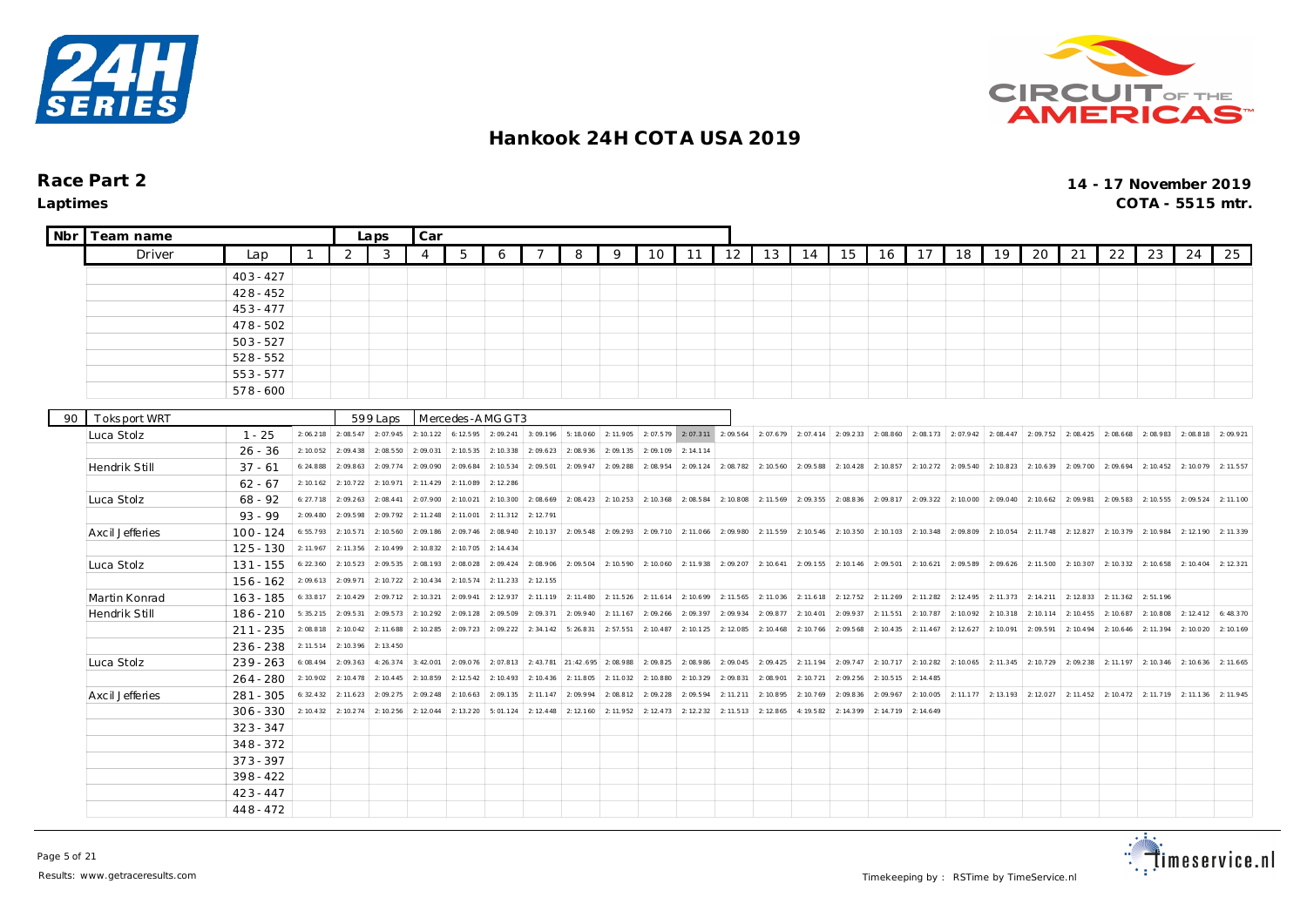



| <b>Nbr</b> | Team name                  |             |           |                              | Laps      | Car       |                             |           |           |                     |           |                                                   |                       |                     |                       |           |                                                                       |           |           |                               |                   |                                                                                                                        |           |           |                                                   |           |           |
|------------|----------------------------|-------------|-----------|------------------------------|-----------|-----------|-----------------------------|-----------|-----------|---------------------|-----------|---------------------------------------------------|-----------------------|---------------------|-----------------------|-----------|-----------------------------------------------------------------------|-----------|-----------|-------------------------------|-------------------|------------------------------------------------------------------------------------------------------------------------|-----------|-----------|---------------------------------------------------|-----------|-----------|
|            | Driver                     | Lap         |           | 2                            | 3         | 4         | 5                           | 6         |           | 8                   | 9         | 10                                                | 11                    | 12                  | 13                    | 14        | 15                                                                    | 16        | 17        | 18                            | 19                | 20                                                                                                                     | 21        | 22        | 23                                                | 24        | 25        |
|            |                            | $403 - 427$ |           |                              |           |           |                             |           |           |                     |           |                                                   |                       |                     |                       |           |                                                                       |           |           |                               |                   |                                                                                                                        |           |           |                                                   |           |           |
|            |                            | $428 - 452$ |           |                              |           |           |                             |           |           |                     |           |                                                   |                       |                     |                       |           |                                                                       |           |           |                               |                   |                                                                                                                        |           |           |                                                   |           |           |
|            |                            | $453 - 477$ |           |                              |           |           |                             |           |           |                     |           |                                                   |                       |                     |                       |           |                                                                       |           |           |                               |                   |                                                                                                                        |           |           |                                                   |           |           |
|            |                            | $478 - 502$ |           |                              |           |           |                             |           |           |                     |           |                                                   |                       |                     |                       |           |                                                                       |           |           |                               |                   |                                                                                                                        |           |           |                                                   |           |           |
|            |                            | $503 - 527$ |           |                              |           |           |                             |           |           |                     |           |                                                   |                       |                     |                       |           |                                                                       |           |           |                               |                   |                                                                                                                        |           |           |                                                   |           |           |
|            |                            | $528 - 552$ |           |                              |           |           |                             |           |           |                     |           |                                                   |                       |                     |                       |           |                                                                       |           |           |                               |                   |                                                                                                                        |           |           |                                                   |           |           |
|            |                            | $553 - 577$ |           |                              |           |           |                             |           |           |                     |           |                                                   |                       |                     |                       |           |                                                                       |           |           |                               |                   |                                                                                                                        |           |           |                                                   |           |           |
|            |                            | $578 - 600$ |           |                              |           |           |                             |           |           |                     |           |                                                   |                       |                     |                       |           |                                                                       |           |           |                               |                   |                                                                                                                        |           |           |                                                   |           |           |
|            |                            |             |           |                              |           |           |                             |           |           |                     |           |                                                   |                       |                     |                       |           |                                                                       |           |           |                               |                   |                                                                                                                        |           |           |                                                   |           |           |
| 90         | Toksport WRT<br>Luca Stolz | $1 - 25$    |           | $2:06.218$ 2:08.547 2:07.945 | 599 Laps  | 2: 10.122 | Mercedes-AMGGT3<br>6:12.595 | 2:09.241  | 3:09.196  | 5:18.060            | 2:11.905  |                                                   |                       |                     |                       |           | 2: 07.579 2: 07.311 2: 09.564 2: 07.679 2: 07.414 2: 09.233 2: 08.860 |           |           | 2: 08.173 2: 07.942 2: 08.447 |                   |                                                                                                                        |           |           | 2: 09.752 2: 08.425 2: 08.668 2: 08.983 2: 08.818 |           | 2:09.921  |
|            |                            | $26 - 36$   | 2:10.052  | 2:09.438                     | 2:08.550  | 2:09.031  | 2: 10.535                   | 2: 10.338 | 2:09.623  | 2:08.936            | 2:09.135  | 2:09.109                                          | 2:14114               |                     |                       |           |                                                                       |           |           |                               |                   |                                                                                                                        |           |           |                                                   |           |           |
|            | Hendrik Still              | $37 - 61$   | 6:24.888  | 2:09.863                     | 2:09.774  | 2:09.090  | 2:09.684                    | 2: 10.534 | 2:09.501  | 2:09.947            | 2:09.288  | 2:08.954                                          | 2:09.124              |                     | 2: 08.782 2: 10.560   | 2:09.588  | 2: 10.428                                                             | 2:10.857  | 2: 10.272 | 2:09.540                      | 2:10.823          | 2: 10.639                                                                                                              | 2:09.700  | 2:09.694  | 2: 10.452                                         | 2:10.079  | 2: 11.557 |
|            |                            | $62 - 67$   | 2: 10.162 | 2:10.722                     | 2:10.971  | 2: 11.429 | 2:11.089                    | 2: 12.286 |           |                     |           |                                                   |                       |                     |                       |           |                                                                       |           |           |                               |                   |                                                                                                                        |           |           |                                                   |           |           |
|            | Luca Stolz                 | $68 - 92$   | 6: 27.718 | 2:09.263                     | 2:08.441  | 2:07.900  | 2:10.021                    | 2:10.300  | 2:08.669  | 2:08.423            | 2:10.253  |                                                   | 2:10.368 2:08.584     | 2:10.808 2:11.569   |                       |           | $2:09.355$ 2:08.836                                                   | 2:09.817  | 2:09.322  | 2:10.000                      | 2:09.040          | 2: 10.662                                                                                                              | 2:09.981  |           | 2: 09.583 2: 10.555                               | 2:09.524  | 2:11.100  |
|            |                            | $93 - 99$   | 2:09.480  | 2:09.598                     | 2:09.792  | 2: 11.248 | 2:11.001                    | 2: 11.312 | 2: 12.791 |                     |           |                                                   |                       |                     |                       |           |                                                                       |           |           |                               |                   |                                                                                                                        |           |           |                                                   |           |           |
|            | Axcil Jefferies            | $100 - 124$ | 6:55.793  | 2:10.571                     | 2: 10.560 | 2:09.186  | 2:09.746                    | 2:08.940  | 2: 10.137 | 2:09.548            | 2:09.293  |                                                   | 2: 09.710 2: 11.066   | $2:09.980$ 2:11.559 |                       | 2: 10.546 | 2: 10.350                                                             | 2: 10.103 | 2: 10.348 | 2:09.809                      | 2:10.054          | 2:11.748                                                                                                               | 2: 12.827 |           | 2: 10.379 2: 10.984                               | 2:12.190  | 2:11.339  |
|            |                            | $125 - 130$ | 2: 11.967 | 2:11.356                     | 2: 10.499 | 2: 10.832 | 2:10.705                    | 2: 14.434 |           |                     |           |                                                   |                       |                     |                       |           |                                                                       |           |           |                               |                   |                                                                                                                        |           |           |                                                   |           |           |
|            | Luca Stolz                 | $131 - 155$ | 6: 22.360 | 2:10.523                     | 2:09.535  | 2:08.193  | 2:08.028                    | 2:09.424  | 2:08.906  | 2:09.504            |           | 2: 10.590 2: 10.060 2: 11.938 2: 09.207 2: 10.641 |                       |                     |                       |           | 2: 09.155 2: 10.146                                                   | 2:09.501  | 2: 10.621 |                               | 2:09.589 2:09.626 |                                                                                                                        |           |           | 2: 11.500   2: 10.307   2: 10.332   2: 10.658     | 2:10.404  | 2: 12.321 |
|            |                            | $156 - 162$ | 2:09.613  | 2:09.971                     | 2: 10.722 | 2: 10.434 | 2: 10.574                   | 2:11.233  | 2: 12.155 |                     |           |                                                   |                       |                     |                       |           |                                                                       |           |           |                               |                   |                                                                                                                        |           |           |                                                   |           |           |
|            | Martin Konrad              | $163 - 185$ | 6:33.817  | 2:10.429                     | 2:09.712  | 2: 10.321 | 2:09.941                    | 2: 12.937 | 2: 11.119 | 2: 11.480           | 2: 11.526 |                                                   | $2: 11.614$ 2: 10.699 |                     | $2: 11.565$ 2: 11.036 | 2: 11.618 | 2: 12.752                                                             | 2: 11.269 | 2: 11.282 | 2: 12.495                     | 2:11.373          | 2: 14.211                                                                                                              | 2: 12.833 | 2: 11.362 | 2:51.196                                          |           |           |
|            | Hendrik Still              | $186 - 210$ | 5:35.215  | 2:09.531                     | 2:09.573  | 2: 10.292 | 2:09.128                    | 2:09.509  | 2:09.371  | 2:09.940            | 2: 11.167 | 2:09.266                                          | 2:09.397              | 2:09.934            | 2:09.877              | 2: 10.401 | 2:09.937                                                              | 2: 11.551 | 2:10.787  | 2:10.092                      | 2: 10.318         | 2: 10.114                                                                                                              | 2: 10.455 | 2:10.687  | 2:10.808                                          | 2: 12.412 | 6:48.370  |
|            |                            | $211 - 235$ | 2:08.818  | 2:10.042                     | 2: 11.688 | 2: 10.285 | 2:09.723                    | 2:09.222  | 2: 34.142 | 5:26.831            | 2: 57.551 | 2:10.487                                          | 2:10.125              | 2:12.085            | 2: 10.468             | 2:10.766  | 2:09.568                                                              | 2: 10.435 | 2: 11.467 | 2: 12.627                     | 2:10.091          | 2:09.591                                                                                                               | 2: 10.494 | 2: 10.646 | 2: 11.394                                         | 2:10.020  | 2:10.169  |
|            |                            | $236 - 238$ | 2: 11.514 | 2:10.396                     | 2: 13.450 |           |                             |           |           |                     |           |                                                   |                       |                     |                       |           |                                                                       |           |           |                               |                   |                                                                                                                        |           |           |                                                   |           |           |
|            | Luca Stolz                 | $239 - 263$ |           | 6: 08.494 2: 09.363          | 4:26.374  | 3:42.001  | 2:09.076                    | 2:07.813  |           | 2: 43.781 21:42.695 | 2:08.988  |                                                   | $2:09.825$ 2:08.986   | $2:09.045$ 2:09.425 |                       | 2: 11.194 | 2:09.747                                                              | 2:10.717  |           | 2: 10.282 2: 10.065 2: 11.345 |                   | 2: 10.729 2: 09.238                                                                                                    |           |           | $2: 11.197$ 2: 10.346                             | 2: 10.636 | 2:11.665  |
|            |                            | $264 - 280$ | 2:10.902  | 2:10.478                     | 2: 10.445 | 2:10.859  | 2: 12.542                   | 2: 10.493 | 2: 10.436 | 2: 11.805           | 2: 11.032 | 2:10.880                                          | 2: 10.329             | 2:09.831            | 2:08.901              | 2: 10.721 | 2:09.256                                                              | 2: 10.515 | 2: 14.485 |                               |                   |                                                                                                                        |           |           |                                                   |           |           |
|            | Axcil Jefferies            | $281 - 305$ | 6: 32.432 | 2: 11.623                    | 2:09.275  | 2:09.248  | 2:10.663                    | 2:09.135  | 2: 11.147 | 2:09.994            | 2:08.812  | 2:09.228                                          | 2:09.594              | 2: 11.211           | 2:10.895              | 2:10.769  | 2:09.836                                                              | 2:09.967  | 2:10.005  |                               |                   | $\mid$ 2: 11.177 $\mid$ 2: 13.193 $\mid$ 2: 12.027 $\mid$ 2: 11.452 $\mid$ 2: 10.472 $\mid$ 2: 11.719 $\mid$ 2: 11.136 |           |           |                                                   |           | 2:11.945  |
|            |                            | $306 - 330$ |           | 2: 10.4 32 2: 10.2 74        | 2: 10.256 | 2:12.044  | 2:13.220                    | 5:01.124  | 2: 12.448 | 2: 12.160           | 2:11.952  | 2: 12.473                                         | 2:12.232              | 2: 11.513           | 2:12.865              | 4:19.582  | 2:14.399                                                              | 2:14.719  | 2: 14.649 |                               |                   |                                                                                                                        |           |           |                                                   |           |           |
|            |                            | $323 - 347$ |           |                              |           |           |                             |           |           |                     |           |                                                   |                       |                     |                       |           |                                                                       |           |           |                               |                   |                                                                                                                        |           |           |                                                   |           |           |
|            |                            | $348 - 372$ |           |                              |           |           |                             |           |           |                     |           |                                                   |                       |                     |                       |           |                                                                       |           |           |                               |                   |                                                                                                                        |           |           |                                                   |           |           |
|            |                            | $373 - 397$ |           |                              |           |           |                             |           |           |                     |           |                                                   |                       |                     |                       |           |                                                                       |           |           |                               |                   |                                                                                                                        |           |           |                                                   |           |           |
|            |                            | $398 - 422$ |           |                              |           |           |                             |           |           |                     |           |                                                   |                       |                     |                       |           |                                                                       |           |           |                               |                   |                                                                                                                        |           |           |                                                   |           |           |
|            |                            | $423 - 447$ |           |                              |           |           |                             |           |           |                     |           |                                                   |                       |                     |                       |           |                                                                       |           |           |                               |                   |                                                                                                                        |           |           |                                                   |           |           |
|            |                            | $448 - 472$ |           |                              |           |           |                             |           |           |                     |           |                                                   |                       |                     |                       |           |                                                                       |           |           |                               |                   |                                                                                                                        |           |           |                                                   |           |           |

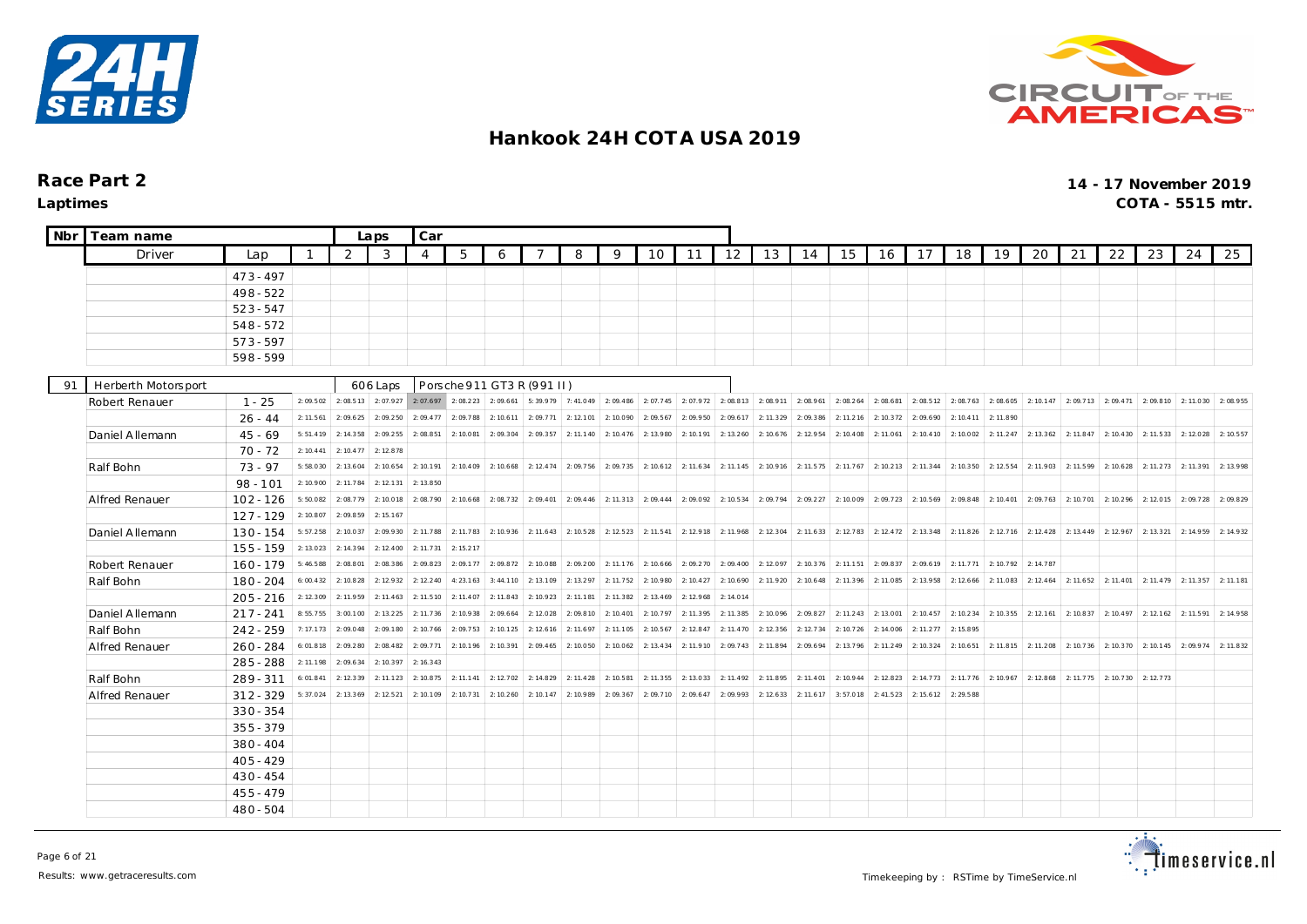



| Nbr | Team name           |                            |                       |                      | Laps                   | Car                    |                       |                                                                                                           |                      |                        |                        |                       |                       |                       |           |           |                              |           |           |           |           |           |                                                             |                     |                       |          |           |
|-----|---------------------|----------------------------|-----------------------|----------------------|------------------------|------------------------|-----------------------|-----------------------------------------------------------------------------------------------------------|----------------------|------------------------|------------------------|-----------------------|-----------------------|-----------------------|-----------|-----------|------------------------------|-----------|-----------|-----------|-----------|-----------|-------------------------------------------------------------|---------------------|-----------------------|----------|-----------|
|     | Driver              | Lap                        |                       | 2                    | 3                      | 4                      | 5                     | 6                                                                                                         |                      | 8                      | 9                      | 10                    | 11                    | 12                    | 13        | 14        | 15                           | 16        | 17        | 18        | 19        | 20        | 21                                                          | 22                  | 23                    | 24       | 25        |
|     |                     | $473 - 497$                |                       |                      |                        |                        |                       |                                                                                                           |                      |                        |                        |                       |                       |                       |           |           |                              |           |           |           |           |           |                                                             |                     |                       |          |           |
|     |                     | $498 - 522$                |                       |                      |                        |                        |                       |                                                                                                           |                      |                        |                        |                       |                       |                       |           |           |                              |           |           |           |           |           |                                                             |                     |                       |          |           |
|     |                     | $523 - 547$                |                       |                      |                        |                        |                       |                                                                                                           |                      |                        |                        |                       |                       |                       |           |           |                              |           |           |           |           |           |                                                             |                     |                       |          |           |
|     |                     | $548 - 572$                |                       |                      |                        |                        |                       |                                                                                                           |                      |                        |                        |                       |                       |                       |           |           |                              |           |           |           |           |           |                                                             |                     |                       |          |           |
|     |                     | $573 - 597$                |                       |                      |                        |                        |                       |                                                                                                           |                      |                        |                        |                       |                       |                       |           |           |                              |           |           |           |           |           |                                                             |                     |                       |          |           |
|     |                     | 598-599                    |                       |                      |                        |                        |                       |                                                                                                           |                      |                        |                        |                       |                       |                       |           |           |                              |           |           |           |           |           |                                                             |                     |                       |          |           |
|     |                     |                            |                       |                      |                        |                        |                       |                                                                                                           |                      |                        |                        |                       |                       |                       |           |           |                              |           |           |           |           |           |                                                             |                     |                       |          |           |
| 91  | Herberth Motorsport |                            |                       |                      | 606 Laps               |                        |                       | Porsche 911 GT3 R (991 II)                                                                                |                      |                        |                        |                       |                       |                       |           |           |                              |           |           |           |           |           |                                                             |                     |                       |          |           |
|     | Robert Renauer      | $1 - 25$                   | 2:09.502              | 2:08.513             | 2:07.927               | 2:07.697               |                       | 2: 08.223   2: 09.661   5: 39.979   7: 41.049   2: 09.486   2: 07.745   2: 07.972   2: 08.813   2: 08.911 |                      |                        |                        |                       |                       |                       |           |           | $2:08.961$ 2:08.264 2:08.681 |           | 2:08.512  | 2:08.763  | 2:08.605  |           | 2: 10.147 2: 09.713 2: 09.471 2: 09.810 2: 11.030 2: 08.955 |                     |                       |          |           |
|     |                     | $26 - 44$                  | 2: 11.561             | 2:09.625             | 2:09.250               | 2:09.477               | 2:09.788              | 2: 10.611                                                                                                 | 2:09.771             | 2:12.101               | 2:10.090               | 2:09.567              | 2:09.950              | 2:09.617              | 2: 11.329 | 2:09.386  | 2: 11.216                    | 2: 10.372 | 2:09.690  | 2: 10.411 | 2: 11.890 |           |                                                             |                     |                       |          |           |
|     | Daniel Allemann     | $45 - 69$                  | 5:51.419              | 2: 14.358            | 2:09.255               | 2:08.851               | 2:10.081              | 2:09.304                                                                                                  | 2:09.357             | 2: 11.140              | 2: 10.476              | 2:13.980              | 2:10.191              | 2: 13.260             | 2: 10.676 | 2:12.954  | 2: 10.408                    | 2:11.061  | 2: 10.410 | 2:10.002  | 2: 11.247 | 2: 13.362 | 2: 11.847                                                   | 2: 10.430           | 2: 11.533             | 2:12.028 | 2: 10.557 |
|     |                     | $70 - 72$                  | 2: 10.441             | 2: 10.477            | 2:12.878               |                        |                       |                                                                                                           |                      |                        |                        |                       |                       |                       |           |           |                              |           |           |           |           |           |                                                             |                     |                       |          |           |
|     | Ralf Bohn           | $73 - 97$                  | 5:58.030              | 2: 13.604            | 2: 10.654              | 2: 10.191              | 2: 10.409             | 2:10.668                                                                                                  | 2: 12.474            | 2:09.756               | 2:09.735               | 2: 10.612             | 2:11.634              | 2: 11.145             | 2:10.916  | 2: 11.575 | 2:11.767                     | 2: 10.213 | 2: 11.344 | 2: 10.350 | 2: 12.554 | 2:11.903  | 2:11.599                                                    | 2: 10.628           | 2: 11.273             | 2:11.391 | 2:13.998  |
|     |                     | $98 - 101$                 | 2:10.900              | 2: 11.784            | 2: 12.131              | 2: 13.850              |                       |                                                                                                           |                      |                        |                        |                       |                       |                       |           |           |                              |           |           |           |           |           |                                                             |                     |                       |          |           |
|     | Alfred Renauer      | $102 - 126$                | 5:50.082              | 2:08.779             | 2:10.018               | 2:08.790               | 2: 10.668             | 2:08.732                                                                                                  | 2:09.401             | 2:09.446               | 2:11.313               | 2:09.444              | 2:09.092              | 2: 10.534             | 2:09.794  | 2:09.227  | 2:10.009                     | 2:09.723  | 2:10.569  | 2:09.848  | 2: 10.401 | 2:09.763  | 2:10.701                                                    | 2:10.296            | 2:12.015              | 2:09.728 | 2:09.829  |
|     |                     | $127 - 129$                | 2:10.807              | 2:09.859             | 2: 15.167              |                        |                       |                                                                                                           |                      |                        |                        |                       |                       |                       |           |           |                              |           |           |           |           |           |                                                             |                     |                       |          |           |
|     | Daniel Allemann     | $130 - 154$                | 5:57.258              | 2:10.037             | 2:09.930               | 2: 11.788              | 2:11.783              | 2:10.936                                                                                                  |                      | $2: 11.643$ 2: 10.528  | 2: 12.523              | 2: 11.541             | 2:12.918              | 2: 11.968             | 2: 12.304 | 2: 11.633 | 2:12.783                     | 2: 12.472 | 2:13.348  | 2: 11.826 | 2: 12.716 | 2: 12.428 | 2: 13.449                                                   | 2: 12.967           | 2: 13.321             | 2:14.959 | 2: 14.932 |
|     |                     | $155 - 159$                | 2: 13.023             | 2: 14.394            | 2: 12.400              | 2: 11.731              | 2: 15.217             |                                                                                                           |                      |                        | 2.11176                |                       |                       |                       |           |           |                              |           |           |           |           | 2.14787   |                                                             |                     |                       |          |           |
|     | Robert Renauer      | $160 - 179$                | 5:46.588              | 2:08.801             | 2:08.386               | 2:09.823               | 2:09.177              | 2:09.872                                                                                                  | 2:10.088             | 2:09.200               |                        | 2: 10.666             | 2:09.270              | 2:09.400              | 2:12.097  | 2: 10.376 | 2: 11.151                    | 2:09.837  | 2:09.619  | 2: 11.771 | 2:10.792  |           |                                                             |                     |                       |          |           |
|     | Ralf Bohn           | 180 - 204                  | 6:00.432              | 2:10.828             | 2: 12.932<br>2: 11.463 | 2: 12.240<br>2: 11.510 | 4:23.163              | 3: 44.110                                                                                                 | 2:13.109<br>2:10.923 | 2: 13.297<br>2: 11.181 | 2: 11.752<br>2: 11.382 | 2:10.980<br>2: 13.469 | 2: 10.427<br>2:12.968 | 2:10.690<br>2: 14.014 | 2:11.920  | 2: 10.648 | 2:11.396                     | 2:11.085  | 2: 13.958 | 2: 12.666 | 2: 11.083 | 2: 12.464 | 2:11.652                                                    |                     | $2: 11.401$ 2: 11.479 | 2:11.357 | 2: 11.181 |
|     |                     | $205 - 216$                | 2: 12.309<br>8:55.755 | 2:11.959<br>3:00.100 | 2: 13.225              | 2: 11.736              | 2: 11.407<br>2:10.938 | 2: 11.843<br>2:09.664                                                                                     | 2:12.028             | 2:09.810               | 2:10.401               | 2:10.797              | 2: 11.395             | 2: 11.385             | 2:10.096  | 2:09.827  | 2: 11.243                    | 2:13.001  | 2: 10.457 | 2: 10.234 | 2: 10.355 | 2: 12.161 | 2:10.837                                                    |                     | $2: 10.497$ 2: 12.162 | 2:11.591 | 2: 14.958 |
|     | Daniel Allemann     | $217 - 241$                | 7:17.173              | 2:09.048             | 2:09.180               | 2:10.766               | 2:09.753              | 2: 10.125                                                                                                 | 2: 12.616            | 2: 11.697              | 2: 11.105              | 2: 10.567             | 2: 12.847             | 2: 11.470             | 2:12.356  | 2: 12.734 | 2: 10.726                    | 2: 14.006 | 2: 11.277 | 2:15.895  |           |           |                                                             |                     |                       |          |           |
|     | Ralf Bohn           | $242 - 259$<br>$260 - 284$ | 6:01.818              | 2:09.280             | 2:08.482               | 2:09.771               | 2:10.196              | 2: 10.391                                                                                                 | 2:09.465             | 2:10.050               | 2:10.062               | 2: 13.434             | 2:11.910              | 2:09.743              | 2:11.894  | 2:09.694  | 2:13.796                     | 2:11.249  | 2: 10.324 | 2: 10.651 | 2: 11.815 | 2:11.208  | 2:10.736                                                    |                     | 2: 10.370 2: 10.145   | 2:09.974 | 2:11.832  |
|     | Alfred Renauer      | $285 - 288$                | 2: 11.198             | 2:09.634             | 2: 10.397              | 2: 16.343              |                       |                                                                                                           |                      |                        |                        |                       |                       |                       |           |           |                              |           |           |           |           |           |                                                             |                     |                       |          |           |
|     | Ralf Bohn           | $289 - 311$                | 6:01.841              | 2:12.339             | 2: 11.123              | 2: 10.875              | 2: 11.141             | 2:12.702                                                                                                  |                      | $2: 14.829$ 2: 11.428  | 2:10.581               | 2: 11.355             | 2:13.033              | 2: 11.492             | 2:11.895  | 2: 11.401 | 2:10.944                     | 2:12.823  | 2: 14.773 | 2: 11.776 | 2:10.967  |           | 2: 12.868 2: 11.775                                         | 2: 10.730 2: 12.773 |                       |          |           |
|     | Alfred Renauer      | $312 - 329$                | 5:37.024              | 2:13.369             | 2: 12.521              | 2:10.109               | 2: 10.731             | 2: 10.260                                                                                                 | 2: 10.147            | 2:10.989               | 2:09.367               | 2:09.710              | 2:09.647              | 2:09.993              | 2: 12.633 | 2: 11.617 | 3:57.018                     | 2: 41.523 | 2: 15.612 | 2:29.588  |           |           |                                                             |                     |                       |          |           |
|     |                     | $330 - 354$                |                       |                      |                        |                        |                       |                                                                                                           |                      |                        |                        |                       |                       |                       |           |           |                              |           |           |           |           |           |                                                             |                     |                       |          |           |
|     |                     | $355 - 379$                |                       |                      |                        |                        |                       |                                                                                                           |                      |                        |                        |                       |                       |                       |           |           |                              |           |           |           |           |           |                                                             |                     |                       |          |           |
|     |                     | $380 - 404$                |                       |                      |                        |                        |                       |                                                                                                           |                      |                        |                        |                       |                       |                       |           |           |                              |           |           |           |           |           |                                                             |                     |                       |          |           |
|     |                     | $405 - 429$                |                       |                      |                        |                        |                       |                                                                                                           |                      |                        |                        |                       |                       |                       |           |           |                              |           |           |           |           |           |                                                             |                     |                       |          |           |
|     |                     | $430 - 454$                |                       |                      |                        |                        |                       |                                                                                                           |                      |                        |                        |                       |                       |                       |           |           |                              |           |           |           |           |           |                                                             |                     |                       |          |           |
|     |                     | $455 - 479$                |                       |                      |                        |                        |                       |                                                                                                           |                      |                        |                        |                       |                       |                       |           |           |                              |           |           |           |           |           |                                                             |                     |                       |          |           |
|     |                     | $480 - 504$                |                       |                      |                        |                        |                       |                                                                                                           |                      |                        |                        |                       |                       |                       |           |           |                              |           |           |           |           |           |                                                             |                     |                       |          |           |

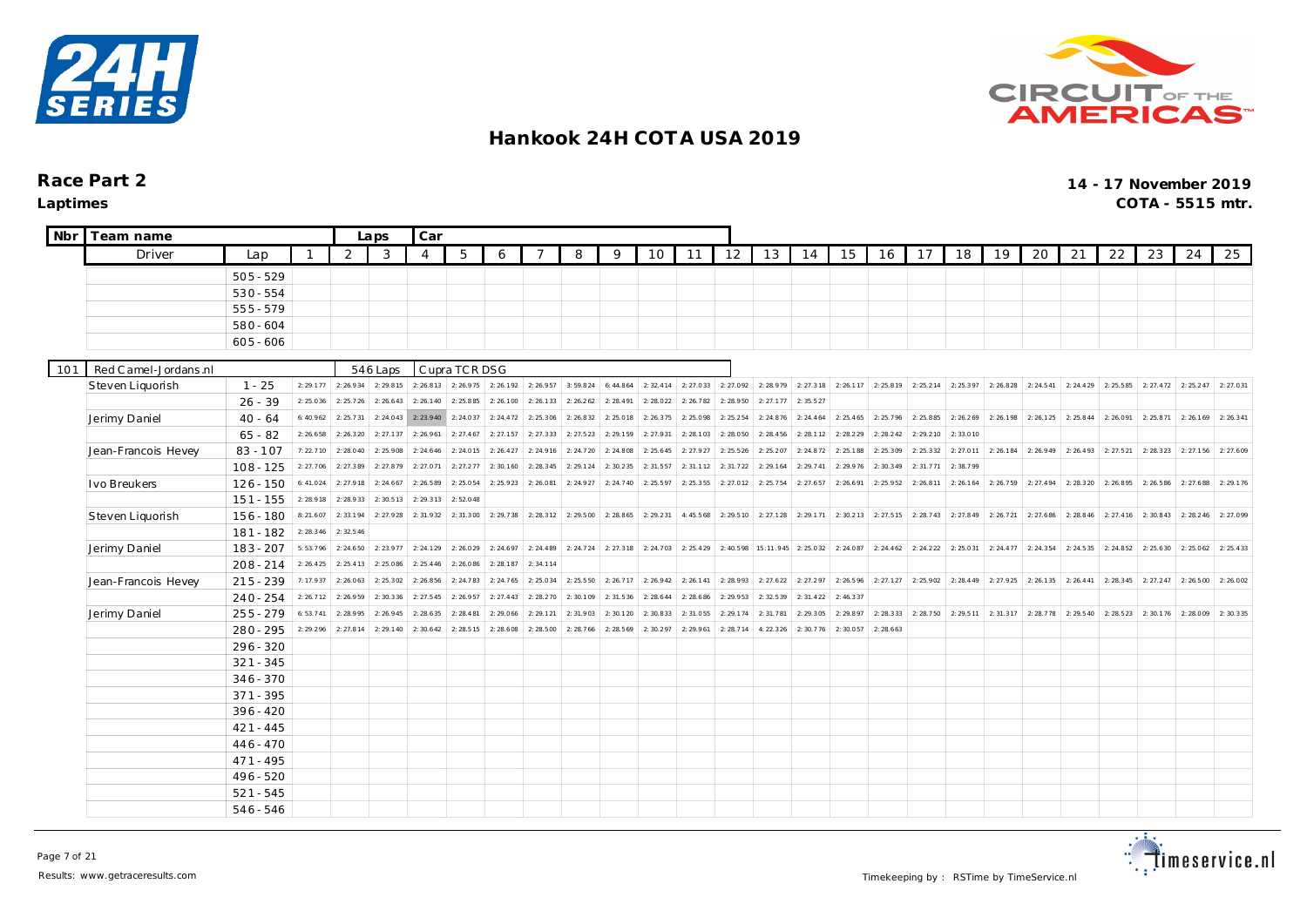



| <b>Nbr</b> | Team name             |             |           |                       | Laps      | Car            |               |           |                       |           |           |           |           |           |                     |                                               |                     |           |                     |           |           |                               |           |           |           |           |           |
|------------|-----------------------|-------------|-----------|-----------------------|-----------|----------------|---------------|-----------|-----------------------|-----------|-----------|-----------|-----------|-----------|---------------------|-----------------------------------------------|---------------------|-----------|---------------------|-----------|-----------|-------------------------------|-----------|-----------|-----------|-----------|-----------|
|            | Driver                | Lap         |           | 2                     | 3         | $\overline{4}$ | 5             | 6         | $\overline{ }$        | 8         | 9         | 10        | 11        | 12        | 13                  | 14                                            | 15                  | 16        | 17                  | 18        | 19        | 20                            | 21        | 22        | 23        | 24        | 25        |
|            |                       | $505 - 529$ |           |                       |           |                |               |           |                       |           |           |           |           |           |                     |                                               |                     |           |                     |           |           |                               |           |           |           |           |           |
|            |                       | $530 - 554$ |           |                       |           |                |               |           |                       |           |           |           |           |           |                     |                                               |                     |           |                     |           |           |                               |           |           |           |           |           |
|            |                       | $555 - 579$ |           |                       |           |                |               |           |                       |           |           |           |           |           |                     |                                               |                     |           |                     |           |           |                               |           |           |           |           |           |
|            |                       | 580 - 604   |           |                       |           |                |               |           |                       |           |           |           |           |           |                     |                                               |                     |           |                     |           |           |                               |           |           |           |           |           |
|            |                       | $605 - 606$ |           |                       |           |                |               |           |                       |           |           |           |           |           |                     |                                               |                     |           |                     |           |           |                               |           |           |           |           |           |
|            |                       |             |           |                       |           |                |               |           |                       |           |           |           |           |           |                     |                                               |                     |           |                     |           |           |                               |           |           |           |           |           |
| 101        | Red C amel-Jordans.nl |             |           |                       | 546 Laps  |                | Cupra TCR DSG |           |                       |           |           |           |           |           |                     |                                               |                     |           |                     |           |           |                               |           |           |           |           |           |
|            | Steven Liquorish      | $1 - 25$    | 2: 29.177 | 2: 26.934             | 2:29.815  | 2: 26.813      | 2:26.975      | 2:26.192  | 2: 26.957             | 3:59.824  | 6:44.864  | 2: 32.414 | 2: 27.033 |           | 2: 27.092 2: 28.979 | 2: 27.318                                     | 2: 26.117           | 2:25.819  | 2: 25.214           | 2:25.397  | 2:26.828  | 2: 24.541                     | 2: 24.429 | 2:25.585  | 2: 27.472 | 2: 25.247 | 2: 27.031 |
|            |                       | $26 - 39$   | 2:25.036  | 2: 25.726             | 2: 26.643 | 2: 26.140      | 2:25.885      | 2:26.100  | 2:26.133              | 2: 26.262 | 2: 28.491 | 2:28.022  | 2: 26.782 | 2:28.950  | 2: 27.177           | 2: 35.527                                     |                     |           |                     |           |           |                               |           |           |           |           |           |
|            | Jerimy Daniel         | $40 - 64$   | 6:40.962  | 2: 25.731             | 2: 24.043 | 2:23.940       | 2:24.037      | 2: 24.472 | 2:25.306              | 2:26.832  | 2:25.018  | 2: 26.375 | 2:25.098  | 2: 25.254 | 2: 24.876           | 2: 24.464                                     | 2: 25.465           | 2: 25.796 | 2:25.885            | 2: 26.269 | 2:26.198  | 2: 26.125                     | 2:25.844  | 2:26.091  | 2:25.871  | 2: 26.169 | 2: 26.341 |
|            |                       | $65 - 82$   | 2:26.658  | 2: 26.320             | 2: 27.137 | 2: 26.961      | 2: 27.467     | 2: 27.157 | 2:27.333              | 2: 27.523 | 2: 29.159 | 2:27.931  | 2: 28.103 | 2:28.050  | 2: 28.456           | 2: 28.112                                     | 2: 28.229           | 2: 28.242 | 2: 29.210           | 2:33.010  |           |                               |           |           |           |           |           |
|            | Jean-Francois Hevey   | $83 - 107$  | 7:22.710  | 2:28.040              | 2:25.908  | 2: 24.646      | 2:24.015      | 2: 26.427 | 2:24.916              | 2: 24.720 | 2: 24.808 | 2: 25.645 | 2: 27.927 | 2: 25.526 | 2:25.207            | 2: 24.872                                     | 2:25.188            | 2: 25.309 | 2: 25.332           | 2: 27.011 | 2: 26.184 | 2: 26.949                     | 2:26.493  | 2: 27.521 | 2: 28.323 | 2: 27.156 | 2: 27.609 |
|            |                       | $108 - 125$ | 2: 27.706 | 2: 27.389             | 2: 27.879 | 2: 27.071      | 2: 27.277     | 2:30.160  | 2:28.345              | 2: 29.124 | 2:30.235  | 2:31.557  | 2:31.112  | 2: 31.722 | 2: 29.164           | 2: 29.741                                     | 2: 29.976           | 2:30.349  | 2: 31.771           | 2:38.799  |           |                               |           |           |           |           |           |
|            | Ivo Breukers          | $126 - 150$ | 6:41.024  | 2: 27.918             | 2: 24.667 | 2: 26.589      | 2:25.054      | 2: 25.923 | 2:26.081              | 2: 24.927 | 2: 24.740 | 2: 25.597 | 2: 25.355 | 2: 27.012 | 2:25.754            | 2: 27.657                                     | 2:26.691            | 2:25.952  | 2: 26.811           | 2: 26.164 | 2: 26.759 | 2: 27.494                     | 2:28.320  | 2:26.895  | 2: 26.586 | 2: 27.688 | 2: 29.176 |
|            |                       | $151 - 155$ | 2:28.918  | 2:28.933              | 2:30.513  | 2: 29.313      | 2:52.048      |           |                       |           |           |           |           |           |                     |                                               |                     |           |                     |           |           |                               |           |           |           |           |           |
|            | Steven Liquorish      | 156 - 180   | 8:21.607  | 2: 33.194             | 2:27.928  | 2:31.932       | 2:31.300      |           | $2: 29.738$ 2: 28.312 | 2:29.500  | 2: 28.865 | 2: 29.231 | 4:45.568  |           |                     | 2: 29.510 2: 27.128 2: 29.171                 | 2: 30.213 2: 27.515 |           | 2: 28.743           | 2:27.849  |           | 2: 26.721 2: 27.686 2: 28.846 |           | 2: 27.416 | 2:30.843  | 2: 28.246 | 2:27.099  |
|            |                       | $181 - 182$ | 2: 28.346 | 2: 32.546             |           |                |               |           |                       |           |           |           |           |           |                     |                                               |                     |           |                     |           |           |                               |           |           |           |           |           |
|            | Jerimy Daniel         | $183 - 207$ | 5:53.796  | 2: 24.650             | 2: 23.977 | 2: 24.129      | 2:26.029      | 2: 24.697 | 2: 24.489             | 2: 24.724 | 2: 27.318 | 2: 24.703 | 2: 25.429 |           |                     | 2: 40.598   15:11.945   2: 25.032   2: 24.087 |                     | 2: 24.462 | 2: 24.222           | 2: 25.031 |           | $2: 24.477$ 2: 24.354         | 2: 24.535 | 2: 24.852 | 2: 25.630 | 2:25.062  | 2: 25.433 |
|            |                       | $208 - 214$ | 2: 26.425 | 2: 25.413             | 2:25.086  | 2: 25.446      | 2:26.086      | 2:28.187  | 2:34.114              |           |           |           |           |           |                     |                                               |                     |           |                     |           |           |                               |           |           |           |           |           |
|            | Jean-Francois Hevey   | $215 - 239$ | 7:17.937  | 2:26.063              | 2: 25.302 | 2: 26.856      | 2:24.783      | 2: 24.765 | 2:25.034              | 2: 25.550 | 2: 26.717 | 2: 26.942 | 2: 26.141 |           | 2: 28.993 2: 27.622 | 2: 27.297                                     | 2: 26.596           | 2: 27.127 | 2:25.902            | 2: 28.449 |           | $2: 27.925$ 2: 26.135         | 2: 26.441 | 2:28.345  | 2: 27.247 | 2:26.500  | 2:26.002  |
|            |                       | $240 - 254$ | 2: 26.712 | 2:26.959              | 2:30.336  | 2: 27.545      | 2:26.957      | 2: 27.443 | 2: 28.270             | 2:30.109  | 2: 31.536 | 2: 28.644 | 2: 28.686 | 2:29.953  | 2:32.539            | 2: 31.422                                     | 2: 46.337           |           |                     |           |           |                               |           |           |           |           |           |
|            | Jerimy Daniel         | $255 - 279$ | 6: 53.741 | 2:28.995              | 2: 26.945 | 2: 28.635      | 2: 28.481     | 2:29.066  | 2: 29.121             | 2:31.903  | 2:30.120  | 2:30.833  | 2:31.055  | 2: 29.174 | 2:31.781            | 2: 29.305                                     | 2: 29.897           | 2: 28.333 | 2: 28.750 2: 29.511 |           |           | 2: 31.317 2: 28.778 2: 29.540 |           | 2: 28.523 | 2:30.176  | 2:28.009  | 2:30.335  |
|            |                       | $280 - 295$ |           | $2: 29.296$ 2: 27.814 | 2: 29.140 | 2:30.642       | 2:28.515      | 2:28.608  | 2:28.500              | 2: 28.766 | 2: 28.569 | 2:30.297  | 2: 29.961 | 2: 28.714 | 4:22.326            | 2:30.776                                      | 2:30.057            | 2:28.663  |                     |           |           |                               |           |           |           |           |           |
|            |                       | 296 - 320   |           |                       |           |                |               |           |                       |           |           |           |           |           |                     |                                               |                     |           |                     |           |           |                               |           |           |           |           |           |
|            |                       | $321 - 345$ |           |                       |           |                |               |           |                       |           |           |           |           |           |                     |                                               |                     |           |                     |           |           |                               |           |           |           |           |           |
|            |                       | $346 - 370$ |           |                       |           |                |               |           |                       |           |           |           |           |           |                     |                                               |                     |           |                     |           |           |                               |           |           |           |           |           |
|            |                       | $371 - 395$ |           |                       |           |                |               |           |                       |           |           |           |           |           |                     |                                               |                     |           |                     |           |           |                               |           |           |           |           |           |
|            |                       | $396 - 420$ |           |                       |           |                |               |           |                       |           |           |           |           |           |                     |                                               |                     |           |                     |           |           |                               |           |           |           |           |           |
|            |                       | $421 - 445$ |           |                       |           |                |               |           |                       |           |           |           |           |           |                     |                                               |                     |           |                     |           |           |                               |           |           |           |           |           |
|            |                       | $446 - 470$ |           |                       |           |                |               |           |                       |           |           |           |           |           |                     |                                               |                     |           |                     |           |           |                               |           |           |           |           |           |
|            |                       | $471 - 495$ |           |                       |           |                |               |           |                       |           |           |           |           |           |                     |                                               |                     |           |                     |           |           |                               |           |           |           |           |           |
|            |                       | 496 - 520   |           |                       |           |                |               |           |                       |           |           |           |           |           |                     |                                               |                     |           |                     |           |           |                               |           |           |           |           |           |
|            |                       | $521 - 545$ |           |                       |           |                |               |           |                       |           |           |           |           |           |                     |                                               |                     |           |                     |           |           |                               |           |           |           |           |           |
|            |                       | 546 - 546   |           |                       |           |                |               |           |                       |           |           |           |           |           |                     |                                               |                     |           |                     |           |           |                               |           |           |           |           |           |

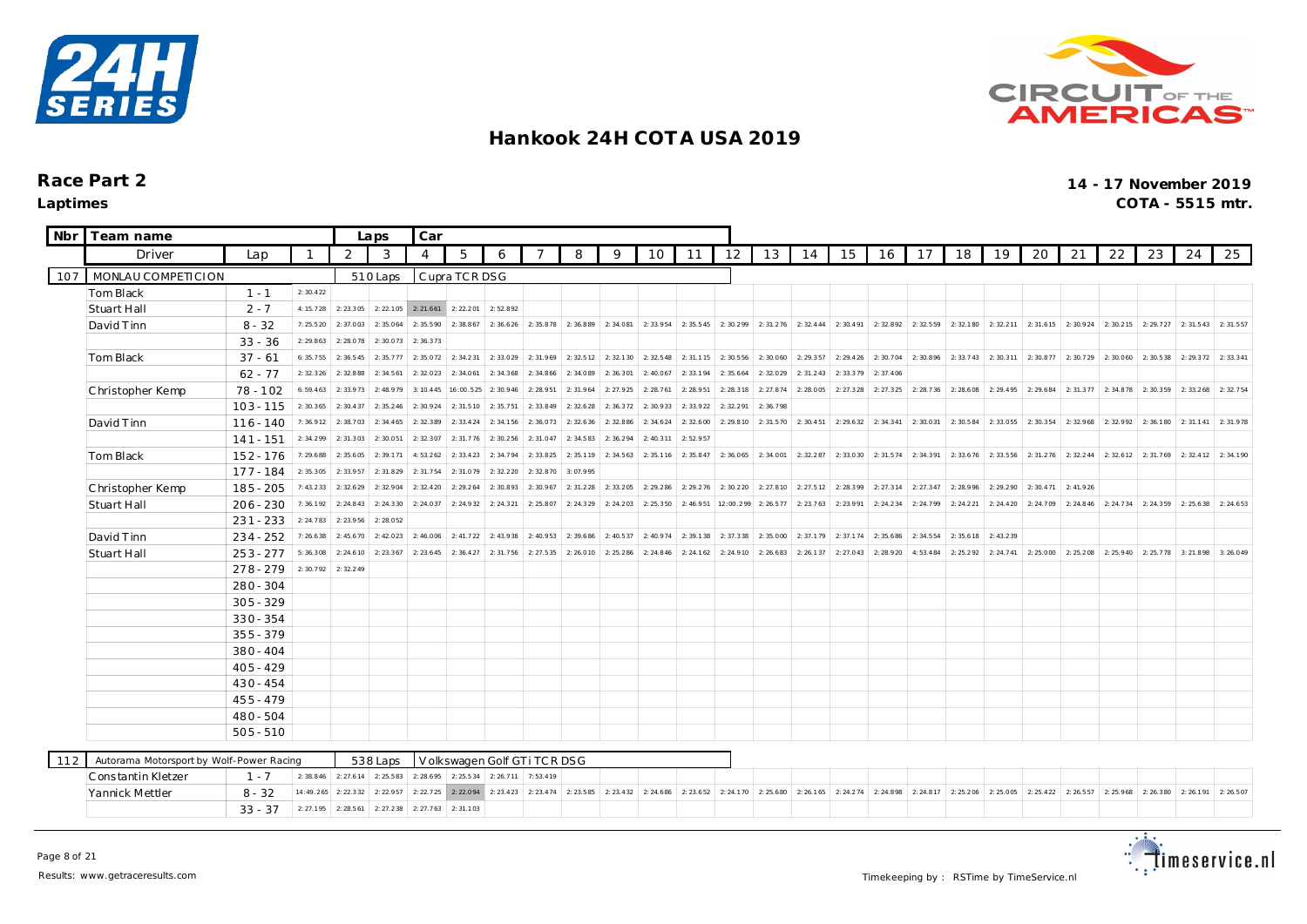



| <b>Nbr</b> | Team name                                |             |              |           | Laps      | Car       |                       |                             |           |           |           |           |           |                       |           |           |           |           |           |           |           |           |           |           |           |           |           |
|------------|------------------------------------------|-------------|--------------|-----------|-----------|-----------|-----------------------|-----------------------------|-----------|-----------|-----------|-----------|-----------|-----------------------|-----------|-----------|-----------|-----------|-----------|-----------|-----------|-----------|-----------|-----------|-----------|-----------|-----------|
|            | Driver                                   | Lap         | $\mathbf{1}$ | 2         | 3         | 4         | 5                     | 6                           |           | 8         | 9         | 10        | 11        | 12                    | 13        | 14        | 15        | 16        | 17        | 18 I      | 19        | 20        | 21        | 22        | 23        | 24        | 25        |
| 107        | MONLAU COMPETICION                       |             |              |           | 510 Laps  |           | Cupra TCR DSG         |                             |           |           |           |           |           |                       |           |           |           |           |           |           |           |           |           |           |           |           |           |
|            | Tom Black                                | $1 - 1$     | 2:30.422     |           |           |           |                       |                             |           |           |           |           |           |                       |           |           |           |           |           |           |           |           |           |           |           |           |           |
|            | Stuart Hall                              | $2 - 7$     | 4:15.728     | 2:23.305  | 2: 22.105 | 2: 21.661 | 2:22.201              | 2:52.892                    |           |           |           |           |           |                       |           |           |           |           |           |           |           |           |           |           |           |           |           |
|            | David Tinn                               | $8 - 32$    | 7:25.520     | 2:37.003  | 2:35.064  | 2:35.590  | 2:38.867              | 2: 36.626                   | 2:35.878  | 2:36.889  | 2:34.081  | 2:33.954  | 2: 35.545 | 2:30.299              | 2: 31.276 | 2: 32.444 | 2:30.491  | 2:32.892  | 2:32.559  | 2:32.180  | 2:32.211  | 2: 31.615 | 2:30.924  | 2:30.215  | 2: 29.727 | 2:31.543  | 2:31.557  |
|            |                                          | $33 - 36$   | 2: 29.863    | 2:28.078  | 2:30.073  | 2:36.373  |                       |                             |           |           |           |           |           |                       |           |           |           |           |           |           |           |           |           |           |           |           |           |
|            | Tom Black                                | $37 - 61$   | 6:35.755     | 2: 36.545 | 2:35.777  | 2:35.072  | 2:34.231              | 2:33.029                    | 2:31.969  | 2: 32.512 | 2:32.130  | 2:32.548  | 2:31.115  | 2:30.556              | 2:30.060  | 2:29.357  | 2: 29.426 | 2:30.704  | 2:30.896  | 2: 33.743 | 2: 30.311 | 2:30.877  | 2:30.729  | 2:30.060  | 2:30.538  | 2:29.372  | 2:33.341  |
|            |                                          | $62 - 77$   | 2: 32.326    | 2:32.888  | 2: 34.561 | 2:32.023  | 2: 34.061             | 2:34.368                    | 2:34.866  | 2:34.089  | 2: 36.301 | 2:40.067  | 2:33.194  | 2: 35.664             | 2:32.029  | 2: 31.243 | 2:33.379  | 2: 37.406 |           |           |           |           |           |           |           |           |           |
|            | Christopher Kemp                         | 78 - 102    | 6:59.463     | 2:33.973  | 2:48.979  | 3: 10.445 | 16:00.525             | 2:30.946                    | 2:28.951  | 2:31.964  | 2: 27.925 | 2: 28.761 | 2:28.951  | 2: 28.318             | 2: 27.874 | 2:28.005  | 2: 27.328 | 2: 27.325 | 2: 28.736 | 2:28.608  | 2: 29.495 | 2: 29.684 | 2: 31.377 | 2:34.878  | 2:30.359  | 2: 33.268 | 2:32.754  |
|            |                                          | $103 - 115$ | 2:30.365     | 2:30.437  | 2: 35.246 | 2:30.924  | 2:31.510              | 2:35.751                    | 2:33.849  | 2:32.628  | 2: 36.372 | 2:30.933  | 2: 33.922 | 2: 32.291             | 2:36.798  |           |           |           |           |           |           |           |           |           |           |           |           |
|            | David Tinn                               | $116 - 140$ | 7:36.912     | 2:38.703  | 2: 34.465 | 2:32.389  | 2: 33.424             | 2:34.156                    | 2:36.073  | 2: 32.636 | 2:32.886  | 2: 34.624 | 2:32.600  | 2: 29.810             | 2:31.570  | 2:30.451  | 2: 29.632 | 2:34.341  | 2:30.031  | 2:30.584  | 2:33.055  | 2:30.354  | 2:32.968  | 2:32.992  | 2:36.180  | 2:31.141  | 2:31.978  |
|            |                                          | $141 - 151$ | 2:34.299     | 2:31.303  | 2:30.051  | 2: 32.307 | 2:31.776              | 2:30.256                    | 2:31.047  | 2:34.583  | 2:36.294  | 2: 40.311 | 2:52.957  |                       |           |           |           |           |           |           |           |           |           |           |           |           |           |
|            | Tom Black                                | $152 - 176$ | 7:29.688     | 2:35.605  | 2:39.171  | 4:53.262  | 2: 33.423             | 2:34.794                    | 2:33.825  | 2:35.119  | 2: 34.563 | 2:35.116  | 2:35.847  | 2:36.065              | 2:34.001  | 2:32.287  | 2:33.030  | 2:31.574  | 2: 34.391 | 2: 33.676 | 2: 33.556 | 2: 31.276 | 2: 32.244 | 2: 32.612 | 2: 31.769 | 2: 32.412 | 2:34.190  |
|            |                                          | $177 - 184$ | 2:35.305     | 2:33.957  | 2:31.829  | 2:31.754  | 2:31.079              | 2:32.220                    | 2:32.870  | 3:07.995  |           |           |           |                       |           |           |           |           |           |           |           |           |           |           |           |           |           |
|            | Christopher Kemp                         | $185 - 205$ | 7:43.233     | 2:32.629  | 2:32.904  | 2: 32.420 | 2: 29.264             | 2:30.893                    | 2:30.967  | 2:31.228  | 2:33.205  | 2: 29.286 | 2: 29.276 | 2:30.220              | 2: 27.810 | 2: 27.512 | 2:28.399  | 2: 27.314 | 2: 27.347 | 2:28.996  | 2: 29.290 | 2:30.471  | 2:41.926  |           |           |           |           |
|            | Stuart Hall                              | $206 - 230$ | 7:36.192     | 2:24.843  | 2: 24.330 | 2: 24.037 | 2: 24.932             | 2: 24.321                   | 2:25.807  | 2: 24.329 | 2: 24.203 | 2: 25.350 | 2:46.951  | 12:00.299             | 2: 26.577 | 2: 23.763 | 2:23.991  | 2: 24.234 | 2:24.799  | 2: 24.221 | 2: 24.420 | 2: 24.709 | 2: 24.846 | 2: 24.734 | 2:24.359  | 2: 25.638 | 2: 24.653 |
|            |                                          | $231 - 233$ | 2: 24.783    | 2:23.956  | 2:28.052  |           |                       |                             |           |           |           |           |           |                       |           |           |           |           |           |           |           |           |           |           |           |           |           |
|            | David Tinn                               | $234 - 252$ | 7:26.638     | 2:45.670  | 2:42.023  | 2:46.006  | 2: 41.722             | 2: 43.938                   | 2:40.953  | 2:39.686  | 2: 40.537 | 2:40.974  | 2:39.138  | 2:37.338              | 2:35.000  | 2: 37.179 | 2: 37.174 | 2: 35.686 | 2: 34.554 | 2: 35.618 | 2: 43.239 |           |           |           |           |           |           |
|            | Stuart Hall                              | $253 - 277$ | 5:36.308     | 2: 24.610 | 2: 23.367 | 2: 23.645 | 2: 36.427             | 2: 31.756                   | 2: 27.535 | 2:26.010  | 2: 25.286 | 2: 24.846 | 2: 24.162 | 2: 24.910             | 2:26.683  | 2:26.137  | 2: 27.043 | 2:28.920  | 4:53.484  | 2:25.292  | 2: 24.741 | 2:25.000  | 2:25.208  | 2: 25.940 | 2:25.778  | 3:21.898  | 3:26.049  |
|            |                                          | $278 - 279$ | 2:30.792     | 2: 32.249 |           |           |                       |                             |           |           |           |           |           |                       |           |           |           |           |           |           |           |           |           |           |           |           |           |
|            |                                          | $280 - 304$ |              |           |           |           |                       |                             |           |           |           |           |           |                       |           |           |           |           |           |           |           |           |           |           |           |           |           |
|            |                                          | $305 - 329$ |              |           |           |           |                       |                             |           |           |           |           |           |                       |           |           |           |           |           |           |           |           |           |           |           |           |           |
|            |                                          | $330 - 354$ |              |           |           |           |                       |                             |           |           |           |           |           |                       |           |           |           |           |           |           |           |           |           |           |           |           |           |
|            |                                          | $355 - 379$ |              |           |           |           |                       |                             |           |           |           |           |           |                       |           |           |           |           |           |           |           |           |           |           |           |           |           |
|            |                                          | $380 - 404$ |              |           |           |           |                       |                             |           |           |           |           |           |                       |           |           |           |           |           |           |           |           |           |           |           |           |           |
|            |                                          | $405 - 429$ |              |           |           |           |                       |                             |           |           |           |           |           |                       |           |           |           |           |           |           |           |           |           |           |           |           |           |
|            |                                          | $430 - 454$ |              |           |           |           |                       |                             |           |           |           |           |           |                       |           |           |           |           |           |           |           |           |           |           |           |           |           |
|            |                                          | $455 - 479$ |              |           |           |           |                       |                             |           |           |           |           |           |                       |           |           |           |           |           |           |           |           |           |           |           |           |           |
|            |                                          | 480 - 504   |              |           |           |           |                       |                             |           |           |           |           |           |                       |           |           |           |           |           |           |           |           |           |           |           |           |           |
|            |                                          | $505 - 510$ |              |           |           |           |                       |                             |           |           |           |           |           |                       |           |           |           |           |           |           |           |           |           |           |           |           |           |
|            |                                          |             |              |           | 538 Laps  |           |                       | Volkswagen Golf GTi TCR DSG |           |           |           |           |           |                       |           |           |           |           |           |           |           |           |           |           |           |           |           |
| 112        | Autorama Motorsport by Wolf-Power Racing | $1 - 7$     | 2: 38.846    | 2: 27.614 | 2:25.583  |           | $2: 28.695$ 2: 25.534 | 2: 26.711                   | 7:53.419  |           |           |           |           |                       |           |           |           |           |           |           |           |           |           |           |           |           |           |
|            | Constantin Kletzer<br>Yannick Mettler    | $8 - 32$    | 14:49.265    | 2: 22.332 | 2: 22.957 | 2: 22.725 | 2:22.094              | 2: 23.423                   | 2: 23.474 | 2: 23.585 | 2: 23.432 | 2: 24.686 | 2:23.652  | $2: 24.170$ 2: 25.680 |           | 2: 26.165 | 2:24.274  | 2:24.898  | 2: 24.817 | 2: 25.206 | 2:25.005  | 2: 25.422 | 2:26.557  | 2:25.968  | 2:26.380  | 2:26.191  | 2:26.507  |
|            |                                          | $33 - 37$   | 2: 27.195    | 2: 28.561 | 2: 27.238 | 2: 27.763 | 2:31.103              |                             |           |           |           |           |           |                       |           |           |           |           |           |           |           |           |           |           |           |           |           |
|            |                                          |             |              |           |           |           |                       |                             |           |           |           |           |           |                       |           |           |           |           |           |           |           |           |           |           |           |           |           |

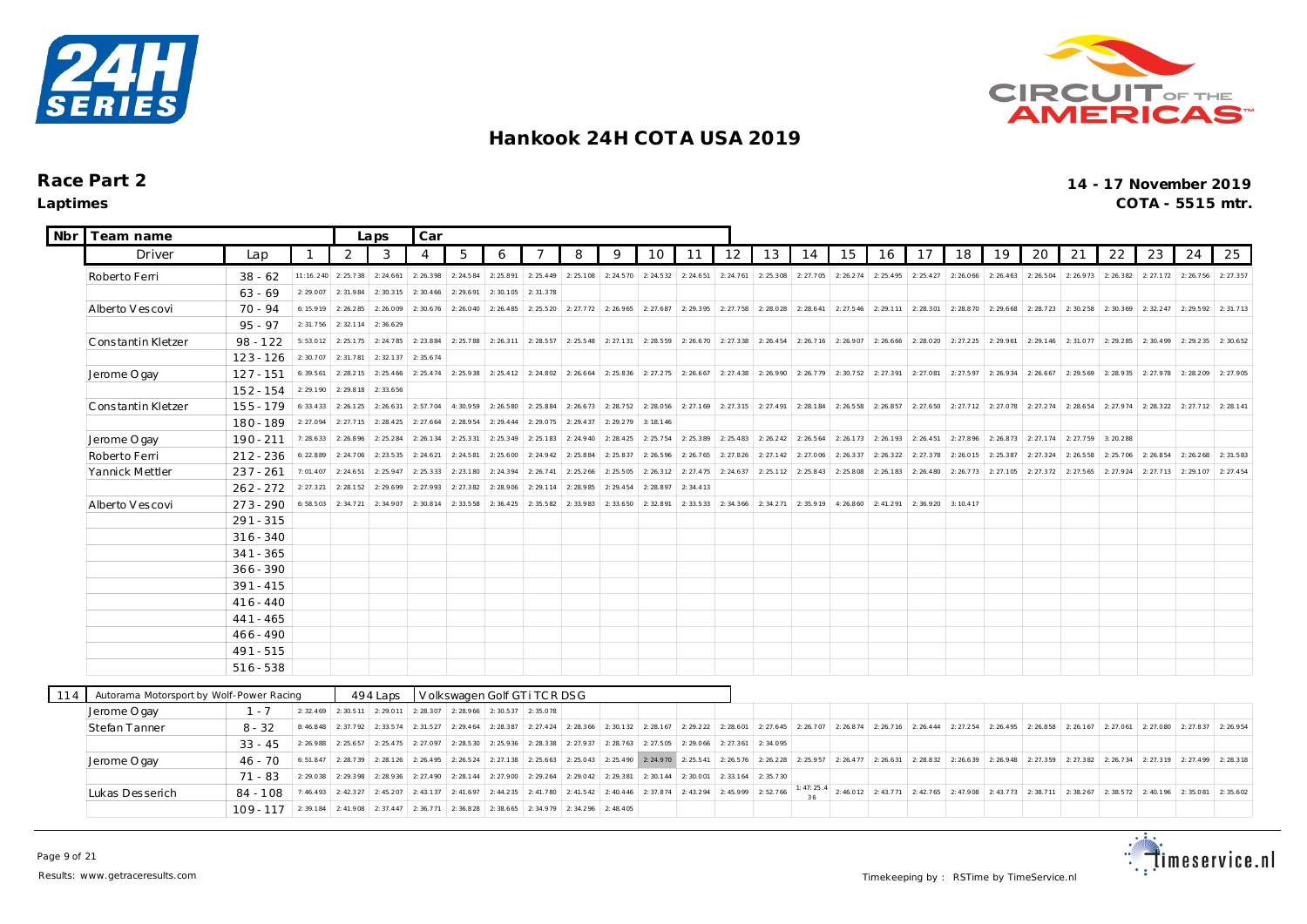



| <b>Nbr</b> | Team name                                |             | Laps         | Car                           |           |                |           |                               |                           |           |           |           |           |           |                     |                       |           |                       |                     |                               |           |           |                                                   |           |                     |           |           |
|------------|------------------------------------------|-------------|--------------|-------------------------------|-----------|----------------|-----------|-------------------------------|---------------------------|-----------|-----------|-----------|-----------|-----------|---------------------|-----------------------|-----------|-----------------------|---------------------|-------------------------------|-----------|-----------|---------------------------------------------------|-----------|---------------------|-----------|-----------|
|            | Driver                                   | Lap         | $\mathbf{1}$ | 2                             | 3         | $\overline{4}$ | 5         | 6                             | 7                         | 8         | 9         | 10        | 11        | 12        | 13                  | 14                    | 15        | 16                    | 17                  | 18                            | 19        | 20        | 21                                                | 22        | 23                  | 24        | 25        |
|            | Roberto Ferri                            | $38 - 62$   | 11:16.240    | 2:25.738                      | 2: 24.661 | 2: 26.398      | 2: 24.584 | 2:25.891                      | 2: 25.449                 | 2:25.108  | 2: 24.570 | 2:24.532  | 2:24.651  | 2: 24.761 | 2: 25.308           | 2: 27.705             | 2: 26.274 | 2: 25.495             | 2:25.427            | 2:26.066                      | 2: 26.463 | 2:26.504  | 2: 26.973                                         | 2:26.382  | 2: 27.172           | 2: 26.756 | 2: 27.357 |
|            |                                          | $63 - 69$   | 2:29.007     | 2:31.984                      | 2:30.315  | 2: 30.466      | 2:29.691  | 2:30.105                      | 2: 31.378                 |           |           |           |           |           |                     |                       |           |                       |                     |                               |           |           |                                                   |           |                     |           |           |
|            | Alberto V es covi                        | 70 - 94     | 6:15.919     | 2:26.285                      | 2:26.009  | 2:30.676       | 2:26.040  | 2: 26.485                     | 2:25.520                  | 2: 27.772 | 2:26.965  | 2: 27.687 | 2:29.395  | 2: 27.758 | 2:28.028            | 2: 28.641             | 2: 27.546 | 2: 29.111             | 2:28.301            | 2:28.870                      | 2:29.668  | 2: 28.723 | 2:30.258                                          | 2:30.369  | 2: 32.247           | 2:29.592  | 2:31.713  |
|            |                                          | $95 - 97$   | 2:31.756     | 2:32.114                      | 2:36.629  |                |           |                               |                           |           |           |           |           |           |                     |                       |           |                       |                     |                               |           |           |                                                   |           |                     |           |           |
|            | Constantin Kletzer                       | $98 - 122$  | 5:53.012     | 2:25.175                      | 2:24.785  | 2: 23.884      | 2:25.788  | 2: 26.311                     | 2:28.557                  | 2:25.548  | 2: 27.131 | 2:28.559  | 2: 26.670 | 2: 27.338 | 2: 26.454           | 2:26.716              | 2:26.907  | 2: 26.666             | 2:28.020            | 2: 27.225                     | 2: 29.961 | 2: 29.146 | 2:31.077                                          | 2:29.285  | 2:30.499            | 2: 29.235 | 2:30.652  |
|            |                                          | $123 - 126$ | 2:30.707     | 2:31.781                      | 2: 32.137 | 2: 35.674      |           |                               |                           |           |           |           |           |           |                     |                       |           |                       |                     |                               |           |           |                                                   |           |                     |           |           |
|            | Jerome O gay                             | $127 - 151$ | 6:39.561     | 2:28.215                      | 2: 25.466 | 2: 25.474      | 2:25.938  | 2: 25.412                     | 2: 24.802                 | 2: 26.664 | 2: 25.836 | 2: 27.275 | 2: 26.667 | 2: 27.438 | 2: 26.990           | 2:26.779              | 2:30.752  | 2:27.391              | 2:27.081            | 2:27.597                      | 2:26.934  | 2:26.667  | 2: 29.569                                         | 2:28.935  | 2: 27.978           | 2:28.209  | 2:27.905  |
|            |                                          | $152 - 154$ | 2: 29.190    | 2:29.818                      | 2: 33.656 |                |           |                               |                           |           |           |           |           |           |                     |                       |           |                       |                     |                               |           |           |                                                   |           |                     |           |           |
|            | Constantin Kletzer                       | $155 - 179$ | 6: 33.433    | 2: 26.125                     | 2: 26.631 | 2:57.704       | 4:30.959  | 2:26.580                      | 2: 25.884                 | 2: 26.673 | 2: 28.752 | 2:28.056  | 2:27.169  | 2:27.315  | 2: 27.491           | 2:28.184              | 2: 26.558 | 2: 26.857             | 2: 27.650           | 2: 27.712                     | 2:27.078  | 2: 27.274 | 2:28.654                                          | 2: 27.974 | 2: 28.322           | 2: 27.712 | 2: 28.141 |
|            |                                          | 180 - 189   | 2:27.094     | 2: 27.715                     | 2:28.425  | 2: 27.664      | 2:28.954  | 2: 29.444                     | 2: 29.075                 | 2:29.437  | 2: 29.279 | 3: 18.146 |           |           |                     |                       |           |                       |                     |                               |           |           |                                                   |           |                     |           |           |
|            | Jerome O gay                             | $190 - 211$ | 7:28.633     | 2:26.896                      | 2: 25.284 | 2: 26.134      | 2: 25.331 | 2:25.349                      | 2: 25.183                 | 2:24.940  | 2: 28.425 | 2: 25.754 | 2:25.389  | 2: 25.483 | 2: 26.242 2: 26.564 |                       |           | 2: 26.173 2: 26.193   | 2: 26.451           | 2:27.896                      | 2:26.873  | 2: 27.174 | 2: 27.759                                         | 3:20.288  |                     |           |           |
|            | Roberto Ferri                            | $212 - 236$ | 6:22.889     | 2:24.706                      | 2: 23.535 | 2: 24.621      | 2: 24.581 | 2:25.600                      | 2: 24.942                 | 2:25.884  | 2: 25.837 | 2: 26.596 | 2: 26.765 | 2:27.826  | 2: 27.142           | 2:27.006              | 2: 26.337 | 2:26.322              | 2: 27.378           | 2:26.015                      | 2:25.387  | 2: 27.324 | 2:26.558                                          | 2:25.706  | 2:26.854            | 2: 26.268 | 2:31.583  |
|            | Yannick Mettler                          | $237 - 261$ | 7:01.407     | 2:24.651                      | 2: 25.947 | 2:25.333       | 2: 23.180 | 2:24.394                      | 2: 26.741                 | 2: 25.266 | 2: 25.505 | 2: 26.312 | 2: 27.475 | 2: 24.637 | 2: 25.112           | 2:25.843              | 2:25.808  | 2: 26.183             | 2: 26.480           | 2:26.773                      | 2: 27.105 | 2: 27.372 | 2: 27.565                                         | 2:27.924  | 2: 27.713 2: 29.107 |           | 2: 27.454 |
|            |                                          | $262 - 272$ | 2: 27.321    | 2: 28.152                     | 2: 29.699 | 2:27.993       | 2: 27.382 | 2:28.906                      | 2: 29.114                 | 2:28.985  | 2: 29.454 | 2: 28.897 | 2: 34.413 |           |                     |                       |           |                       |                     |                               |           |           |                                                   |           |                     |           |           |
|            | Alberto V escovi                         | $273 - 290$ | 6:58.503     | 2: 34.721                     | 2:34.907  | 2:30.814       | 2:33.558  | 2: 36.425                     | 2:35.582                  | 2:33.983  | 2: 33.650 | 2:32.891  | 2: 33.533 | 2: 34.366 | 2:34.271            | 2:35.919              |           | 4: 26.860 2: 41.291   | 2:36.920            | 3:10.417                      |           |           |                                                   |           |                     |           |           |
|            |                                          | $291 - 315$ |              |                               |           |                |           |                               |                           |           |           |           |           |           |                     |                       |           |                       |                     |                               |           |           |                                                   |           |                     |           |           |
|            |                                          | $316 - 340$ |              |                               |           |                |           |                               |                           |           |           |           |           |           |                     |                       |           |                       |                     |                               |           |           |                                                   |           |                     |           |           |
|            |                                          | $341 - 365$ |              |                               |           |                |           |                               |                           |           |           |           |           |           |                     |                       |           |                       |                     |                               |           |           |                                                   |           |                     |           |           |
|            |                                          | $366 - 390$ |              |                               |           |                |           |                               |                           |           |           |           |           |           |                     |                       |           |                       |                     |                               |           |           |                                                   |           |                     |           |           |
|            |                                          | $391 - 415$ |              |                               |           |                |           |                               |                           |           |           |           |           |           |                     |                       |           |                       |                     |                               |           |           |                                                   |           |                     |           |           |
|            |                                          | $416 - 440$ |              |                               |           |                |           |                               |                           |           |           |           |           |           |                     |                       |           |                       |                     |                               |           |           |                                                   |           |                     |           |           |
|            |                                          | $441 - 465$ |              |                               |           |                |           |                               |                           |           |           |           |           |           |                     |                       |           |                       |                     |                               |           |           |                                                   |           |                     |           |           |
|            |                                          | $466 - 490$ |              |                               |           |                |           |                               |                           |           |           |           |           |           |                     |                       |           |                       |                     |                               |           |           |                                                   |           |                     |           |           |
|            |                                          | $491 - 515$ |              |                               |           |                |           |                               |                           |           |           |           |           |           |                     |                       |           |                       |                     |                               |           |           |                                                   |           |                     |           |           |
|            |                                          | $516 - 538$ |              |                               |           |                |           |                               |                           |           |           |           |           |           |                     |                       |           |                       |                     |                               |           |           |                                                   |           |                     |           |           |
| 114        | Autorama Motorsport by Wolf-Power Racing |             |              |                               | 494 Laps  |                |           |                               | Volkswagen Golf GTiTCRDSG |           |           |           |           |           |                     |                       |           |                       |                     |                               |           |           |                                                   |           |                     |           |           |
|            | Jerome O gay                             | $1 - 7$     |              | 2: 32.469 2: 30.511 2: 29.011 |           | 2:28.307       |           | 2: 28.966 2: 30.537 2: 35.078 |                           |           |           |           |           |           |                     |                       |           |                       |                     |                               |           |           |                                                   |           |                     |           |           |
|            | Stefan Tanner                            | $8 - 32$    | 8:46.848     | 2:37.792                      | 2:33.574  | 2: 31.527      | 2: 29.464 | 2:28.387                      | 2: 27.424                 | 2:28.366  | 2:30.132  | 2: 28.167 | 2:29.222  | 2:28.601  |                     | $2: 27.645$ 2: 26.707 |           | 2: 26.874 2: 26.716   | 2: 26.444 2: 27.254 |                               | 2:26.495  | 2:26.858  | 2: 26.167 2: 27.061                               |           | 2: 27.080 2: 27.837 |           | 2:26.954  |
|            |                                          | $33 - 45$   | 2:26.988     | 2: 25.657                     | 2: 25.475 | 2:27.097       | 2: 28.530 | 2:25.936                      | 2: 28.338                 | 2:27.937  | 2: 28.763 | 2: 27.505 | 2: 29.066 | 2: 27.361 | 2:34.095            |                       |           |                       |                     |                               |           |           |                                                   |           |                     |           |           |
|            | Jerome O gay                             | $46 - 70$   | 6:51.847     | 2:28.739                      | 2: 28.126 | 2: 26.495      | 2: 26.524 | 2: 27.138                     | 2: 25.663                 | 2:25.043  | 2: 25.490 | 2: 24.970 | 2: 25.541 | 2: 26.576 | 2:26.228            | 2:25.957              |           | $2: 26.477$ 2: 26.631 |                     | 2: 28.832 2: 26.639 2: 26.948 |           | 2:27.359  | 2: 27.382 2: 26.734                               |           | 2: 27.319 2: 27.499 |           | 2:28.318  |
|            |                                          | $71 - 83$   | 2:29.038     | 2:29.398                      | 2: 28.936 | 2: 27.490      | 2: 28.144 | 2:27.900                      | 2: 29.264                 | 2:29.042  | 2: 29.381 | 2:30.144  | 2:30.001  | 2: 33.164 | 2: 35.730           |                       |           |                       |                     |                               |           |           |                                                   |           |                     |           |           |
|            | Lukas Desserich                          | $84 - 108$  | 7:46.493     | 2: 42.327                     | 2:45.207  | 2: 43.137      | 2: 41.697 | 2: 44.235                     | 2: 41.780                 | 2: 41.542 | 2: 40.446 | 2: 37.874 | 2:43.294  | 2:45.999  | 2:52.766            | : 47:25.4             |           | $2:46.012$ 2:43.771   |                     | 2: 42.765 2: 47.908 2: 43.773 |           |           | 2: 38.711 2: 38.267 2: 38.572 2: 40.196 2: 35.081 |           |                     |           | 2: 35.602 |
|            |                                          | $109 - 117$ | 2:39.184     | 2:41.908                      | 2: 37.447 | 2:36.771       | 2:36.828  | 2:38.665                      | 2:34.979                  | 2:34.296  | 2:48.405  |           |           |           |                     |                       |           |                       |                     |                               |           |           |                                                   |           |                     |           |           |
|            |                                          |             |              |                               |           |                |           |                               |                           |           |           |           |           |           |                     |                       |           |                       |                     |                               |           |           |                                                   |           |                     |           |           |

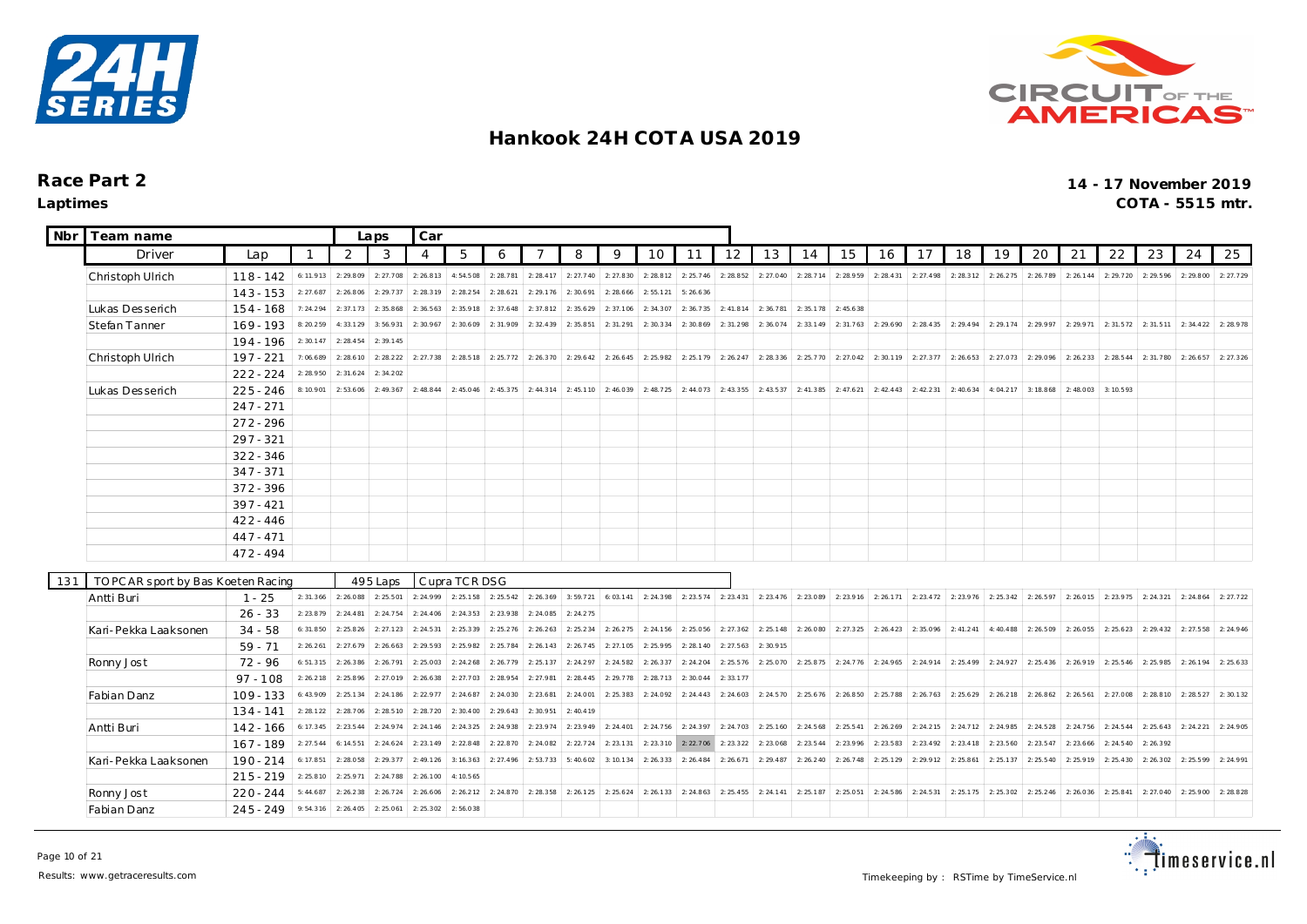



| <b>Nbr</b> | Team name                           |                       |           |                       | Laps      | Car       |               |           |           |           |           |                       |                               |           |           |                                                                                 |                                                   |                       |                       |                       |           |           |           |           |           |           |           |
|------------|-------------------------------------|-----------------------|-----------|-----------------------|-----------|-----------|---------------|-----------|-----------|-----------|-----------|-----------------------|-------------------------------|-----------|-----------|---------------------------------------------------------------------------------|---------------------------------------------------|-----------------------|-----------------------|-----------------------|-----------|-----------|-----------|-----------|-----------|-----------|-----------|
|            | Driver                              | Lap                   |           | 2                     | 3         | -4        | 5             | 6         |           | 8         | 9         | 10                    | 11                            | 12        | 13        | 14                                                                              | 15                                                | 16                    | 17                    | 18                    | 19        | 20        | 21        | 22        | 23        | 24        | 25        |
|            | Christoph Ulrich                    | $118 - 142$           | 6: 11.913 | 2: 29.809             | 2:27.708  | 2: 26.813 | 4:54.508      | 2:28.781  | 2: 28.417 | 2: 27.740 | 2:27.830  | 2:28.812              | 2: 25.746                     | 2: 28.852 | 2: 27.040 | 2:28.714                                                                        | 2:28.959                                          | 2: 28.431             | 2: 27.498             | 2: 28.312             | 2: 26.275 | 2:26.789  | 2: 26.144 | 2: 29.720 | 2: 29.596 | 2:29.800  | 2: 27.729 |
|            |                                     | $143 - 153$           | 2: 27.687 | 2:26.806              | 2: 29.737 | 2:28.319  | 2: 28.254     | 2: 28.621 | 2: 29.176 | 2:30.691  | 2: 28.666 | 2: 55.121             | 5:26.636                      |           |           |                                                                                 |                                                   |                       |                       |                       |           |           |           |           |           |           |           |
|            | Lukas Desserich                     | $154 - 168$           | 7:24.294  | 2:37.173              | 2:35.868  | 2: 36.563 | 2:35.918      | 2: 37.648 | 2:37.812  | 2:35.629  | 2:37.106  | 2:34.307              | 2:36.735                      | 2:41.814  | 2:36.781  | 2:35.178                                                                        | 2:45.638                                          |                       |                       |                       |           |           |           |           |           |           |           |
|            | <b>Stefan Tanner</b>                | $169 - 193$           | 8:20.259  | 4:33.129              | 3:56.931  | 2:30.967  | 2:30.609      | 2:31.909  | 2:32.439  | 2:35.851  | 2:31.291  | 2:30.334              | 2:30.869                      | 2:31.298  | 2:36.074  | 2:33.149                                                                        |                                                   | $2: 31.763$ 2: 29.690 | 2: 28.435             | 2:29.494              | 2:29.174  | 2: 29.997 | 2:29.971  | 2:31.572  | 2: 31.511 | 2: 34.422 | 2:28.978  |
|            |                                     | 194 - 196             | 2:30.147  | 2: 28.454             | 2:39.145  |           |               |           |           |           |           |                       |                               |           |           |                                                                                 |                                                   |                       |                       |                       |           |           |           |           |           |           |           |
|            | Christoph Ulrich                    | $197 - 221$           | 7:06.689  | 2:28.610              | 2: 28.222 | 2: 27.738 | 2:28.518      | 2: 25.772 | 2: 26.370 | 2: 29.642 | 2: 26.645 | 2:25.982              | 2:25.179                      | 2: 26.247 | 2:28.336  | 2:25.770                                                                        |                                                   | 2: 27.042 2: 30.119   | $2: 27.377$ 2: 26.653 |                       | 2:27.073  | 2:29.096  | 2: 26.233 | 2: 28.544 | 2:31.780  | 2: 26.657 | 2: 27.326 |
|            |                                     | $222 - 224$           | 2:28.950  | 2: 31.624             | 2: 34.202 |           |               |           |           |           |           |                       |                               |           |           |                                                                                 |                                                   |                       |                       |                       |           |           |           |           |           |           |           |
|            | Lukas Desserich                     | $225 - 246$           | 8:10.901  | 2:53.606              | 2: 49.367 | 2: 48.844 | 2: 45.046     | 2:45.375  | 2: 44.314 | 2:45.110  | 2:46.039  | 2:48.725              | 2:44.073                      |           |           | 2: 43.355 2: 43.537 2: 41.385                                                   |                                                   | $2: 47.621$ 2: 42.443 | 2: 42.231             | 2: 40.634             | 4:04.217  | 3:18.868  | 2:48.003  | 3:10.593  |           |           |           |
|            |                                     | $247 - 271$           |           |                       |           |           |               |           |           |           |           |                       |                               |           |           |                                                                                 |                                                   |                       |                       |                       |           |           |           |           |           |           |           |
|            |                                     | $272 - 296$           |           |                       |           |           |               |           |           |           |           |                       |                               |           |           |                                                                                 |                                                   |                       |                       |                       |           |           |           |           |           |           |           |
|            |                                     | $297 - 321$           |           |                       |           |           |               |           |           |           |           |                       |                               |           |           |                                                                                 |                                                   |                       |                       |                       |           |           |           |           |           |           |           |
|            |                                     | $322 - 346$           |           |                       |           |           |               |           |           |           |           |                       |                               |           |           |                                                                                 |                                                   |                       |                       |                       |           |           |           |           |           |           |           |
|            |                                     | $347 - 371$           |           |                       |           |           |               |           |           |           |           |                       |                               |           |           |                                                                                 |                                                   |                       |                       |                       |           |           |           |           |           |           |           |
|            |                                     | $372 - 396$           |           |                       |           |           |               |           |           |           |           |                       |                               |           |           |                                                                                 |                                                   |                       |                       |                       |           |           |           |           |           |           |           |
|            |                                     | $397 - 421$           |           |                       |           |           |               |           |           |           |           |                       |                               |           |           |                                                                                 |                                                   |                       |                       |                       |           |           |           |           |           |           |           |
|            |                                     | $422 - 446$           |           |                       |           |           |               |           |           |           |           |                       |                               |           |           |                                                                                 |                                                   |                       |                       |                       |           |           |           |           |           |           |           |
|            |                                     | $447 - 471$           |           |                       |           |           |               |           |           |           |           |                       |                               |           |           |                                                                                 |                                                   |                       |                       |                       |           |           |           |           |           |           |           |
|            |                                     | $472 - 494$           |           |                       |           |           |               |           |           |           |           |                       |                               |           |           |                                                                                 |                                                   |                       |                       |                       |           |           |           |           |           |           |           |
| 131        | TO PC AR sport by Bas Koeten Racing |                       |           |                       | 495 Laps  |           | Cupra TCR DSG |           |           |           |           |                       |                               |           |           |                                                                                 |                                                   |                       |                       |                       |           |           |           |           |           |           |           |
|            | Antti Buri                          | $1 - 25$              |           | $2: 31.366$ 2: 26.088 | 2: 25.501 | 2: 24.999 | 2: 25.158     | 2:25.542  | 2: 26.369 | 3:59.721  |           |                       | 6: 03.141 2: 24.398 2: 23.574 |           |           | 2: 23.431 2: 23.476 2: 23.089 2: 23.916 2: 26.171 2: 23.472 2: 23.976 2: 25.342 |                                                   |                       |                       |                       |           | 2: 26.597 | 2:26.015  | 2:23.975  | 2: 24.321 | 2:24.864  | 2: 27.722 |
|            |                                     | $26 - 33$             | 2: 23.879 | 2: 24.481             | 2: 24.754 | 2: 24.406 | 2: 24.353     | 2:23.938  | 2:24.085  | 2: 24.275 |           |                       |                               |           |           |                                                                                 |                                                   |                       |                       |                       |           |           |           |           |           |           |           |
|            | Kari-Pekka Laaksonen                | $34 - 58$             | 6:31.850  | 2: 25.826             | 2: 27.123 | 2: 24.531 | 2: 25.339     | 2: 25.276 | 2: 26.263 | 2: 25.234 | 2: 26.275 | 2:24.156              | 2:25.056                      | 2: 27.362 | 2: 25.148 | 2:26.080                                                                        | $2: 27.325$ 2: 26.423                             |                       | 2:35.096              | 2: 41.241             | 4:40.488  | 2:26.509  | 2:26.055  | 2: 25.623 | 2: 29.432 | 2:27.558  | 2: 24.946 |
|            |                                     | $59 - 71$             | 2: 26.261 | 2: 27.679             | 2: 26.663 | 2: 29.593 | 2:25.982      | 2:25.784  | 2: 26.143 | 2: 26.745 | 2: 27.105 | 2:25.995              | 2:28.140                      | 2: 27.563 | 2:30.915  |                                                                                 |                                                   |                       |                       |                       |           |           |           |           |           |           |           |
|            | Ronny Jost                          | $72 - 96$             | 6: 51.315 | 2: 26.386             | 2: 26.791 | 2:25.003  | 2: 24.268     | 2:26.779  | 2: 25.137 | 2: 24.297 | 2: 24.582 | 2: 26.337             | 2: 24.204                     | 2: 25.576 | 2: 25.070 | 2: 25.875                                                                       |                                                   | $2: 24.776$ 2:24.965  | $2: 24.914$ 2:25.499  |                       | 2: 24.927 | 2: 25.436 | 2: 26.919 | 2: 25.546 | 2:25.985  | 2: 26.194 | 2: 25.633 |
|            |                                     | $97 - 108$            | 2:26.218  | 2:25.896              | 2:27.019  | 2: 26.638 | 2: 27.703     | 2:28.954  | 2:27.981  | 2: 28.445 | 2: 29.778 | 2:28.713              | 2:30.044                      | 2: 33.177 |           |                                                                                 |                                                   |                       |                       |                       |           |           |           |           |           |           |           |
|            | Fabian Danz                         | $109 - 133$           | 6: 43.909 | 2:25.134              | 2: 24.186 | 2: 22.977 | 2: 24.687     | 2: 24.030 | 2: 23.681 | 2: 24.001 |           | $2: 25.383$ 2: 24.092 | 2:24.443                      |           |           | $2: 24.603$ 2: 24.570 2: 25.676                                                 | 2: 26.850 2: 25.788 2: 26.763 2: 25.629 2: 26.218 |                       |                       |                       |           | 2: 26.862 | 2: 26.561 | 2:27.008  | 2:28.810  | 2:28.527  | 2:30.132  |
|            |                                     | $134 - 141$           | 2: 28.122 | 2:28.706              | 2:28.510  | 2: 28.720 | 2:30.400      | 2: 29.643 | 2:30.951  | 2: 40.419 |           |                       |                               |           |           |                                                                                 |                                                   |                       |                       |                       |           |           |           |           |           |           |           |
|            | Antti Buri                          | $142 - 166$           | 6: 17.345 | 2:23.544              | 2: 24.974 | 2: 24.146 | 2: 24.325     | 2:24.938  | 2: 23.974 | 2:23.949  | 2: 24.401 |                       | 2: 24.756 2: 24.397           |           |           | 2: 24.703 2: 25.160 2: 24.568                                                   |                                                   | $2: 25.541$ 2: 26.269 |                       | $2: 24.215$ 2: 24.712 | 2:24.985  | 2: 24.528 | 2: 24.756 | 2: 24.544 | 2: 25.643 | 2: 24.221 | 2:24.905  |
|            |                                     | $167 - 189$           | 2: 27.544 | 6:14.551              | 2: 24.624 | 2: 23.149 | 2:22.848      | 2:22.870  | 2:24.082  | 2: 22.724 | 2: 23.131 | 2:23.310              | 2:22.706                      | 2: 23.322 | 2:23.068  | 2:23.544                                                                        | 2: 23.996                                         | 2:23.583              | 2:23.492              | 2:23.418              | 2: 23.560 | 2: 23.547 | 2: 23.666 | 2: 24.540 | 2: 26.392 |           |           |
|            | Kari-Pekka Laaksonen                | $190 - 214$           | 6:17.851  | 2:28.058              | 2: 29.377 | 2: 49.126 | 3: 16.363     | 2: 27.496 | 2:53.733  | 5:40.602  | 3:10.134  | 2:26.333              | 2: 26.484                     | 2: 26.671 | 2:29.487  | 2:26.240                                                                        | 2:26.748                                          | 2:25.129              | 2: 29.912             | 2:25.861              | 2:25.137  | 2:25.540  | 2:25.919  | 2: 25.430 | 2: 26.302 | 2:25.599  | 2: 24.991 |
|            |                                     | $215 - 219$ 2: 25.810 |           | 2:25.971              | 2:24.788  | 2:26.100  | 4: 10.565     |           |           |           |           |                       |                               |           |           |                                                                                 |                                                   |                       |                       |                       |           |           |           |           |           |           |           |
|            | Ronny Jost                          | $220 - 244$           | 5:44.687  | 2:26.238              | 2:26.724  | 2:26.606  | 2: 26.212     | 2:24.870  | 2: 28.358 | 2: 26.125 | 2: 25.624 | 2:26.133              | 2:24.863                      | 2: 25.455 | 2:24.141  | 2:25.187                                                                        | 2:25.051                                          | 2: 24.586             | 2: 24.531             | 2:25.175              | 2: 25.302 | 2: 25.246 | 2:26.036  | 2: 25.841 | 2: 27.040 | 2:25.900  | 2: 28.828 |
|            | Fabian Danz                         | $245 - 249$           | 9: 54.316 | 2: 26.405             | 2:25.061  | 2: 25.302 | 2:56.038      |           |           |           |           |                       |                               |           |           |                                                                                 |                                                   |                       |                       |                       |           |           |           |           |           |           |           |

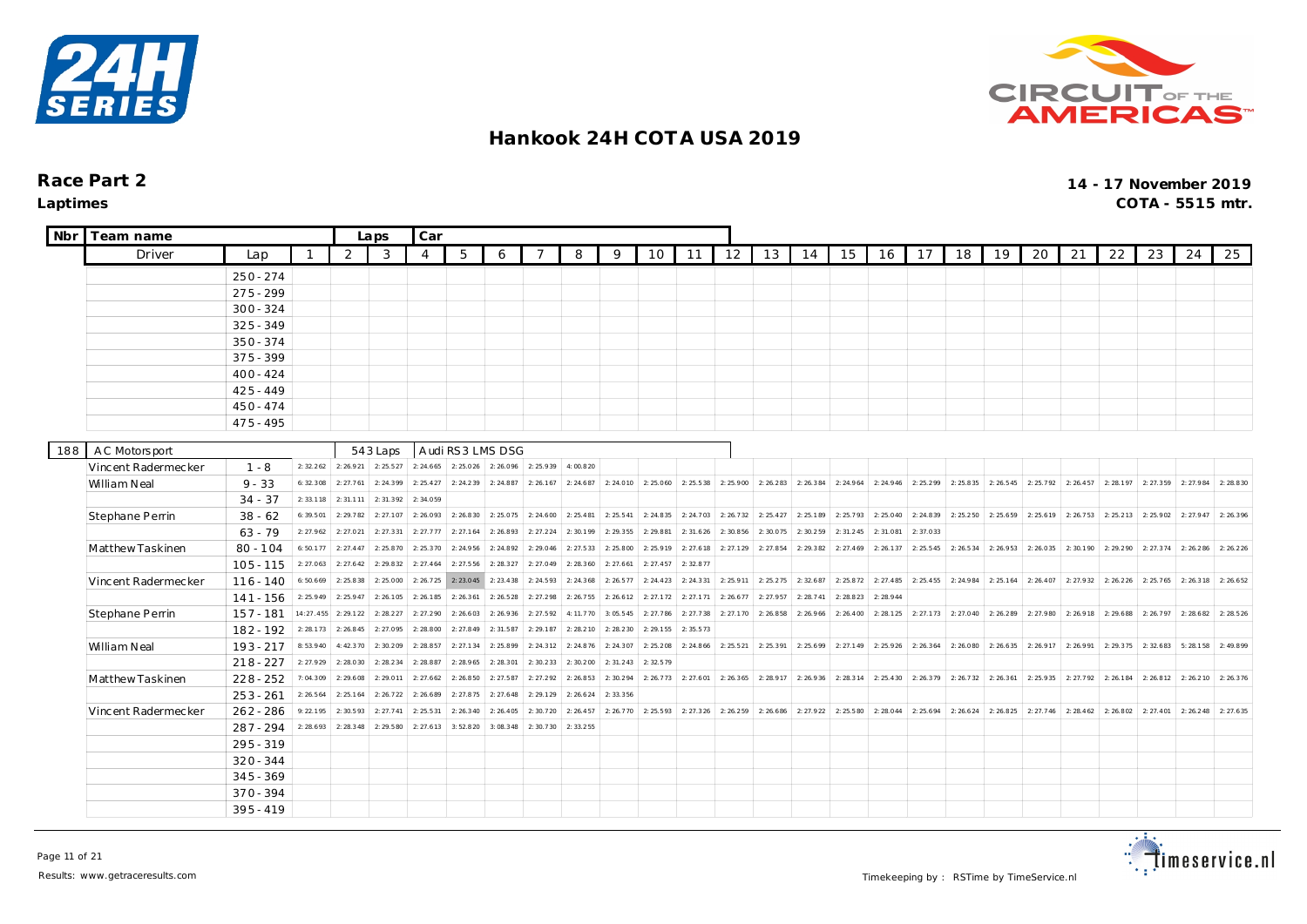



 $\overline{\phantom{a}}$ 

| Nbr | Team name           |             |           |           | Laps      | Car       |                  |           |           |           |           |           |           |           |           |                       |           |                     |           |                               |           |           |           |           |                     |                       |           |
|-----|---------------------|-------------|-----------|-----------|-----------|-----------|------------------|-----------|-----------|-----------|-----------|-----------|-----------|-----------|-----------|-----------------------|-----------|---------------------|-----------|-------------------------------|-----------|-----------|-----------|-----------|---------------------|-----------------------|-----------|
|     | Driver              | Lap         |           | 2         | 3         | 4         | 5                | 6         | 7         | 8         | 9         | 10        | 11        | 12        | 13        | 14                    | 15        | 16                  | 17        | 18                            | 19        | 20        | 21        | 22        | 23                  | 24                    | 25        |
|     |                     | $250 - 274$ |           |           |           |           |                  |           |           |           |           |           |           |           |           |                       |           |                     |           |                               |           |           |           |           |                     |                       |           |
|     |                     | $275 - 299$ |           |           |           |           |                  |           |           |           |           |           |           |           |           |                       |           |                     |           |                               |           |           |           |           |                     |                       |           |
|     |                     | $300 - 324$ |           |           |           |           |                  |           |           |           |           |           |           |           |           |                       |           |                     |           |                               |           |           |           |           |                     |                       |           |
|     |                     | $325 - 349$ |           |           |           |           |                  |           |           |           |           |           |           |           |           |                       |           |                     |           |                               |           |           |           |           |                     |                       |           |
|     |                     | $350 - 374$ |           |           |           |           |                  |           |           |           |           |           |           |           |           |                       |           |                     |           |                               |           |           |           |           |                     |                       |           |
|     |                     | $375 - 399$ |           |           |           |           |                  |           |           |           |           |           |           |           |           |                       |           |                     |           |                               |           |           |           |           |                     |                       |           |
|     |                     | $400 - 424$ |           |           |           |           |                  |           |           |           |           |           |           |           |           |                       |           |                     |           |                               |           |           |           |           |                     |                       |           |
|     |                     | $425 - 449$ |           |           |           |           |                  |           |           |           |           |           |           |           |           |                       |           |                     |           |                               |           |           |           |           |                     |                       |           |
|     |                     | $450 - 474$ |           |           |           |           |                  |           |           |           |           |           |           |           |           |                       |           |                     |           |                               |           |           |           |           |                     |                       |           |
|     |                     | $475 - 495$ |           |           |           |           |                  |           |           |           |           |           |           |           |           |                       |           |                     |           |                               |           |           |           |           |                     |                       |           |
|     |                     |             |           |           |           |           |                  |           |           |           |           |           |           |           |           |                       |           |                     |           |                               |           |           |           |           |                     |                       |           |
| 188 | A C Motors port     |             |           |           | 543 Laps  |           | Audi RS3 LMS DSG |           |           |           |           |           |           |           |           |                       |           |                     |           |                               |           |           |           |           |                     |                       |           |
|     | Vincent Radermecker | $1 - 8$     | 2: 32.262 | 2:26.921  | 2:25.527  | 2: 24.665 | 2:25.026         | 2:26.096  | 2:25.939  | 4:00.820  |           |           |           |           |           |                       |           |                     |           |                               |           |           |           |           |                     |                       |           |
|     | William Neal        | $9 - 33$    | 6:32.308  | 2: 27.761 | 2:24.399  | 2: 25.427 | 2: 24.239        | 2:24.887  | 2:26.167  | 2: 24.687 | 2: 24.010 | 2:25.060  | 2:25.538  | 2:25.900  | 2:26.283  | 2: 26.384             | 2:24.964  | 2:24.946            | 2: 25.299 | 2: 25.835                     | 2: 26.545 | 2:25.792  | 2: 26.457 | 2: 28.197 | 2: 27.359           | 2:27.984              | 2: 28.830 |
|     |                     | $34 - 37$   | 2:33.118  | 2: 31.111 | 2:31.392  | 2:34.059  |                  |           |           |           |           |           |           |           |           |                       |           |                     |           |                               |           |           |           |           |                     |                       |           |
|     | Stephane Perrin     | $38 - 62$   | 6:39.501  | 2:29.782  | 2:27.107  | 2:26.093  | 2:26.830         | 2:25.075  | 2:24.600  | 2: 25.481 | 2: 25.541 | 2: 24.835 | 2: 24.703 | 2: 26.732 | 2: 25.427 | 2:25.189              | 2:25.793  | 2:25.040            | 2: 24.839 | 2: 25.250                     | 2:25.659  | 2:25.619  | 2:26.753  | 2: 25.213 | 2:25.902            | 2: 27.947             | 2: 26.396 |
|     |                     | $63 - 79$   | 2: 27.962 | 2: 27.021 | 2: 27.331 | 2: 27.777 | 2: 27.164        | 2:26.893  | 2: 27.224 | 2:30.199  | 2: 29.355 | 2:29.881  | 2: 31.626 | 2:30.856  | 2:30.075  | 2:30.259              | 2: 31.245 | 2:31.081            | 2:37.033  |                               |           |           |           |           |                     |                       |           |
|     | Matthew Taskinen    | $80 - 104$  | 6:50.177  | 2: 27.447 | 2:25.870  | 2: 25.370 | 2: 24.956        | 2:24.892  | 2: 29.046 | 2:27.533  | 2:25.800  | 2:25.919  | 2: 27.618 | 2:27.129  | 2:27.854  | 2: 29.382             | 2: 27.469 | 2:26.137            | 2: 25.545 | 2: 26.534                     | 2: 26.953 | 2:26.035  | 2:30.190  | 2: 29.290 | 2: 27.374 2: 26.286 |                       | 2: 26.226 |
|     |                     | $105 - 115$ | 2:27.063  | 2: 27.642 | 2:29.832  | 2: 27.464 | 2: 27.556        | 2:28.327  | 2:27.049  | 2: 28.360 | 2: 27.661 | 2: 27.457 | 2:32.877  |           |           |                       |           |                     |           |                               |           |           |           |           |                     |                       |           |
|     | Vincent Radermecker | $116 - 140$ | 6:50.669  | 2: 25.838 | 2:25.000  | 2: 26.725 | 2: 23.045        | 2:23.438  | 2: 24.593 | 2:24.368  | 2: 26.577 | 2: 24.423 | 2: 24.331 | 2:25.911  | 2: 25.275 | 2:32.687              | 2: 25.872 | 2:27.485            | 2: 25.455 | 2: 24.984                     | 2: 25.164 | 2: 26.407 | 2:27.932  | 2: 26.226 | 2: 25.765 2: 26.318 |                       | 2: 26.652 |
|     |                     | $141 - 156$ | 2: 25.949 | 2: 25.947 | 2:26.105  | 2:26.185  | 2: 26.361        | 2: 26.528 | 2: 27.298 | 2:26.755  | 2: 26.612 | 2: 27.172 | 2: 27.171 | 2: 26.677 | 2:27.957  | 2: 28.741             | 2: 28.823 | 2: 28.944           |           |                               |           |           |           |           |                     |                       |           |
|     | Stephane Perrin     | $157 - 181$ | 14:27.455 | 2: 29.122 | 2: 28.227 | 2: 27.290 | 2:26.603         | 2: 26.936 | 2: 27.592 | 4:11.770  | 3:05.545  | 2: 27.786 | 2: 27.738 | 2: 27.170 | 2:26.858  | 2: 26.966             | 2: 26.400 | 2:28.125            | 2: 27.173 | 2: 27.040                     | 2:26.289  | 2:27.980  | 2:26.918  | 2:29.688  |                     | $2: 26.797$ 2: 28.682 | 2: 28.526 |
|     |                     | $182 - 192$ | 2: 28.173 | 2: 26.845 | 2:27.095  | 2:28.800  | 2: 27.849        | 2: 31.587 | 2: 29.187 | 2:28.210  | 2:28.230  | 2:29.155  | 2: 35.573 |           |           |                       |           |                     |           |                               |           |           |           |           |                     |                       |           |
|     | William Neal        | $193 - 217$ | 8:53.940  | 4:42.370  | 2:30.209  | 2:28.857  | 2: 27.134        | 2:25.899  | 2: 24.312 | 2:24.876  | 2: 24.307 | 2:25.208  | 2:24.866  | 2: 25.521 | 2:25.391  | 2: 25.699             |           | 2: 27.149 2: 25.926 |           | 2: 26.364 2: 26.080 2: 26.635 |           | 2: 26.917 | 2:26.991  | 2: 29.375 | 2:32.683            | 5:28.158              | 2:49.899  |
|     |                     | $218 - 227$ | 2: 27.929 | 2:28.030  | 2:28.234  | 2:28.887  | 2: 28.965        | 2: 28.301 | 2:30.233  | 2:30.200  | 2:31.243  | 2:32.579  |           |           |           |                       |           |                     |           |                               |           |           |           |           |                     |                       |           |
|     | Matthew Taskinen    | $228 - 252$ | 7:04.309  | 2: 29.608 | 2:29.011  | 2: 27.662 | 2:26.850         | 2: 27.587 | 2: 27.292 | 2: 26.853 | 2:30.294  | 2: 26.773 | 2: 27.601 | 2: 26.365 |           | $2: 28.917$ 2: 26.936 |           | 2: 28.314 2: 25.430 |           | 2: 26.379 2: 26.732 2: 26.361 |           | 2:25.935  | 2:27.792  | 2: 26.184 |                     | 2: 26.812 2: 26.210   | 2: 26.376 |
|     |                     | $253 - 261$ | 2: 26.564 | 2: 25.164 | 2: 26.722 | 2:26.689  | 2: 27.875        | 2: 27.648 | 2: 29.129 | 2: 26.624 | 2: 33.356 |           |           |           |           |                       |           |                     |           |                               |           |           |           |           |                     |                       |           |
|     | Vincent Radermecker | $262 - 286$ | 9:22.195  | 2:30.593  | 2: 27.741 | 2: 25.531 | 2: 26.340        | 2: 26.405 | 2:30.720  | 2: 26.457 | 2:26.770  | 2:25.593  | 2:27.326  | 2:26.259  | 2: 26.686 | 2: 27.922             | 2:25.580  | 2:28.044            | 2: 25.694 | 2: 26.624                     | 2:26.825  | 2: 27.746 | 2: 28.462 | 2:26.802  | 2: 27.401           | 2: 26.248             | 2: 27.635 |
|     |                     | 287 - 294   | 2: 28.693 | 2: 28.348 | 2:29.580  | 2: 27.613 | 3:52.820         | 3:08.348  | 2:30.730  | 2:33.255  |           |           |           |           |           |                       |           |                     |           |                               |           |           |           |           |                     |                       |           |
|     |                     | $295 - 319$ |           |           |           |           |                  |           |           |           |           |           |           |           |           |                       |           |                     |           |                               |           |           |           |           |                     |                       |           |
|     |                     | $320 - 344$ |           |           |           |           |                  |           |           |           |           |           |           |           |           |                       |           |                     |           |                               |           |           |           |           |                     |                       |           |
|     |                     | $345 - 369$ |           |           |           |           |                  |           |           |           |           |           |           |           |           |                       |           |                     |           |                               |           |           |           |           |                     |                       |           |
|     |                     | $370 - 394$ |           |           |           |           |                  |           |           |           |           |           |           |           |           |                       |           |                     |           |                               |           |           |           |           |                     |                       |           |
|     |                     | $395 - 419$ |           |           |           |           |                  |           |           |           |           |           |           |           |           |                       |           |                     |           |                               |           |           |           |           |                     |                       |           |

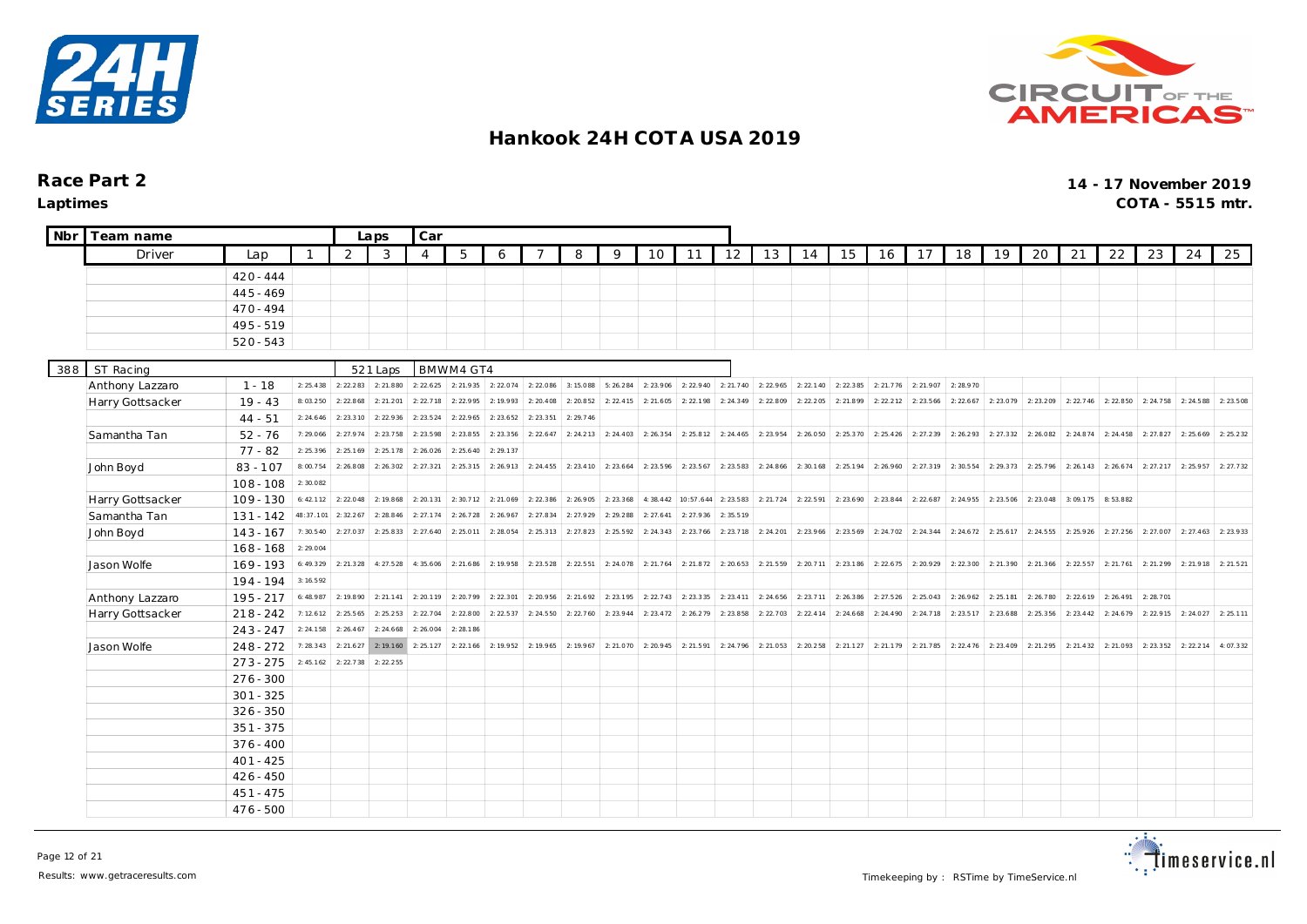



| Nbr | Team name        |             |              |           | Laps      | Car            |           |           |           |                                 |           |                     |                                         |                       |           |           |                     |                                                   |           |                       |           |                                         |           |           |           |           |           |
|-----|------------------|-------------|--------------|-----------|-----------|----------------|-----------|-----------|-----------|---------------------------------|-----------|---------------------|-----------------------------------------|-----------------------|-----------|-----------|---------------------|---------------------------------------------------|-----------|-----------------------|-----------|-----------------------------------------|-----------|-----------|-----------|-----------|-----------|
|     | Driver           | Lap         | $\mathbf{1}$ | 2         | 3         | $\overline{4}$ | 5         | 6         |           | 8                               | 9         | 10                  | 11                                      | 12                    | 13        | 14        | 15                  | 16                                                | 17        | 18                    | 19        | 20                                      | 21        | 22        | 23        | 24        | 25        |
|     |                  | $420 - 444$ |              |           |           |                |           |           |           |                                 |           |                     |                                         |                       |           |           |                     |                                                   |           |                       |           |                                         |           |           |           |           |           |
|     |                  | $445 - 469$ |              |           |           |                |           |           |           |                                 |           |                     |                                         |                       |           |           |                     |                                                   |           |                       |           |                                         |           |           |           |           |           |
|     |                  | $470 - 494$ |              |           |           |                |           |           |           |                                 |           |                     |                                         |                       |           |           |                     |                                                   |           |                       |           |                                         |           |           |           |           |           |
|     |                  | $495 - 519$ |              |           |           |                |           |           |           |                                 |           |                     |                                         |                       |           |           |                     |                                                   |           |                       |           |                                         |           |           |           |           |           |
|     |                  | $520 - 543$ |              |           |           |                |           |           |           |                                 |           |                     |                                         |                       |           |           |                     |                                                   |           |                       |           |                                         |           |           |           |           |           |
|     |                  |             |              |           |           |                |           |           |           |                                 |           |                     |                                         |                       |           |           |                     |                                                   |           |                       |           |                                         |           |           |           |           |           |
| 388 | ST Racing        |             |              |           | 521 Laps  |                | BMWM4 GT4 |           |           |                                 |           |                     |                                         |                       |           |           |                     |                                                   |           |                       |           |                                         |           |           |           |           |           |
|     | Anthony Lazzaro  | $1 - 18$    | 2: 25.438    | 2: 22.283 | 2: 21.880 | 2: 22.625      | 2:21.935  | 2:22.074  | 2: 22.086 | 3:15.088                        | 5: 26.284 | 2: 23.906           | 2: 22.940                               | 2: 21.740             | 2: 22.965 | 2: 22.140 | 2: 22.385           | 2:21.776                                          | 2: 21.907 | 2:28.970              |           |                                         |           |           |           |           |           |
|     | Harry Gottsacker | $19 - 43$   | 8:03.250     | 2:22.868  | 2: 21.201 | 2: 22.718      | 2:22.995  | 2:19.993  | 2: 20.408 | 2:20.852                        | 2: 22.415 | 2: 21.605           | 2:22.198                                | 2: 24.349             | 2:22.809  | 2:22.205  | 2:21.899            | 2: 22.212                                         | 2: 23.566 | 2: 22.667             | 2: 23.079 | 2:23.209                                | 2: 22.746 | 2:22.850  | 2: 24.758 | 2: 24.588 | 2: 23.508 |
|     |                  | $44 - 51$   | 2: 24.646    | 2: 23.310 | 2: 22.936 | 2: 23.524      | 2:22.965  | 2: 23.652 | 2: 23.351 | 2:29.746                        |           |                     |                                         |                       |           |           |                     |                                                   |           |                       |           |                                         |           |           |           |           |           |
|     | Samantha Tan     | $52 - 76$   | 7:29.066     | 2: 27.974 | 2: 23.758 | 2: 23.598      | 2: 23.855 | 2: 23.356 | 2: 22.647 | 2: 24.213                       | 2: 24.403 | 2: 26.354           | 2: 25.812                               | 2: 24.465             | 2: 23.954 | 2:26.050  | 2: 25.370           | 2:25.426                                          | 2: 27.239 | 2:26.293              | 2: 27.332 | 2:26.082                                | 2:24.874  | 2: 24.458 | 2: 27.827 | 2: 25.669 | 2: 25.232 |
|     |                  | $77 - 82$   | 2: 25.396    | 2: 25.169 | 2: 25.178 | 2:26.026       | 2: 25.640 | 2: 29.137 |           |                                 |           |                     |                                         |                       |           |           |                     |                                                   |           |                       |           |                                         |           |           |           |           |           |
|     | John Boyd        | $83 - 107$  | 8:00.754     | 2:26.808  | 2: 26.302 | 2: 27.321      | 2: 25.315 | 2: 26.913 |           | $2: 24.455$ 2: 23.410           |           | 2: 23.664 2: 23.596 | 2: 23.567                               | 2:23.583              | 2: 24.866 | 2:30.168  |                     | 2: 25.194 2: 26.960                               |           | $2: 27.319$ 2:30.554  |           | 2: 29.373 2: 25.796                     | 2: 26.143 | 2: 26.674 | 2: 27.217 | 2: 25.957 | 2: 27.732 |
|     |                  | $108 - 108$ | 2:30.082     |           |           |                |           |           |           |                                 |           |                     |                                         |                       |           |           |                     |                                                   |           |                       |           |                                         |           |           |           |           |           |
|     | Harry Gottsacker | $109 - 130$ | 6:42.112     | 2:22.048  | 2: 19.868 | 2: 20.131      | 2:30.712  | 2:21.069  | 2: 22.386 | 2:26.905                        | 2: 23.368 |                     | 4: 38.442 10:57.644                     | 2:23.583              | 2: 21.724 | 2:22.591  | 2: 23.690 2: 23.844 |                                                   |           |                       |           | 2: 22.687 2: 24.955 2: 23.506 2: 23.048 | 3:09.175  | 8:53.882  |           |           |           |
|     | Samantha Tan     | $131 - 142$ | 48:37.101    | 2: 32.267 | 2: 28.846 | 2: 27.174      | 2:26.728  | 2: 26.967 | 2: 27.834 | 2: 27.929                       | 2:29.288  | 2: 27.641           | 2: 27.936                               | 2:35.519              |           |           |                     |                                                   |           |                       |           |                                         |           |           |           |           |           |
|     | John Boyd        | $143 - 167$ | 7:30.540     | 2: 27.037 | 2: 25.833 | 2: 27.640      | 2:25.011  | 2:28.054  |           | 2: 25.313 2: 27.823             | 2: 25.592 | 2:24.343            | 2: 23.766                               | 2:23.718              | 2: 24.201 | 2:23.966  |                     | 2: 23.569 2: 24.702                               | 2: 24.344 | 2:24.672              |           | $2: 25.617$ 2: 24.555                   | 2:25.926  | 2: 27.256 | 2:27.007  | 2: 27.463 | 2:23.933  |
|     |                  | $168 - 168$ | 2:29.004     |           |           |                |           |           |           |                                 |           |                     |                                         |                       |           |           |                     |                                                   |           |                       |           |                                         |           |           |           |           |           |
|     | Jason Wolfe      | $169 - 193$ | 6:49.329     | 2: 21.328 | 4:27.528  | 4:35.606       | 2: 21.686 |           |           | 2: 19.958 2: 23.528 2: 22.551   |           | 2: 24.078 2: 21.764 |                                         | $2: 21.872$ 2: 20.653 | 2: 21.559 | 2: 20.711 | 2: 23.186           | 2: 22.675                                         |           | $2: 20.929$ 2: 22.300 |           | $2: 21.390$ 2: 21.366                   | 2: 22.557 | 2: 21.761 | 2: 21.299 | 2: 21.918 | 2: 21.521 |
|     |                  | $194 - 194$ | 3: 16.592    |           |           |                |           |           |           |                                 |           |                     |                                         |                       |           |           |                     |                                                   |           |                       |           |                                         |           |           |           |           |           |
|     | Anthony Lazzaro  | $195 - 217$ | 6:48.987     | 2:19.890  | 2: 21.141 | 2:20.119       | 2:20.799  | 2: 22.301 | 2:20.956  | 2: 21.692                       |           | 2: 23.195 2: 22.743 | 2: 23.335                               | 2:23.411              | 2: 24.656 | 2: 23.711 | 2: 26.386           | 2: 27.526                                         | 2:25.043  | 2:26.962              | 2:25.181  | 2:26.780                                | 2: 22.619 | 2: 26.491 | 2:28.701  |           |           |
|     | Harry Gottsacker | $218 - 242$ | 7:12.612     | 2: 25.565 | 2: 25.253 | 2: 22.704      | 2:22.800  | 2: 22.537 | 2:24.550  | 2: 22.760                       | 2: 23.944 | 2: 23.472           | 2: 26.279                               | 2:23.858              | 2: 22.703 | 2: 22.414 | 2: 24.668           | 2: 24.490                                         |           | 2: 24.718 2: 23.517   | 2: 23.688 | 2:25.356                                | 2: 23.442 | 2: 24.679 | 2: 22.915 | 2: 24.027 | 2: 25.111 |
|     |                  | $243 - 247$ | 2: 24.158    | 2: 26.467 | 2: 24.668 | 2:26.004       | 2:28.186  |           |           |                                 |           |                     |                                         |                       |           |           |                     |                                                   |           |                       |           |                                         |           |           |           |           |           |
|     | Jason Wolfe      | $248 - 272$ | 7:28.343     | 2: 21.627 | 2: 19.160 | 2: 25.127      | 2: 22.166 |           |           | $2: 19.952$ 2: 19.965 2: 19.967 |           |                     | 2: 21.070 2: 20.945 2: 21.591 2: 24.796 |                       | 2:21.053  |           |                     | 2: 20.258 2: 21.127 2: 21.179 2: 21.785 2: 22.476 |           |                       |           | 2: 23.409 2: 21.295 2: 21.432           |           | 2:21.093  | 2: 23.352 | 2: 22.214 | 4:07.332  |
|     |                  | $273 - 275$ | 2: 45.162    | 2:22.738  | 2: 22.255 |                |           |           |           |                                 |           |                     |                                         |                       |           |           |                     |                                                   |           |                       |           |                                         |           |           |           |           |           |
|     |                  | $276 - 300$ |              |           |           |                |           |           |           |                                 |           |                     |                                         |                       |           |           |                     |                                                   |           |                       |           |                                         |           |           |           |           |           |
|     |                  | $301 - 325$ |              |           |           |                |           |           |           |                                 |           |                     |                                         |                       |           |           |                     |                                                   |           |                       |           |                                         |           |           |           |           |           |
|     |                  | $326 - 350$ |              |           |           |                |           |           |           |                                 |           |                     |                                         |                       |           |           |                     |                                                   |           |                       |           |                                         |           |           |           |           |           |
|     |                  | $351 - 375$ |              |           |           |                |           |           |           |                                 |           |                     |                                         |                       |           |           |                     |                                                   |           |                       |           |                                         |           |           |           |           |           |
|     |                  | $376 - 400$ |              |           |           |                |           |           |           |                                 |           |                     |                                         |                       |           |           |                     |                                                   |           |                       |           |                                         |           |           |           |           |           |
|     |                  | $401 - 425$ |              |           |           |                |           |           |           |                                 |           |                     |                                         |                       |           |           |                     |                                                   |           |                       |           |                                         |           |           |           |           |           |
|     |                  | $426 - 450$ |              |           |           |                |           |           |           |                                 |           |                     |                                         |                       |           |           |                     |                                                   |           |                       |           |                                         |           |           |           |           |           |
|     |                  | $451 - 475$ |              |           |           |                |           |           |           |                                 |           |                     |                                         |                       |           |           |                     |                                                   |           |                       |           |                                         |           |           |           |           |           |
|     |                  | $476 - 500$ |              |           |           |                |           |           |           |                                 |           |                     |                                         |                       |           |           |                     |                                                   |           |                       |           |                                         |           |           |           |           |           |

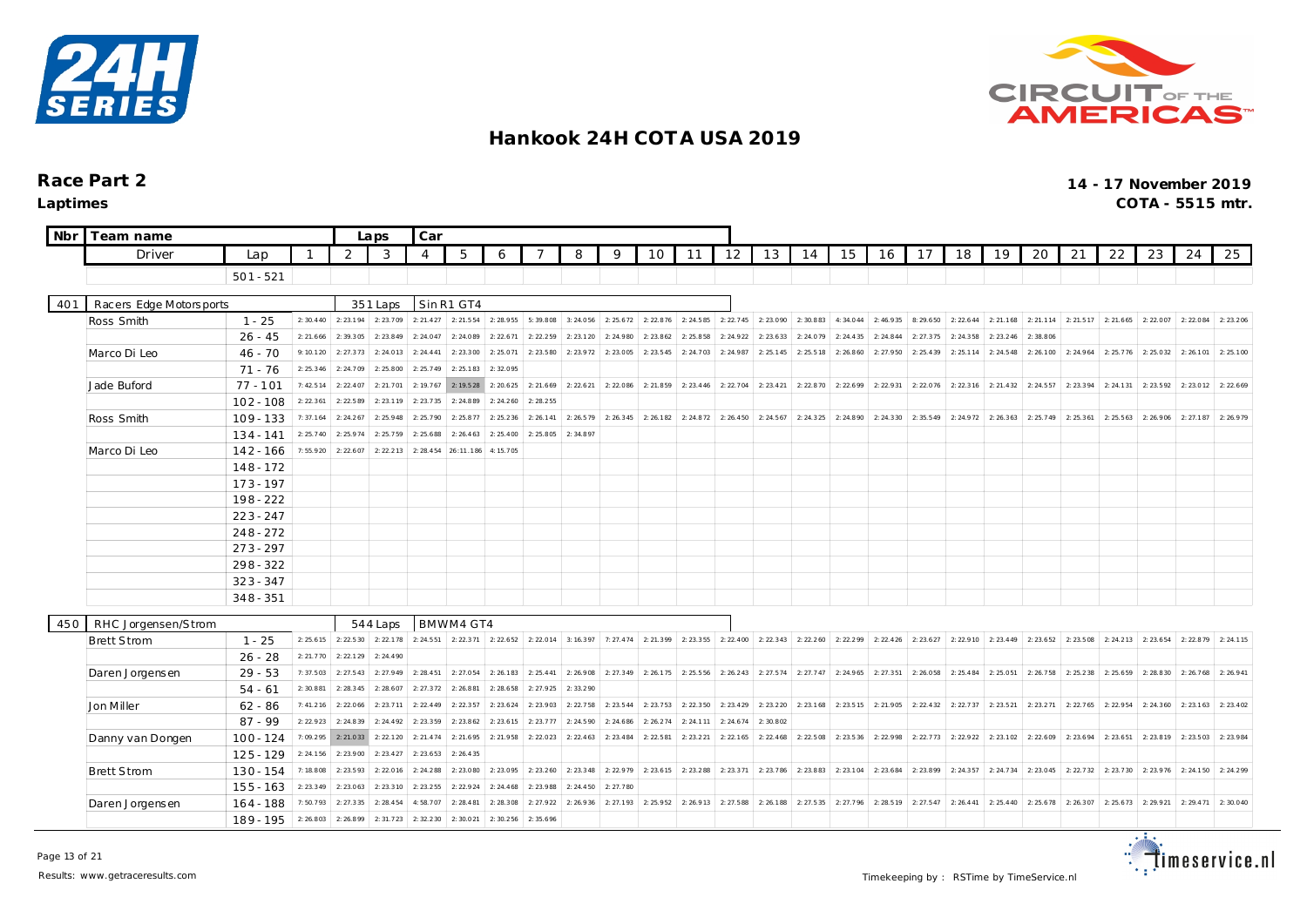



| Nbr | Team name               |             |           |           |           |                |            |           |           |           |           |           |           |           |           |           |           |                      |           |           |           |                                                   |                       |           |                     |           |           |
|-----|-------------------------|-------------|-----------|-----------|-----------|----------------|------------|-----------|-----------|-----------|-----------|-----------|-----------|-----------|-----------|-----------|-----------|----------------------|-----------|-----------|-----------|---------------------------------------------------|-----------------------|-----------|---------------------|-----------|-----------|
|     | Driver                  | Lap         |           | 2         | 3         | $\overline{4}$ | 5          | 6         |           | 8         | 9         | 10        | 11        | 12        | 13        | 14        | 15        | 16                   | 17        | 18        | 19        | 20                                                | 21                    | 22        | 23                  | 24        | 25        |
|     |                         | $501 - 521$ |           |           |           |                |            |           |           |           |           |           |           |           |           |           |           |                      |           |           |           |                                                   |                       |           |                     |           |           |
|     |                         |             |           |           |           |                |            |           |           |           |           |           |           |           |           |           |           |                      |           |           |           |                                                   |                       |           |                     |           |           |
| 401 | Racers Edge Motorsports |             |           |           | 351 Laps  |                | Sin R1 GT4 |           |           |           |           |           |           |           |           |           |           |                      |           |           |           |                                                   |                       |           |                     |           |           |
|     | Ross Smith              | $1 - 25$    | 2:30.440  | 2: 23.194 | 2:23.709  | 2: 21.427      | 2:21.554   | 2: 28.955 | 5:39.808  | 3:24.056  | 2: 25.672 | 2: 22.876 | 2: 24.585 | 2: 22.745 | 2: 23.090 | 2:30.883  |           | 4: 34.044 2: 46.935  |           |           |           | 8: 29.650 2: 22.644 2: 21.168 2: 21.114 2: 21.517 |                       |           | 2: 21.665 2: 22.007 | 2:22.084  | 2: 23.206 |
|     |                         | $26 - 45$   | 2: 21.666 | 2:39.305  | 2:23.849  | 2: 24.047      | 2:24.089   | 2: 22.671 | 2: 22.259 | 2: 23.120 | 2: 24.980 | 2: 23.862 | 2: 25.858 | 2: 24.922 | 2: 23.633 | 2:24.079  | 2: 24.435 | 2: 24.844            | 2: 27.375 | 2:24.358  | 2: 23.246 | 2:38.806                                          |                       |           |                     |           |           |
|     | Marco Di Leo            | $46 - 70$   | 9:10.120  | 2:27.373  | 2: 24.013 | 2: 24.441      | 2: 23.300  | 2:25.071  | 2: 23.580 | 2: 23.972 | 2:23.005  | 2: 23.545 | 2: 24.703 | 2: 24.987 | 2: 25.145 | 2: 25.518 | 2: 26.860 | 2: 27.950            | 2: 25.439 | 2: 25.114 | 2: 24.548 |                                                   | $2: 26.100$ 2: 24.964 | 2: 25.776 | 2:25.032            | 2:26.101  | 2:25.100  |
|     |                         | $71 - 76$   | 2: 25.346 | 2:24.709  | 2:25.800  | 2: 25.749      | 2: 25.183  | 2:32.095  |           |           |           |           |           |           |           |           |           |                      |           |           |           |                                                   |                       |           |                     |           |           |
|     | Jade Buford             | $77 - 101$  | 7:42.514  | 2: 22.407 | 2: 21.701 | 2: 19.767      | 2: 19.528  | 2: 20.625 | 2: 21.669 | 2: 22.621 | 2:22.086  | 2: 21.859 | 2: 23.446 | 2: 22.704 | 2: 23.421 | 2:22.870  | 2: 22.699 | 2:22.931             | 2:22.076  | 2: 22.316 | 2: 21.432 | 2: 24.557                                         | 2: 23.394             | 2: 24.131 | 2: 23.592           | 2: 23.012 | 2: 22.669 |
|     |                         | $102 - 108$ | 2: 22.361 | 2: 22.589 | 2:23.119  | 2:23.735       | 2:24.889   | 2: 24.260 | 2: 28.255 |           |           |           |           |           |           |           |           |                      |           |           |           |                                                   |                       |           |                     |           |           |
|     | Ross Smith              | $109 - 133$ | 7:37.164  | 2: 24.267 | 2: 25.948 | 2: 25.790      | 2: 25.877  | 2: 25.236 | 2: 26.141 | 2: 26.579 | 2: 26.345 | 2:26.182  | 2: 24.872 | 2: 26.450 | 2: 24.567 | 2: 24.325 | 2: 24.890 | 2: 24.330            | 2: 35.549 | 2: 24.972 | 2: 26.363 | 2:25.749                                          | 2: 25.361             | 2: 25.563 | 2:26.906            | 2: 27.187 | 2: 26.979 |
|     |                         | $134 - 141$ | 2: 25.740 | 2:25.974  | 2: 25.759 | 2: 25.688      | 2: 26.463  | 2: 25.400 | 2:25.805  | 2:34.897  |           |           |           |           |           |           |           |                      |           |           |           |                                                   |                       |           |                     |           |           |
|     | Marco Di Leo            | $142 - 166$ | 7:55.920  | 2: 22.607 | 2: 22.213 | 2: 28.454      | 26:11.186  | 4:15.705  |           |           |           |           |           |           |           |           |           |                      |           |           |           |                                                   |                       |           |                     |           |           |
|     |                         | $148 - 172$ |           |           |           |                |            |           |           |           |           |           |           |           |           |           |           |                      |           |           |           |                                                   |                       |           |                     |           |           |
|     |                         | $173 - 197$ |           |           |           |                |            |           |           |           |           |           |           |           |           |           |           |                      |           |           |           |                                                   |                       |           |                     |           |           |
|     |                         | 198 - 222   |           |           |           |                |            |           |           |           |           |           |           |           |           |           |           |                      |           |           |           |                                                   |                       |           |                     |           |           |
|     |                         | $223 - 247$ |           |           |           |                |            |           |           |           |           |           |           |           |           |           |           |                      |           |           |           |                                                   |                       |           |                     |           |           |
|     |                         | $248 - 272$ |           |           |           |                |            |           |           |           |           |           |           |           |           |           |           |                      |           |           |           |                                                   |                       |           |                     |           |           |
|     |                         | $273 - 297$ |           |           |           |                |            |           |           |           |           |           |           |           |           |           |           |                      |           |           |           |                                                   |                       |           |                     |           |           |
|     |                         | $298 - 322$ |           |           |           |                |            |           |           |           |           |           |           |           |           |           |           |                      |           |           |           |                                                   |                       |           |                     |           |           |
|     |                         | $323 - 347$ |           |           |           |                |            |           |           |           |           |           |           |           |           |           |           |                      |           |           |           |                                                   |                       |           |                     |           |           |
|     |                         | $348 - 351$ |           |           |           |                |            |           |           |           |           |           |           |           |           |           |           |                      |           |           |           |                                                   |                       |           |                     |           |           |
|     |                         |             |           |           |           |                |            |           |           |           |           |           |           |           |           |           |           |                      |           |           |           |                                                   |                       |           |                     |           |           |
| 450 | RHC Jorgensen/Strom     |             |           |           | 544 Laps  |                | BMWM4 GT4  |           |           |           |           |           |           |           |           |           |           |                      |           |           |           |                                                   |                       |           |                     |           |           |
|     | <b>Brett Strom</b>      | $1 - 25$    | 2: 25.615 | 2: 22.530 | 2: 22.178 | 2: 24.551      | 2: 22.371  | 2: 22.652 | 2:22.014  | 3: 16.397 | 7: 27.474 | 2: 21.399 | 2: 23.355 | 2: 22.400 | 2: 22.343 | 2:22.260  |           | $2: 22.299$ 2:22.426 | 2: 23.627 | 2: 22.910 | 2: 23.449 | 2: 23.652                                         | 2:23.508              | 2: 24.213 | 2: 23.654           | 2:22.879  | 2: 24.115 |
|     |                         | $26 - 28$   | 2: 21.770 | 2: 22.129 | 2: 24.490 |                |            |           |           |           |           |           |           |           |           |           |           |                      |           |           |           |                                                   |                       |           |                     |           |           |
|     | Daren Jorgensen         | $29 - 53$   | 7:37.503  | 2: 27.543 | 2: 27.949 | 2: 28.451      | 2:27.054   | 2:26.183  | 2: 25.441 | 2:26.908  | 2: 27.349 | 2:26.175  | 2: 25.556 | 2: 26.243 | 2: 27.574 | 2: 27.747 | 2: 24.965 | 2: 27.351            | 2:26.058  | 2: 25.484 | 2:25.051  | 2: 26.758                                         | 2: 25.238             | 2: 25.659 | 2:28.830            | 2:26.768  | 2: 26.941 |
|     |                         | $54 - 61$   | 2:30.881  | 2: 28.345 | 2: 28.607 | 2: 27.372      | 2:26.881   | 2:28.658  | 2: 27.925 | 2:33.290  |           |           |           |           |           |           |           |                      |           |           |           |                                                   |                       |           |                     |           |           |
|     | Jon Miller              | $62 - 86$   | 7:41.216  | 2: 22.066 | 2: 23.711 | 2: 22.449      | 2: 22.357  | 2: 23.624 | 2:23.903  | 2: 22.758 | 2: 23.544 | 2: 23.753 | 2: 22.350 | 2: 23.429 | 2:23.220  | 2: 23.168 | 2: 23.515 | 2:21.905             | 2: 22.432 | 2: 22.737 | 2: 23.521 | 2: 23.271                                         | 2: 22.765             | 2:22.954  | 2: 24.360           | 2: 23.163 | 2: 23.402 |
|     |                         | $87 - 99$   | 2: 22.923 | 2:24.839  | 2: 24.492 | 2: 23.359      | 2:23.862   | 2: 23.615 | 2: 23.777 | 2: 24.590 | 2: 24.686 | 2: 26.274 | 2: 24.111 | 2: 24.674 | 2:30.802  |           |           |                      |           |           |           |                                                   |                       |           |                     |           |           |
|     | Danny van Dongen        | $100 - 124$ | 7:09.295  | 2: 21.033 | 2: 22.120 | 2: 21.474      | 2:21.695   | 2:21.958  | 2:22.023  | 2: 22.463 | 2: 23.484 | 2: 22.581 | 2: 23.221 | 2: 22.165 | 2: 22.468 | 2:22.508  | 2: 23.536 | 2:22.998             | 2: 22.773 | 2: 22.922 | 2: 23.102 | 2:22.609                                          | 2: 23.694             | 2: 23.651 | 2: 23.819           | 2: 23.503 | 2: 23.984 |
|     |                         | $125 - 129$ | 2: 24.156 | 2:23.900  | 2: 23.427 | 2: 23.653      | 2:26.435   |           |           |           |           |           |           |           |           |           |           |                      |           |           |           |                                                   |                       |           |                     |           |           |
|     | <b>Brett Strom</b>      | $130 - 154$ | 7:18.808  | 2:23.593  | 2:22.016  | 2: 24.288      | 2:23.080   | 2:23.095  | 2: 23.260 | 2: 23.348 | 2:22.979  | 2: 23.615 | 2: 23.288 | 2:23.371  | 2: 23.786 | 2: 23.883 | 2: 23.104 | 2: 23.684            | 2: 23.899 | 2: 24.357 | 2: 24.734 | 2: 23.045                                         | 2: 22.732             | 2:23.730  | 2: 23.976           | 2:24.150  | 2:24.299  |
|     |                         | $155 - 163$ | 2: 23.349 | 2:23.063  | 2: 23.310 | 2: 23.255      | 2: 22.924  | 2: 24.468 | 2: 23.988 | 2: 24.450 | 2: 27.780 |           |           |           |           |           |           |                      |           |           |           |                                                   |                       |           |                     |           |           |
|     | Daren Jorgensen         | $164 - 188$ | 7:50.793  | 2:27.335  | 2: 28.454 | 4:58.707       | 2: 28.481  | 2:28.308  | 2: 27.922 | 2: 26.936 | 2: 27.193 | 2:25.952  | 2: 26.913 | 2: 27.588 | 2:26.188  | 2: 27.535 | 2: 27.796 | 2: 28.519            | 2: 27.547 | 2: 26.441 | 2: 25.440 | 2:25.678                                          | 2: 26.307             | 2: 25.673 | 2: 29.921           | 2: 29.471 | 2:30.040  |
|     |                         | 189 - 195   | 2:26.803  | 2:26.899  | 2:31.723  | 2: 32.230      | 2:30.021   | 2:30.256  | 2: 35.696 |           |           |           |           |           |           |           |           |                      |           |           |           |                                                   |                       |           |                     |           |           |

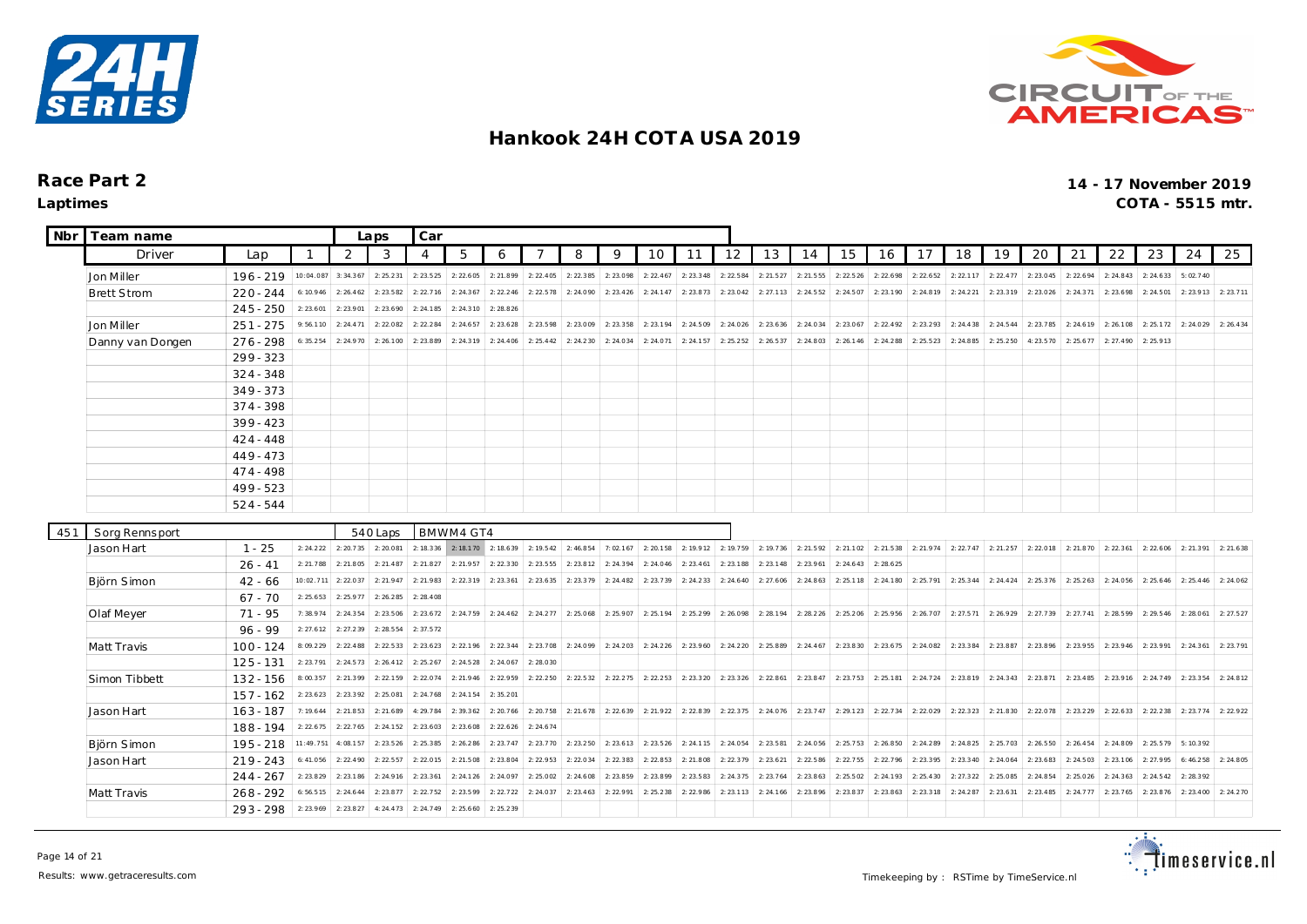



| Nbr | Team name          |                            |                      | Laps                  | Car                  |                        |                                                   |                        |                      |                     |           |           |           |                                                                                                     |                     |           |           |                                                                                 |           |                                   |           |           |                     |           |           |           |           |
|-----|--------------------|----------------------------|----------------------|-----------------------|----------------------|------------------------|---------------------------------------------------|------------------------|----------------------|---------------------|-----------|-----------|-----------|-----------------------------------------------------------------------------------------------------|---------------------|-----------|-----------|---------------------------------------------------------------------------------|-----------|-----------------------------------|-----------|-----------|---------------------|-----------|-----------|-----------|-----------|
|     | Driver             | Lap                        | $\mathbf{1}$         | 2                     | 3                    | $\overline{4}$         | 5                                                 | 6                      |                      | 8                   | 9         | 10        | 11        | 12                                                                                                  | 13                  | 14        | 15        | 16                                                                              | 17        | 18                                | 19        | 20        | 21                  | 22        | 23        | 24        | 25        |
|     | Jon Miller         | $196 - 219$                | 10:04.087            | 3:34.367              | 2: 25.231            | 2: 23.525              | 2: 22.605                                         | 2:21.899               | 2: 22.405            | 2: 22.385           | 2:23.098  | 2: 22.467 | 2: 23.348 | 2: 22.584                                                                                           | 2: 21.527           | 2:21.555  | 2: 22.526 | 2: 22.698                                                                       | 2: 22.652 | 2: 22.117                         | 2: 22.477 | 2: 23.045 | 2: 22.694           | 2: 24.843 | 2: 24.633 | 5:02.740  |           |
|     | <b>Brett Strom</b> | $220 - 244$                | 6:10.946             | 2: 26.462             | 2: 23.582            | 2: 22.716              | 2: 24.367                                         | 2: 22.246              | 2: 22.578            | 2:24.090            | 2: 23.426 | 2: 24.147 | 2:23.873  | 2: 23.042                                                                                           | 2: 27.113           | 2:24.552  | 2: 24.507 | 2:23.190                                                                        | 2: 24.819 | 2: 24.221                         | 2:23.319  | 2: 23.026 | 2: 24.371           | 2: 23.698 | 2: 24.501 | 2:23.913  | 2:23.711  |
|     |                    | $245 - 250$                | 2: 23.601            | 2:23.901              | 2:23.690             | 2: 24.185              | 2: 24.310                                         | 2:28.826               |                      |                     |           |           |           |                                                                                                     |                     |           |           |                                                                                 |           |                                   |           |           |                     |           |           |           |           |
|     | Jon Miller         | $251 - 275$                | 9:56.110             | 2: 24.471             | 2:22.082             | 2: 22.284              | 2: 24.657                                         | 2: 23.628              | 2: 23.598            | 2:23.009            | 2: 23.358 | 2:23.194  | 2: 24.509 | 2: 24.026                                                                                           | 2: 23.636           | 2: 24.034 | 2: 23.067 | 2: 22.492                                                                       | 2: 23.293 | 2:24.438                          | 2: 24.544 | 2: 23.785 | 2: 24.619           | 2:26.108  | 2: 25.172 | 2:24.029  | 2: 26.434 |
|     | Danny van Dongen   | $276 - 298$                | 6: 35.254            | 2:24.970              | 2: 26.100            | 2:23.889               | 2: 24.319                                         | 2: 24.406              | 2: 25.442            | 2: 24.230           | 2: 24.034 | 2:24.071  | 2: 24.157 | 2: 25.252                                                                                           | 2: 26.537           | 2: 24.803 | 2: 26.146 | 2: 24.288                                                                       | 2: 25.523 | 2:24.885                          | 2: 25.250 | 4:23.570  | 2: 25.677           | 2: 27.490 | 2:25.913  |           |           |
|     |                    | $299 - 323$                |                      |                       |                      |                        |                                                   |                        |                      |                     |           |           |           |                                                                                                     |                     |           |           |                                                                                 |           |                                   |           |           |                     |           |           |           |           |
|     |                    | $324 - 348$                |                      |                       |                      |                        |                                                   |                        |                      |                     |           |           |           |                                                                                                     |                     |           |           |                                                                                 |           |                                   |           |           |                     |           |           |           |           |
|     |                    | $349 - 373$                |                      |                       |                      |                        |                                                   |                        |                      |                     |           |           |           |                                                                                                     |                     |           |           |                                                                                 |           |                                   |           |           |                     |           |           |           |           |
|     |                    | $374 - 398$                |                      |                       |                      |                        |                                                   |                        |                      |                     |           |           |           |                                                                                                     |                     |           |           |                                                                                 |           |                                   |           |           |                     |           |           |           |           |
|     |                    | $399 - 423$                |                      |                       |                      |                        |                                                   |                        |                      |                     |           |           |           |                                                                                                     |                     |           |           |                                                                                 |           |                                   |           |           |                     |           |           |           |           |
|     |                    | $424 - 448$                |                      |                       |                      |                        |                                                   |                        |                      |                     |           |           |           |                                                                                                     |                     |           |           |                                                                                 |           |                                   |           |           |                     |           |           |           |           |
|     |                    | $449 - 473$                |                      |                       |                      |                        |                                                   |                        |                      |                     |           |           |           |                                                                                                     |                     |           |           |                                                                                 |           |                                   |           |           |                     |           |           |           |           |
|     |                    | $474 - 498$                |                      |                       |                      |                        |                                                   |                        |                      |                     |           |           |           |                                                                                                     |                     |           |           |                                                                                 |           |                                   |           |           |                     |           |           |           |           |
|     |                    | $499 - 523$                |                      |                       |                      |                        |                                                   |                        |                      |                     |           |           |           |                                                                                                     |                     |           |           |                                                                                 |           |                                   |           |           |                     |           |           |           |           |
|     |                    | $524 - 544$                |                      |                       |                      |                        |                                                   |                        |                      |                     |           |           |           |                                                                                                     |                     |           |           |                                                                                 |           |                                   |           |           |                     |           |           |           |           |
|     |                    |                            |                      |                       |                      |                        |                                                   |                        |                      |                     |           |           |           |                                                                                                     |                     |           |           |                                                                                 |           |                                   |           |           |                     |           |           |           |           |
| 451 | Sorg Rennsport     |                            |                      |                       | 540 Laps             |                        | BMWM4 GT4                                         |                        |                      |                     |           |           |           |                                                                                                     |                     |           |           |                                                                                 |           |                                   |           |           |                     |           |           |           |           |
|     | Jason Hart         | $1 - 25$                   | 2: 24.222            |                       | 2: 20.735 2: 20.081  |                        | 2: 18.336 2: 18.170 2: 18.639 2: 19.542 2: 46.854 |                        |                      |                     | 7:02.167  | 2: 20.158 | 2: 19.912 |                                                                                                     |                     |           |           | 2: 19.759 2: 19.736 2: 21.592 2: 21.102 2: 21.538 2: 21.974 2: 22.747 2: 21.257 |           |                                   |           | 2: 22.018 | 2: 21.870 2: 22.361 |           | 2:22.606  | 2:21.391  | 2: 21.638 |
|     |                    | $26 - 41$                  | 2: 21.788            | 2: 21.805             | 2: 21.487            | 2: 21.827              | 2: 21.957                                         | 2: 22.330              | 2: 23.555            | 2: 23.812           | 2: 24.394 | 2: 24.046 | 2: 23.461 | 2:23.188                                                                                            | 2: 23.148           | 2:23.961  | 2: 24.643 | 2: 28.625                                                                       |           |                                   |           |           |                     |           |           |           |           |
|     | Björn Simon        | $42 - 66$                  | 10:02.711            | 2: 22.037             | 2:21.947             | 2:21.983               | 2: 22.319                                         | 2:23.361               | 2: 23.635            | 2:23.379            | 2: 24.482 | 2:23.739  | 2: 24.233 | 2: 24.640                                                                                           | 2: 27.606           | 2:24.863  | 2:25.118  | 2:24.180                                                                        |           | 2: 25.791 2: 25.344 2: 24.424     |           | 2:25.376  | 2: 25.263           | 2:24.056  | 2: 25.646 | 2: 25.446 | 2: 24.062 |
|     |                    | $67 - 70$                  | 2: 25.653            | 2: 25.977             | 2:26.285             | 2: 28.408              |                                                   |                        |                      |                     |           |           |           |                                                                                                     |                     |           |           |                                                                                 |           |                                   |           |           |                     |           |           |           |           |
|     | Olaf Meyer         | $71 - 95$                  | 7:38.974             | 2: 24.354             | 2:23.506             | 2: 23.672              | $2: 24.759$ 2: 24.462                             |                        | $2: 24.277$ 2:25.068 |                     | 2: 25.907 | 2:25.194  | 2: 25.299 | 2:26.098                                                                                            | 2: 28.194 2: 28.226 |           |           | 2: 25.206 2: 25.956                                                             |           | 2: 26.707 2: 27.571               | 2:26.929  | 2: 27.739 | 2: 27.741           | 2:28.599  | 2: 29.546 | 2:28.061  | 2: 27.527 |
|     |                    | $96 - 99$                  | 2: 27.612            | 2: 27.239             | 2:28.554             | 2: 37.572              |                                                   |                        |                      |                     |           |           |           |                                                                                                     |                     |           |           |                                                                                 |           |                                   |           |           |                     |           |           |           |           |
|     | Matt Travis        | $100 - 124$                | 8:09.229             | 2: 22.488             | 2: 22.533            | 2: 23.623              | 2: 22.196                                         | 2: 22.344              | 2: 23.708            | 2: 24.099           | 2: 24.203 | 2: 24.226 | 2: 23.960 | 2: 24.220                                                                                           | 2: 25.889           | 2: 24.467 | 2: 23.830 | 2:23.675                                                                        |           | 2: 24.082 2: 23.384               | 2:23.887  | 2:23.896  | 2:23.955            | 2: 23.946 | 2:23.991  | 2: 24.361 | 2:23.791  |
|     |                    | $125 - 131$                | 2:23.791             | 2: 24.573             | 2: 26.412            | 2: 25.267              | 2: 24.528                                         | 2: 24.067              | 2:28.030             |                     |           |           |           |                                                                                                     |                     |           |           |                                                                                 |           |                                   |           |           |                     |           |           |           |           |
|     | Simon Tibbett      | $132 - 156$                | 8:00.357             | 2:21.399              | 2:22.159             | 2:22.074               | 2: 21.946                                         | 2: 22.959              | 2: 22.250            | 2: 22.532           | 2: 22.275 | 2: 22.253 | 2: 23.320 | 2: 23.326                                                                                           | 2: 22.861           | 2: 23.847 |           | $2: 23.753$ 2:25.181                                                            |           | $2: 24.724$   2:23.819   2:24.343 |           | 2:23.871  | 2: 23.485           | 2: 23.916 | 2: 24.749 | 2:23.354  | 2: 24.812 |
|     |                    | $157 - 162$                | 2: 23.623            | 2:23.392              | 2:25.081             | 2: 24.768              | 2: 24.154                                         | 2:35.201               |                      |                     |           |           |           |                                                                                                     |                     |           |           |                                                                                 |           |                                   |           |           |                     |           |           |           |           |
|     | Jason Hart         | $163 - 187$                | 7:19.644             | 2: 21.853             | 2: 21.689            | 4:29.784               | 2: 39.362                                         | 2:20.766               |                      |                     |           |           |           | 2: 20.758 2: 21.678 2: 22.639 2: 21.922 2: 22.839 2: 22.375 2: 24.076 2: 23.747 2: 29.123 2: 22.734 |                     |           |           |                                                                                 |           | 2: 22.029 2: 22.323 2: 21.830     |           | 2:22.078  | 2: 23.229           | 2:22.633  | 2: 22.238 | 2:23.774  | 2: 22.922 |
|     |                    | 188 - 194                  | 2: 22.675            | 2: 22.765             | 2: 24.152            | 2: 23.603              | 2:23.608                                          | 2: 22.626              | 2: 24.674            |                     |           |           |           |                                                                                                     |                     |           |           |                                                                                 |           |                                   |           |           |                     |           |           |           |           |
|     | Björn Simon        | 195 - 218                  | 11:49.751            | 4:08.157              | 2: 23.526            | 2: 25.385              | 2:26.286                                          | 2: 23.747              |                      | 2: 23.770 2: 23.250 | 2: 23.613 | 2: 23.526 | 2: 24.115 | 2: 24.054 2: 23.581                                                                                 |                     | 2:24.056  |           | 2: 25.753 2: 26.850                                                             |           | 2: 24.289 2: 24.825 2: 25.703     |           | 2:26.550  | 2: 26.454           | 2:24.809  | 2: 25.579 | 5:10.392  |           |
|     | Jason Hart         | $219 - 243$                | 6: 41.056            | 2: 22.490             | 2: 22.557            | 2:22.015               | 2:21.508                                          | 2:23.804               | 2: 22.953            | 2:22.034            | 2: 22.383 | 2:22.853  | 2:21.808  | 2: 22.379                                                                                           | 2: 23.621           | 2:22.586  | 2: 22.755 | 2:22.796                                                                        | 2:23.395  | $2: 23.340$ 2: 24.064             |           | 2: 23.683 | 2: 24.503           | 2: 23.106 | 2: 27.995 | 6:46.258  | 2: 24.805 |
|     |                    | $244 - 267$                | 2: 23.829            | 2:23.186              | 2:24.916             | 2: 23.361              | 2: 24.126                                         | 2:24.097               | 2:25.002             | 2: 24.608           | 2:23.859  | 2:23.899  | 2: 23.583 | 2: 24.375                                                                                           | 2: 23.764           | 2:23.863  | 2:25.502  | 2:24.193                                                                        | 2: 25.430 | 2:27.322                          | 2:25.085  | 2: 24.854 | 2:25.026            | 2: 24.363 | 2: 24.542 | 2:28.392  |           |
|     | Matt Travis        | $268 - 292$<br>$293 - 298$ | 6:56.515<br>2:23.969 | 2: 24.644<br>2:23.827 | 2:23.877<br>4:24.473 | 2: 22.752<br>2: 24.749 | 2: 23.599<br>2: 25.660                            | 2: 22.722<br>2: 25.239 | 2: 24.037            | 2: 23.463           | 2:22.991  | 2:25.238  | 2: 22.986 | 2:23.113                                                                                            | 2: 24.166           | 2:23.896  | 2: 23.837 | 2:23.863                                                                        | 2: 23.318 | 2: 24.287                         | 2: 23.631 | 2: 23.485 | 2: 24.777           | 2: 23.765 | 2: 23.876 | 2: 23.400 | 2: 24.270 |

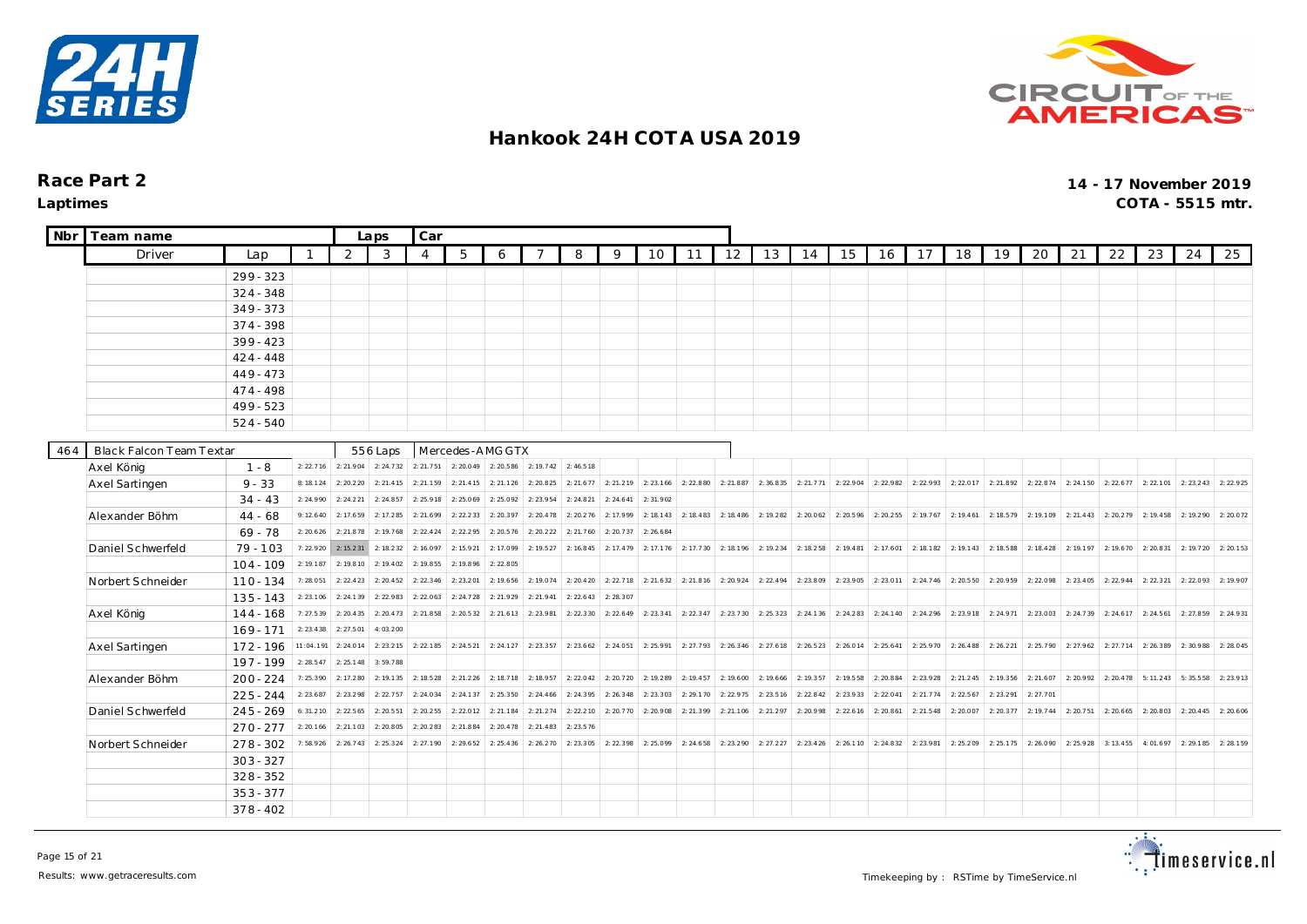



| <b>Nbr</b> | Team name                |                            |                       | Laps                   | Car                    |                       |                       |                     |           |                     |           |           |           |           |                       |           |                                                   |           |           |                               |                     |           |                       |           |           |           |           |
|------------|--------------------------|----------------------------|-----------------------|------------------------|------------------------|-----------------------|-----------------------|---------------------|-----------|---------------------|-----------|-----------|-----------|-----------|-----------------------|-----------|---------------------------------------------------|-----------|-----------|-------------------------------|---------------------|-----------|-----------------------|-----------|-----------|-----------|-----------|
|            | Driver                   | Lap                        | $\mathbf{1}$          | 2                      | 3                      | $\overline{4}$        | 5                     | 6                   | 7         | 8                   | 9         | 10        | 11        | 12        | 13                    | 14        | 15                                                | 16        | 17        | 18                            | 19                  | 20        | 21                    | 22        | 23        | 24        | 25        |
|            |                          | $299 - 323$                |                       |                        |                        |                       |                       |                     |           |                     |           |           |           |           |                       |           |                                                   |           |           |                               |                     |           |                       |           |           |           |           |
|            |                          | $324 - 348$                |                       |                        |                        |                       |                       |                     |           |                     |           |           |           |           |                       |           |                                                   |           |           |                               |                     |           |                       |           |           |           |           |
|            |                          | $349 - 373$                |                       |                        |                        |                       |                       |                     |           |                     |           |           |           |           |                       |           |                                                   |           |           |                               |                     |           |                       |           |           |           |           |
|            |                          | 374 - 398                  |                       |                        |                        |                       |                       |                     |           |                     |           |           |           |           |                       |           |                                                   |           |           |                               |                     |           |                       |           |           |           |           |
|            |                          | $399 - 423$                |                       |                        |                        |                       |                       |                     |           |                     |           |           |           |           |                       |           |                                                   |           |           |                               |                     |           |                       |           |           |           |           |
|            |                          | $424 - 448$                |                       |                        |                        |                       |                       |                     |           |                     |           |           |           |           |                       |           |                                                   |           |           |                               |                     |           |                       |           |           |           |           |
|            |                          | $449 - 473$                |                       |                        |                        |                       |                       |                     |           |                     |           |           |           |           |                       |           |                                                   |           |           |                               |                     |           |                       |           |           |           |           |
|            |                          | $474 - 498$                |                       |                        |                        |                       |                       |                     |           |                     |           |           |           |           |                       |           |                                                   |           |           |                               |                     |           |                       |           |           |           |           |
|            |                          | $499 - 523$                |                       |                        |                        |                       |                       |                     |           |                     |           |           |           |           |                       |           |                                                   |           |           |                               |                     |           |                       |           |           |           |           |
|            |                          | $524 - 540$                |                       |                        |                        |                       |                       |                     |           |                     |           |           |           |           |                       |           |                                                   |           |           |                               |                     |           |                       |           |           |           |           |
|            |                          |                            |                       |                        |                        |                       |                       |                     |           |                     |           |           |           |           |                       |           |                                                   |           |           |                               |                     |           |                       |           |           |           |           |
| 464        | Black Falcon Team Textar |                            |                       |                        | 556 Laps               |                       | Mercedes-AMG GTX      |                     |           |                     |           |           |           |           |                       |           |                                                   |           |           |                               |                     |           |                       |           |           |           |           |
|            | Axel König               | $1 - 8$                    | 2: 22.716             |                        | 2: 21.904 2: 24.732    | 2: 21.751             | 2: 20.049             | 2: 20.586           | 2: 19.742 | 2:46.518            |           |           |           |           |                       |           |                                                   |           |           |                               |                     |           |                       |           |           |           |           |
|            | Axel Sartingen           | $9 - 33$                   | 8:18.124              | 2: 20.220              | 2:21.415               | 2: 21.159             | 2: 21.415             | 2: 21.126           | 2: 20.825 | 2: 21.677           | 2: 21.219 | 2: 23.166 | 2:22.880  | 2:21.887  | 2:36.835              | 2: 21.771 | 2:22.904                                          | 2:22.982  | 2:22.993  | 2:22.017                      | 2: 21.892           | 2: 22.874 | 2: 24.150             | 2: 22.677 | 2:22.101  | 2: 23.243 | 2: 22.925 |
|            |                          | $34 - 43$                  | 2: 24.990             | 2: 24.221              | 2:24.857               | 2:25.918              | 2:25.069              | 2:25.092            | 2:23.954  | 2:24.821            | 2: 24.641 | 2:31.902  |           |           |                       |           |                                                   |           |           |                               |                     |           |                       |           |           |           |           |
|            | Alexander Böhm           | $44 - 68$                  | 9:12.640              | 2:17.659               | 2: 17.285              | 2: 21.699             | 2: 22.233             | 2: 20.397           | 2: 20.478 | 2: 20.276           | 2:17.999  | 2: 18.143 | 2: 18.483 | 2: 18.486 | 2:19.282              | 2:20.062  | 2: 20.596                                         | 2: 20.255 | 2:19.767  | 2: 19.461                     | 2:18.579            | 2:19.109  | 2: 21.443             | 2: 20.279 | 2:19.458  | 2:19.290  | 2:20.072  |
|            |                          | $69 - 78$                  | 2: 20.626             | 2: 21.878              | 2:19.768               | 2: 22.424             | 2:22.295              | 2:20.576            | 2: 20.222 | 2: 21.760           | 2: 20.737 | 2: 26.684 |           |           |                       |           |                                                   |           |           |                               |                     |           |                       |           |           |           |           |
|            | Daniel Schwerfeld        | $79 - 103$                 | 7:22.920              | 2:15.231               | 2: 18.232              | 2:16.097              | 2: 15.921             | 2:17.099            | 2: 19.527 | 2:16.845            | 2: 17.479 | 2:17.176  | 2:17.730  | 2:18.196  | 2:19.234              | 2: 18.258 | 2:19.481                                          | 2: 17.601 | 2: 18.182 | 2:19.143                      | 2:18.588            |           | 2: 18.4 28 2: 19.1 97 | 2:19.670  | 2:20.831  | 2: 19.720 | 2: 20.153 |
|            |                          | $104 - 109$                | 2: 19.187             | 2:19.810               | 2: 19.402<br>2: 20.452 | 2:19.855              | 2:19.896              | 2:22.805            | 2:19.074  | 2: 20.420           | 2:22.718  | 2: 21.632 | 2:21.816  |           | $2: 20.924$ 2: 22.494 |           | 2: 23.809 2: 23.905 2: 23.011                     |           | 2: 24.746 |                               |                     |           | 2: 22.098 2: 23.405   |           |           |           |           |
|            | Norbert Schneider        | $110 - 134$                | 7:28.051              | 2: 22.423              | 2: 22.983              | 2: 22.346<br>2:22.063 | 2: 23.201             | 2:19.656            | 2: 21.941 |                     |           |           |           |           |                       |           |                                                   |           |           |                               | 2: 20.550 2: 20.959 |           |                       | 2: 22.944 | 2: 22.321 | 2:22.093  | 2:19.907  |
|            |                          | $135 - 143$                | 2: 23.106             | 2:24.139               |                        | 2: 21.858             | 2: 24.728             | 2: 21.929           | 2: 23.981 | 2: 22.643           | 2: 28.307 | 2:23.341  |           |           |                       |           | 2: 23.730 2: 25.323 2: 24.136 2: 24.283 2: 24.140 |           | 2:24.296  | 2: 23.918 2: 24.971           |                     |           | $2: 23.003$ 2: 24.739 | 2: 24.617 | 2: 24.561 | 2: 27.859 |           |
|            | Axel König               | $144 - 168$<br>$169 - 171$ | 7:27.539<br>2: 23.438 | 2: 20.435<br>2: 27.501 | 2: 20.473<br>4:03.200  |                       | 2: 20.532             | 2: 21.613           |           | 2: 22.330           | 2: 22.649 |           | 2: 22.347 |           |                       |           |                                                   |           |           |                               |                     |           |                       |           |           |           | 2:24.931  |
|            |                          |                            | 11:04.191             | 2: 24.014              | 2: 23.215              |                       | $2: 22.185$ 2: 24.521 | 2: 24.127 2: 23.357 |           | 2: 23.662           | 2: 24.051 | 2:25.991  | 2: 27.793 |           | $2: 26.346$ 2: 27.618 |           | $2: 26.523$   2:26.014   2:25.641                 |           |           | 2: 25.970 2: 26.488 2: 26.221 |                     |           | $2: 25.790$ 2: 27.962 | 2: 27.714 | 2:26.389  | 2:30.988  | 2:28.045  |
|            | Axel Sartingen           | 172 - 196<br>197 - 199     | 2: 28.547             | 2: 25.148              | 3:59.788               |                       |                       |                     |           |                     |           |           |           |           |                       |           |                                                   |           |           |                               |                     |           |                       |           |           |           |           |
|            | Alexander Böhm           | $200 - 224$                | 7:25.390              | 2: 17.280              | 2: 19.135              | 2: 18.528             | 2: 21.226             | 2:18.718            |           | 2: 18.957 2: 22.042 | 2:20.720  | 2:19.289  | 2: 19.457 | 2:19.600  | 2:19.666              | 2: 19.357 | 2: 19.558                                         | 2: 20.884 | 2:23.928  | 2: 21.245                     | 2:19.356            |           | 2: 21.607 2: 20.992   | 2: 20.478 | 5:11.243  | 5:35.558  | 2:23.913  |
|            |                          | $225 - 244$                | 2: 23.687             | 2:23.298               | 2: 22.757              | 2: 24.034             | 2: 24.137             | 2: 25.350           | 2: 24.466 | 2:24.395            | 2: 26.348 | 2:23.303  | 2:29.170  | 2: 22.975 | 2:23.516              | 2: 22.842 | 2:23.933                                          | 2:22.041  | 2: 21.774 | 2: 22.567                     | 2: 23.291           | 2: 27.701 |                       |           |           |           |           |
|            | Daniel Schwerfeld        | $245 - 269$                | 6:31.210              | 2: 22.565              | 2: 20.551              | 2: 20.255             | 2:22.012              | 2: 21.184           | 2: 21.274 | 2: 22.210           | 2:20.770  | 2:20.908  | 2:21.399  | 2: 21.106 | 2: 21.297             | 2:20.998  | 2: 22.616                                         | 2: 20.861 | 2: 21.548 | 2:20.007                      | 2:20.377            | 2:19.744  | 2: 20.751             | 2: 20.665 | 2:20.803  | 2: 20.445 | 2:20.606  |
|            |                          | $270 - 277$                | 2: 20.166             | 2: 21.103              | 2:20.805               | 2:20.283              | 2: 21.884             | 2: 20.478           | 2: 21.483 | 2: 23.576           |           |           |           |           |                       |           |                                                   |           |           |                               |                     |           |                       |           |           |           |           |
|            | Norbert Schneider        | $278 - 302$                | 7:58.926              | 2: 26.743              | 2: 25.324              | 2: 27.190             | 2: 29.652             | 2: 25.436           | 2:26.270  | 2: 23.305           | 2: 22.398 | 2:25.099  | 2: 24.658 | 2: 23.290 | 2: 27.227             | 2: 23.426 | 2:26.110                                          | 2: 24.832 | 2:23.981  | 2:25.209                      | 2: 25.175           | 2:26.090  | 2:25.928              | 3:13.455  | 4:01.697  | 2:29.185  | 2: 28.159 |
|            |                          | $303 - 327$                |                       |                        |                        |                       |                       |                     |           |                     |           |           |           |           |                       |           |                                                   |           |           |                               |                     |           |                       |           |           |           |           |
|            |                          | $328 - 352$                |                       |                        |                        |                       |                       |                     |           |                     |           |           |           |           |                       |           |                                                   |           |           |                               |                     |           |                       |           |           |           |           |
|            |                          | $353 - 377$                |                       |                        |                        |                       |                       |                     |           |                     |           |           |           |           |                       |           |                                                   |           |           |                               |                     |           |                       |           |           |           |           |
|            |                          | $378 - 402$                |                       |                        |                        |                       |                       |                     |           |                     |           |           |           |           |                       |           |                                                   |           |           |                               |                     |           |                       |           |           |           |           |

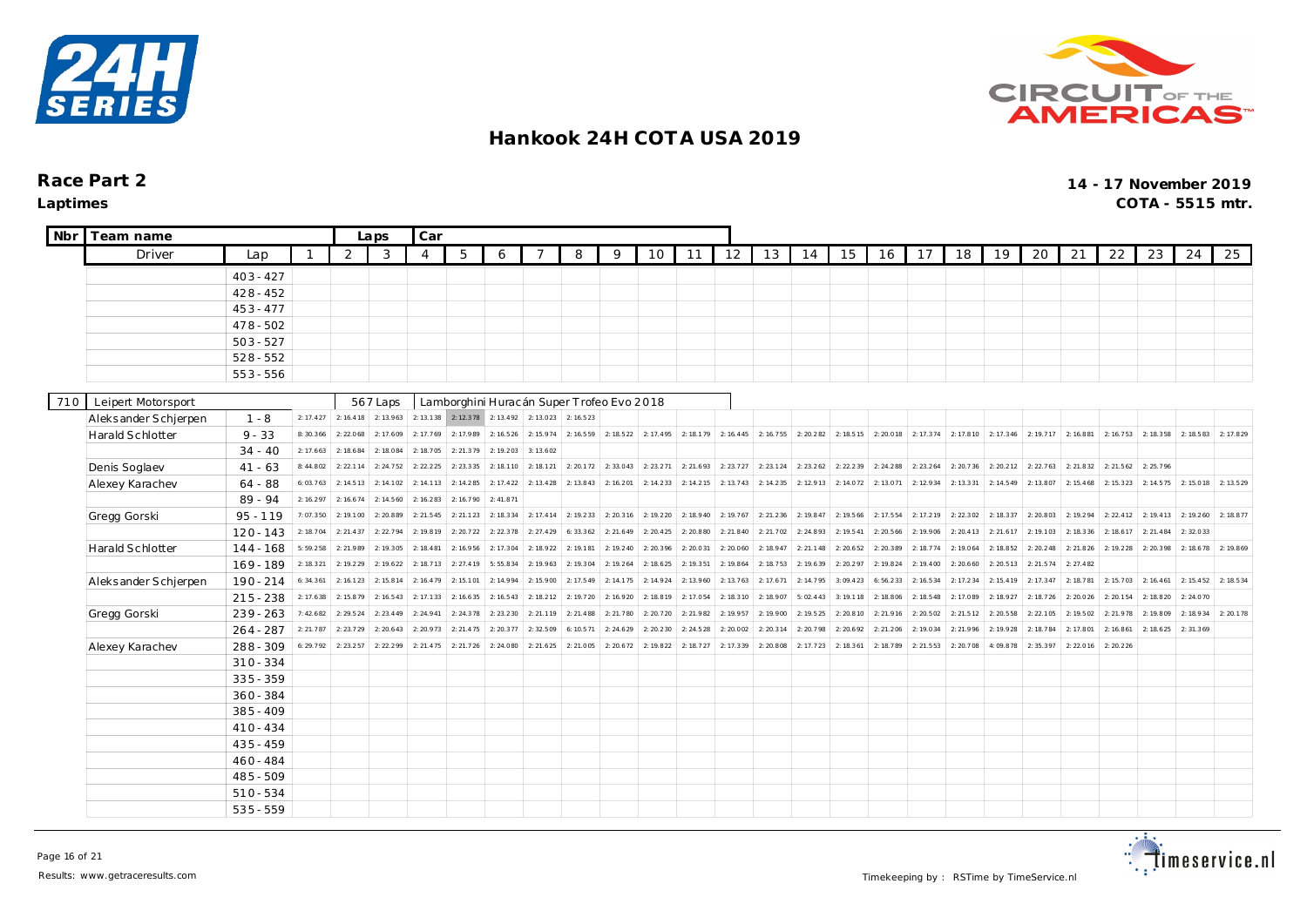



| <b>Nbr</b> | Team name            |             |           |           | Laps                  | Car            |                                           |           |           |           |           |           |           |           |           |           |           |           |           |           |           |           |           |           |                     |           |           |
|------------|----------------------|-------------|-----------|-----------|-----------------------|----------------|-------------------------------------------|-----------|-----------|-----------|-----------|-----------|-----------|-----------|-----------|-----------|-----------|-----------|-----------|-----------|-----------|-----------|-----------|-----------|---------------------|-----------|-----------|
|            | Driver               | Lap         |           | 2         | 3                     | $\overline{4}$ | 5                                         | 6         |           | 8         | 9         | 10        | 11        | 12        | 13        | 14        | 15        | 16        | 17        | 18        | 19        | 20        | 21        | 22        | 23                  | 24        | 25        |
|            |                      | $403 - 427$ |           |           |                       |                |                                           |           |           |           |           |           |           |           |           |           |           |           |           |           |           |           |           |           |                     |           |           |
|            |                      | $428 - 452$ |           |           |                       |                |                                           |           |           |           |           |           |           |           |           |           |           |           |           |           |           |           |           |           |                     |           |           |
|            |                      | $453 - 477$ |           |           |                       |                |                                           |           |           |           |           |           |           |           |           |           |           |           |           |           |           |           |           |           |                     |           |           |
|            |                      | $478 - 502$ |           |           |                       |                |                                           |           |           |           |           |           |           |           |           |           |           |           |           |           |           |           |           |           |                     |           |           |
|            |                      | $503 - 527$ |           |           |                       |                |                                           |           |           |           |           |           |           |           |           |           |           |           |           |           |           |           |           |           |                     |           |           |
|            |                      | $528 - 552$ |           |           |                       |                |                                           |           |           |           |           |           |           |           |           |           |           |           |           |           |           |           |           |           |                     |           |           |
|            |                      | $553 - 556$ |           |           |                       |                |                                           |           |           |           |           |           |           |           |           |           |           |           |           |           |           |           |           |           |                     |           |           |
| 710        | Leipert Motorsport   |             |           |           | 567 Laps              |                | Lamborghini Huracán Super Trofeo Evo 2018 |           |           |           |           |           |           |           |           |           |           |           |           |           |           |           |           |           |                     |           |           |
|            | Aleksander Schjerpen | $1 - 8$     | 2: 17.427 |           | $2: 16.418$ 2: 13.963 |                | $2: 13.138$ $2: 12.378$                   | 2: 13.492 | 2: 13.023 | 2: 16.523 |           |           |           |           |           |           |           |           |           |           |           |           |           |           |                     |           |           |
|            | Harald Schlotter     | $9 - 33$    | 8:30.366  | 2:22.068  | 2: 17.609             | 2: 17.769      | 2:17.989                                  | 2: 16.526 | 2:15.974  | 2: 16.559 | 2: 18.522 | 2: 17.495 | 2:18.179  | 2: 16.445 | 2:16.755  | 2:20.282  | 2: 18.515 | 2:20.018  | 2: 17.374 | 2: 17.810 | 2: 17.346 | 2: 19.717 | 2:16.881  | 2: 16.753 | 2: 18.358           | 2:18.583  | 2: 17.829 |
|            |                      | $34 - 40$   | 2: 17.663 | 2: 18.684 | 2:18.084              | 2:18.705       | 2:21.379                                  | 2:19.203  | 3:13.602  |           |           |           |           |           |           |           |           |           |           |           |           |           |           |           |                     |           |           |
|            | Denis Soglaev        | $41 - 63$   | 8:44.802  | 2: 22.114 | 2: 24.752             | 2: 22.225      | 2:23.335                                  | 2: 18.110 | 2: 18.121 | 2: 20.172 | 2: 33.043 | 2: 23.271 | 2:21.693  | 2:23.727  | 2: 23.124 | 2: 23.262 | 2: 22.239 | 2: 24.288 | 2: 23.264 | 2: 20.736 | 2: 20.212 | 2: 22.763 | 2: 21.832 | 2: 21.562 | 2:25.796            |           |           |
|            | Alexey Karachev      | $64 - 88$   | 6:03.763  | 2: 14.513 | 2: 14.102             | 2: 14.113      | 2: 14.285                                 | 2: 17.422 | 2: 13.428 | 2: 13.843 | 2: 16.201 | 2: 14.233 | 2: 14.215 | 2: 13.743 | 2:14.235  | 2: 12.913 | 2:14.072  | 2:13.071  | 2: 12.934 | 2: 13.331 | 2: 14.549 | 2:13.807  | 2: 15.468 |           | 2: 15.323 2: 14.575 | 2:15.018  | 2: 13.529 |
|            |                      | $89 - 94$   | 2: 16.297 | 2: 16.674 | 2: 14.560             | 2: 16.283      | 2:16.790                                  | 2: 41.871 |           |           |           |           |           |           |           |           |           |           |           |           |           |           |           |           |                     |           |           |
|            | Gregg Gorski         | $95 - 119$  | 7:07.350  | 2:19.100  | 2:20.889              | 2: 21.545      | 2: 21.123                                 | 2: 18.334 | 2: 17.414 | 2: 19.233 | 2: 20.316 | 2:19.220  | 2:18.940  | 2: 19.767 | 2: 21.236 | 2: 19.847 | 2:19.566  | 2: 17.554 | 2: 17.219 | 2: 22.302 | 2: 18.337 | 2:20.803  | 2:19.294  | 2: 22.412 | 2:19.413            | 2:19.260  | 2: 18.877 |
|            |                      | $120 - 143$ | 2:18.704  | 2: 21.437 | 2: 22.794             | 2:19.819       | 2: 20.722                                 | 2: 22.378 | 2: 27.429 | 6:33.362  | 2: 21.649 | 2: 20.425 | 2:20.880  | 2: 21.840 | 2:21.702  | 2:24.893  | 2: 19.541 | 2: 20.566 | 2:19.906  | 2: 20.413 | 2: 21.617 | 2:19.103  | 2:18.336  | 2: 18.617 | 2: 21.484           | 2:32.033  |           |
|            | Harald Schlotter     | $144 - 168$ | 5:59.258  | 2:21.989  | 2: 19.305             | 2: 18.481      | 2:16.956                                  | 2: 17.304 | 2:18.922  | 2: 19.181 | 2: 19.240 | 2: 20.396 | 2:20.031  | 2:20.060  | 2:18.947  | 2: 21.148 | 2: 20.652 | 2: 20.389 | 2: 18.774 | 2:19.064  | 2: 18.852 | 2: 20.248 | 2:21.826  | 2:19.228  | 2: 20.398           | 2:18.678  | 2:19.869  |
|            |                      | $169 - 189$ | 2: 18.321 | 2: 19.229 | 2: 19.622             | 2:18.713       | 2: 27.419                                 | 5:55.834  | 2:19.963  | 2: 19.304 | 2: 19.264 | 2: 18.625 | 2:19.351  | 2:19.864  | 2:18.753  | 2:19.639  | 2: 20.297 | 2: 19.824 | 2: 19.400 | 2: 20.660 | 2: 20.513 | 2: 21.574 | 2: 27.482 |           |                     |           |           |
|            | Aleksander Schjerpen | $190 - 214$ | 6:34.361  | 2: 16.123 | 2: 15.814             | 2: 16.479      | 2:15.101                                  | 2: 14.994 | 2:15.900  | 2: 17.549 | 2: 14.175 | 2: 14.924 | 2: 13.960 | 2: 13.763 | 2:17.671  | 2:14.795  | 3:09.423  | 6:56.233  | 2: 16.534 | 2:17.234  | 2: 15.419 | 2: 17.347 | 2:18.781  | 2: 15.703 | 2: 16.461           | 2: 15.452 | 2: 18.534 |
|            |                      | $215 - 238$ | 2: 17.638 | 2: 15.879 | 2: 16.543             | 2: 17.133      | 2: 16.635                                 | 2: 16.543 | 2: 18.212 | 2:19.720  | 2:16.920  | 2:18.819  | 2: 17.054 | 2: 18.310 | 2:18.907  | 5:02.443  | 3:19.118  | 2:18.806  | 2: 18.548 | 2:17.089  | 2:18.927  | 2: 18.726 | 2:20.026  | 2: 20.154 | 2:18.820            | 2:24.070  |           |
|            | Gregg Gorski         | $239 - 263$ | : 42.682  | 2:29.524  | 2: 23.449             | 2: 24.941      | 2:24.378                                  | 2: 23.230 | 2:21.119  | 2: 21.488 | 2: 21.780 | 2:20.720  | 2:21.982  | 2:19.957  | 2:19.900  | 2:19.525  | 2:20.810  | 2: 21.916 | 2: 20.502 | 2: 21.512 | 2: 20.558 | 2: 22.105 | 2:19.502  | 2: 21.978 | 2:19.809            | 2:18.934  | 2: 20.178 |
|            |                      | $264 - 287$ | 2: 21.787 | 2:23.729  | 2: 20.643             | 2: 20.973      | 2:21.475                                  | 2: 20.377 | 2:32.509  | 6:10.571  | 2: 24.629 | 2:20.230  | 2: 24.528 | 2:20.002  | 2:20.314  | 2:20.798  | 2: 20.692 | 2: 21.206 | 2:19.034  | 2:21.996  | 2:19.928  | 2: 18.784 | 2:17.801  | 2: 16.861 | 2: 18.625           | 2:31.369  |           |
|            | Alexey Karachev      | $288 - 309$ | 6: 29.792 | 2:23.257  | 2: 22.299             | 2: 21.475      | 2:21.726                                  | 2:24.080  | 2: 21.625 | 2:21.005  | 2: 20.672 | 2:19.822  | 2:18.727  | 2:17.339  | 2:20.808  | 2: 17.723 | 2: 18.361 | 2:18.789  | 2: 21.553 | 2:20.708  | 4:09.878  | 2: 35.397 | 2:22.016  | 2: 20.226 |                     |           |           |
|            |                      | $310 - 334$ |           |           |                       |                |                                           |           |           |           |           |           |           |           |           |           |           |           |           |           |           |           |           |           |                     |           |           |
|            |                      | $335 - 359$ |           |           |                       |                |                                           |           |           |           |           |           |           |           |           |           |           |           |           |           |           |           |           |           |                     |           |           |
|            |                      | $360 - 384$ |           |           |                       |                |                                           |           |           |           |           |           |           |           |           |           |           |           |           |           |           |           |           |           |                     |           |           |
|            |                      | $385 - 409$ |           |           |                       |                |                                           |           |           |           |           |           |           |           |           |           |           |           |           |           |           |           |           |           |                     |           |           |
|            |                      | $410 - 434$ |           |           |                       |                |                                           |           |           |           |           |           |           |           |           |           |           |           |           |           |           |           |           |           |                     |           |           |
|            |                      | $435 - 459$ |           |           |                       |                |                                           |           |           |           |           |           |           |           |           |           |           |           |           |           |           |           |           |           |                     |           |           |
|            |                      | $460 - 484$ |           |           |                       |                |                                           |           |           |           |           |           |           |           |           |           |           |           |           |           |           |           |           |           |                     |           |           |
|            |                      | $485 - 509$ |           |           |                       |                |                                           |           |           |           |           |           |           |           |           |           |           |           |           |           |           |           |           |           |                     |           |           |
|            |                      | $510 - 534$ |           |           |                       |                |                                           |           |           |           |           |           |           |           |           |           |           |           |           |           |           |           |           |           |                     |           |           |
|            |                      | $535 - 559$ |           |           |                       |                |                                           |           |           |           |           |           |           |           |           |           |           |           |           |           |           |           |           |           |                     |           |           |

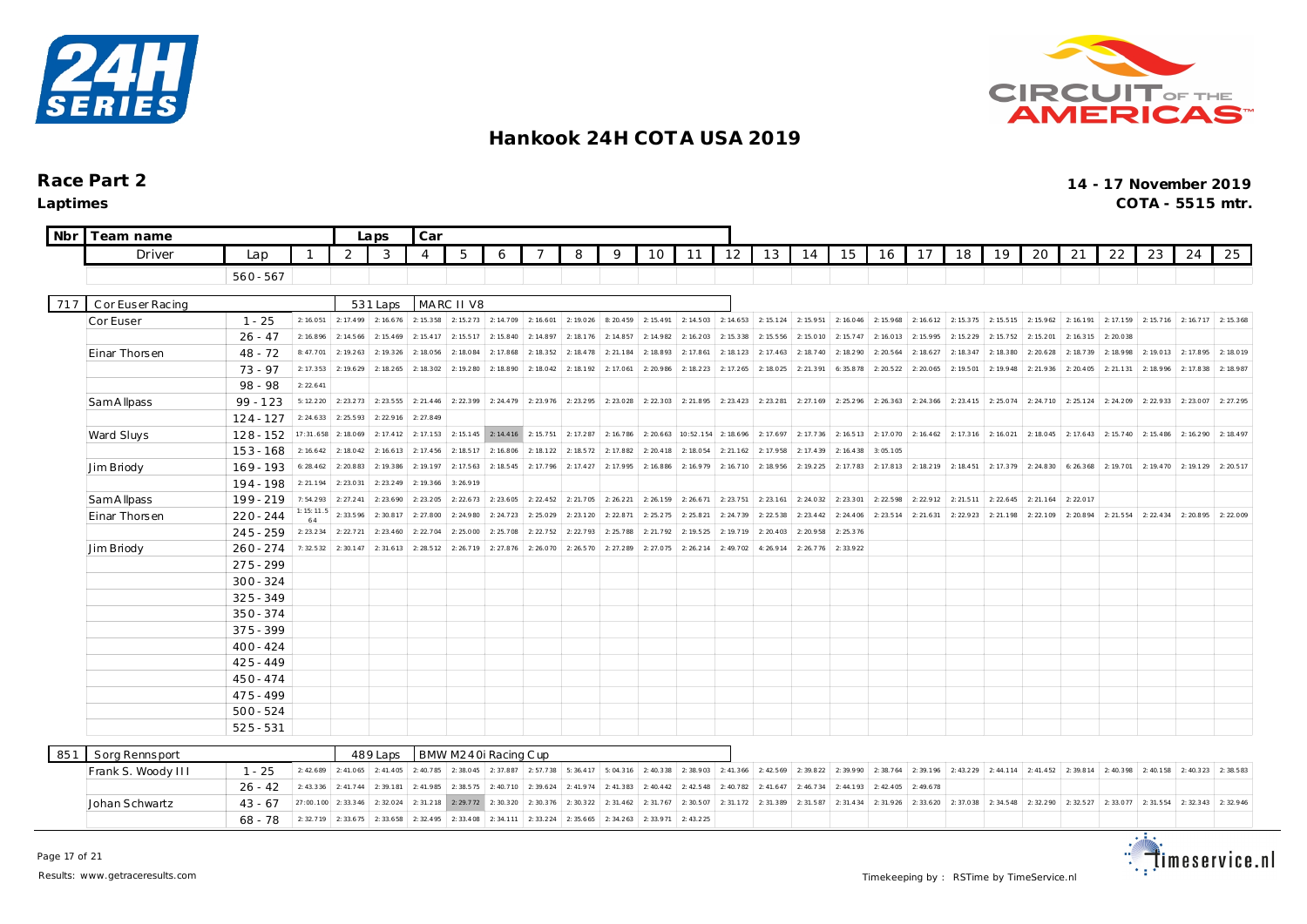



| Nbr | Team name          |             |                       |                     | Laps                            | Car                   |                       |                      |                     |           |           |           |           |           |           |           |           |           |           |           |           |           |                     |                     |                       |           |           |
|-----|--------------------|-------------|-----------------------|---------------------|---------------------------------|-----------------------|-----------------------|----------------------|---------------------|-----------|-----------|-----------|-----------|-----------|-----------|-----------|-----------|-----------|-----------|-----------|-----------|-----------|---------------------|---------------------|-----------------------|-----------|-----------|
|     | Driver             | Lap         |                       | 2                   | 3                               | $\overline{4}$        | 5                     | 6                    |                     | 8         | 9         | 10        | 11        | 12        | 13        | 14        | 15        | 16        | 17        | 18        | 19        | 20        | 21                  | 22                  | 23                    | 24        | 25        |
|     |                    | $560 - 567$ |                       |                     |                                 |                       |                       |                      |                     |           |           |           |           |           |           |           |           |           |           |           |           |           |                     |                     |                       |           |           |
|     |                    |             |                       |                     |                                 |                       |                       |                      |                     |           |           |           |           |           |           |           |           |           |           |           |           |           |                     |                     |                       |           |           |
| 717 | C or Euser Racing  |             |                       |                     | 531 Laps                        |                       | MARC II V8            |                      |                     |           |           |           |           |           |           |           |           |           |           |           |           |           |                     |                     |                       |           |           |
|     | Cor Euser          | $1 - 25$    | 2:16.051              | 2: 17.499 2: 16.676 |                                 | 2: 15.358             | 2:15.273              | 2:14.709             | 2: 16.601           | 2:19.026  | 8:20.459  | 2: 15.491 | 2: 14.503 | 2: 14.653 | 2: 15.124 | 2:15.951  | 2: 16.046 | 2: 15.968 | 2: 16.612 | 2: 15.375 | 2: 15.515 | 2: 15.962 | 2: 16.191           | 2: 17.159           | 2: 15.7 16 2: 16.7 17 |           | 2: 15.368 |
|     |                    | $26 - 47$   | 2: 16.896             | 2: 14.566           | 2: 15.469                       | 2: 15.417             | 2:15.517              | 2: 15.840            | 2: 14.897           | 2:18.176  | 2: 14.857 | 2:14.982  | 2: 16.203 | 2:15.338  | 2: 15.556 | 2: 15.010 | 2: 15.747 | 2: 16.013 | 2: 15.995 | 2: 15.229 | 2: 15.752 | 2: 15.201 | 2: 16.315           | 2:20.038            |                       |           |           |
|     | Einar Thorsen      | $48 - 72$   | 8:47.701              | 2: 19.263           | 2:19.326                        | 2:18.056              | 2:18.084              | 2: 17.868            | 2:18.352            | 2: 18.478 | 2: 21.184 | 2:18.893  | 2: 17.861 | 2: 18.123 | 2: 17.463 | 2: 18.740 | 2:18.290  | 2: 20.564 | 2: 18.627 | 2: 18.347 | 2:18.380  | 2: 20.628 | 2:18.739            | 2:18.998            | 2:19.013              | 2:17.895  | 2:18.019  |
|     |                    | $73 - 97$   | 2: 17.353             | 2:19.629            | 2: 18.265                       | 2: 18.302             | 2:19.280              | 2:18.890             | 2:18.042            | 2:18.192  | 2: 17.061 | 2:20.986  | 2: 18.223 | 2: 17.265 | 2:18.025  | 2: 21.391 | 6:35.878  | 2: 20.522 | 2:20.065  | 2: 19.501 | 2: 19.948 | 2: 21.936 | 2: 20.405           | 2: 21.131           | 2: 18.996             | 2:17.838  | 2:18.987  |
|     |                    | 98 - 98     | 2: 22.641             |                     |                                 |                       |                       |                      |                     |           |           |           |           |           |           |           |           |           |           |           |           |           |                     |                     |                       |           |           |
|     | Sam A Ilpass       | $99 - 123$  | 5:12.220              | 2: 23.273 2: 23.555 |                                 | 2: 21.446             | 2:22.399              | 2: 24.479            | 2:23.976            | 2:23.295  | 2:23.028  | 2: 22.303 | 2: 21.895 | 2: 23.423 | 2: 23.281 | 2: 27.169 | 2: 25.296 | 2: 26.363 | 2: 24.366 | 2: 23.415 | 2: 25.074 | 2: 24.710 | 2:25.124            | 2: 24.209           | 2:22.933              | 2:23.007  | 2: 27.295 |
|     |                    | $124 - 127$ | 2: 24.633             | 2: 25.593           | 2: 22.916                       | 2: 27.849             |                       |                      |                     |           |           |           |           |           |           |           |           |           |           |           |           |           |                     |                     |                       |           |           |
|     | Ward Sluys         | $128 - 152$ | 17:31.658             | 2:18.069            | 2: 17.412                       | 2:17.153              | 2:15.145              | 2: 14.416            | 2:15.751            | 2: 17.287 | 2: 16.786 | 2: 20.663 | 10:52.154 | 2: 18.696 | 2:17.697  | 2: 17.736 | 2: 16.513 | 2: 17.070 | 2: 16.462 | 2: 17.316 | 2:16.021  | 2:18.045  | 2: 17.643           | 2:15.740            | 2: 15.486             | 2: 16.290 | 2: 18.497 |
|     |                    | $153 - 168$ | 2: 16.642             | 2:18.042            | 2: 16.613                       | 2: 17.456             | 2: 18.517             | 2:16.806             | 2: 18.122           | 2: 18.572 | 2:17.882  | 2: 20.418 | 2:18.054  | 2: 21.162 | 2:17.958  | 2: 17.439 | 2: 16.438 | 3:05.105  |           |           |           |           |                     |                     |                       |           |           |
|     | Jim Briody         | $169 - 193$ | 6: 28.462             | 2:20.883            | 2:19.386                        | 2:19.197              | 2:17.563              | 2: 18.545            | 2:17.796            | 2: 17.427 | 2:17.995  | 2: 16.886 | 2:16.979  | 2: 16.710 | 2:18.956  | 2: 19.225 | 2:17.783  | 2:17.813  | 2: 18.219 | 2: 18.451 | 2:17.379  | 2: 24.830 | 6: 26.368           | 2:19.701            | 2:19.470              | 2:19.129  | 2: 20.517 |
|     |                    | 194 - 198   | 2: 21.194             | 2: 23.031           | 2: 23.249                       | 2: 19.366             | 3:26.919              |                      |                     |           |           |           |           |           |           |           |           |           |           |           |           |           |                     |                     |                       |           |           |
|     | Sam A Ilpass       | 199 - 219   | 7:54.293<br>: 15: 11. | 2: 27.241           | 2: 23.690                       | 2: 23.205             | 2: 22.673             | 2: 23.605            | 2: 22.452           | 2:21.705  | 2: 26.221 | 2:26.159  | 2: 26.671 | 2:23.751  | 2: 23.161 | 2: 24.032 | 2: 23.301 | 2: 22.598 | 2: 22.912 | 2: 21.511 | 2: 22.645 | 2: 21.164 | 2:22.017            |                     |                       |           |           |
|     | Einar Thorsen      | $220 - 244$ |                       | 2:33.596            | 2:30.817                        | 2:27.800              | 2:24.980              | 2: 24.723            | 2:25.029            | 2: 23.120 | 2: 22.871 | 2: 25.275 | 2: 25.821 | 2:24.739  | 2: 22.538 | 2: 23.442 | 2: 24.406 | 2: 23.514 | 2: 21.631 | 2:22.923  | 2: 21.198 | 2: 22.109 | 2: 20.894           | 2: 21.554           | 2: 22.434             | 2: 20.895 | 2:22.009  |
|     |                    | $245 - 259$ | 2: 23.234             | 2: 22.721           | 2: 23.460                       | 2: 22.704             | 2:25.000              | 2:25.708             | 2: 22.752           | 2:22.793  | 2:25.788  | 2:21.792  | 2:19.525  | 2:19.719  | 2: 20.403 | 2: 20.958 | 2: 25.376 |           |           |           |           |           |                     |                     |                       |           |           |
|     | Jim Briody         | $260 - 274$ | 7: 32.532             | 2:30.147            | 2:31.613                        | 2: 28.512             | 2:26.719              | 2: 27.876            | 2:26.070            | 2:26.570  | 2: 27.289 | 2: 27.075 | 2: 26.214 | 2:49.702  | 4:26.914  | 2: 26.776 | 2:33.922  |           |           |           |           |           |                     |                     |                       |           |           |
|     |                    | $275 - 299$ |                       |                     |                                 |                       |                       |                      |                     |           |           |           |           |           |           |           |           |           |           |           |           |           |                     |                     |                       |           |           |
|     |                    | $300 - 324$ |                       |                     |                                 |                       |                       |                      |                     |           |           |           |           |           |           |           |           |           |           |           |           |           |                     |                     |                       |           |           |
|     |                    | $325 - 349$ |                       |                     |                                 |                       |                       |                      |                     |           |           |           |           |           |           |           |           |           |           |           |           |           |                     |                     |                       |           |           |
|     |                    | $350 - 374$ |                       |                     |                                 |                       |                       |                      |                     |           |           |           |           |           |           |           |           |           |           |           |           |           |                     |                     |                       |           |           |
|     |                    | 375 - 399   |                       |                     |                                 |                       |                       |                      |                     |           |           |           |           |           |           |           |           |           |           |           |           |           |                     |                     |                       |           |           |
|     |                    | $400 - 424$ |                       |                     |                                 |                       |                       |                      |                     |           |           |           |           |           |           |           |           |           |           |           |           |           |                     |                     |                       |           |           |
|     |                    | $425 - 449$ |                       |                     |                                 |                       |                       |                      |                     |           |           |           |           |           |           |           |           |           |           |           |           |           |                     |                     |                       |           |           |
|     |                    | $450 - 474$ |                       |                     |                                 |                       |                       |                      |                     |           |           |           |           |           |           |           |           |           |           |           |           |           |                     |                     |                       |           |           |
|     |                    | $475 - 499$ |                       |                     |                                 |                       |                       |                      |                     |           |           |           |           |           |           |           |           |           |           |           |           |           |                     |                     |                       |           |           |
|     |                    | $500 - 524$ |                       |                     |                                 |                       |                       |                      |                     |           |           |           |           |           |           |           |           |           |           |           |           |           |                     |                     |                       |           |           |
|     |                    | $525 - 531$ |                       |                     |                                 |                       |                       |                      |                     |           |           |           |           |           |           |           |           |           |           |           |           |           |                     |                     |                       |           |           |
| 851 | Sorg Rennsport     |             |                       |                     | 489 Laps                        |                       |                       | BMW M240i Racing Cup |                     |           |           |           |           |           |           |           |           |           |           |           |           |           |                     |                     |                       |           |           |
|     | Frank S. Woody III | $1 - 25$    | 2:42.689              |                     | 2: 41.065 2: 41.405             |                       | $2: 40.785$ 2: 38.045 | 2:37.887             | 2:57.738            | 5:36.417  | 5:04.316  | 2: 40.338 | 2:38.903  | 2: 41.366 | 2: 42.569 | 2:39.822  | 2:39.990  | 2:38.764  | 2:39.196  | 2: 43.229 | 2: 44.114 |           | 2: 41.452 2: 39.814 | 2: 40.398 2: 40.158 |                       | 2:40.323  | 2:38.583  |
|     |                    | $26 - 42$   | 2: 43.336             | 2:41.744            | 2:39.181                        | 2: 41.985             | 2:38.575              | 2: 40.710            | 2:39.624            | 2:41.974  | 2: 41.383 | 2: 40.442 | 2: 42.548 | 2: 40.782 | 2: 41.647 | 2:46.734  | 2: 44.193 | 2: 42.405 | 2:49.678  |           |           |           |                     |                     |                       |           |           |
|     | Johan Schwartz     | $43 - 67$   | 27:00.100 2:33.346    |                     | 2:32.024                        | 2:31.218              | 2: 29.772             | 2:30.320             | 2:30.376            | 2:30.322  | 2: 31.462 | 2: 31.767 | 2:30.507  | 2:31.172  | 2:31.389  | 2:31.587  | 2: 31.434 | 2:31.926  | 2: 33.620 | 2:37.038  | 2: 34.548 | 2:32.290  | 2:32.527            | 2:33.077            | 2:31.554              | 2:32.343  | 2:32.946  |
|     |                    | $68 - 78$   |                       |                     | $2: 32.719$ 2: 33.675 2: 33.658 | $2: 32.495$ 2: 33.408 |                       |                      | 2: 34.111 2: 33.224 | 2:35.665  | 2: 34.263 | 2:33.971  | 2: 43.225 |           |           |           |           |           |           |           |           |           |                     |                     |                       |           |           |
|     |                    |             |                       |                     |                                 |                       |                       |                      |                     |           |           |           |           |           |           |           |           |           |           |           |           |           |                     |                     |                       |           |           |

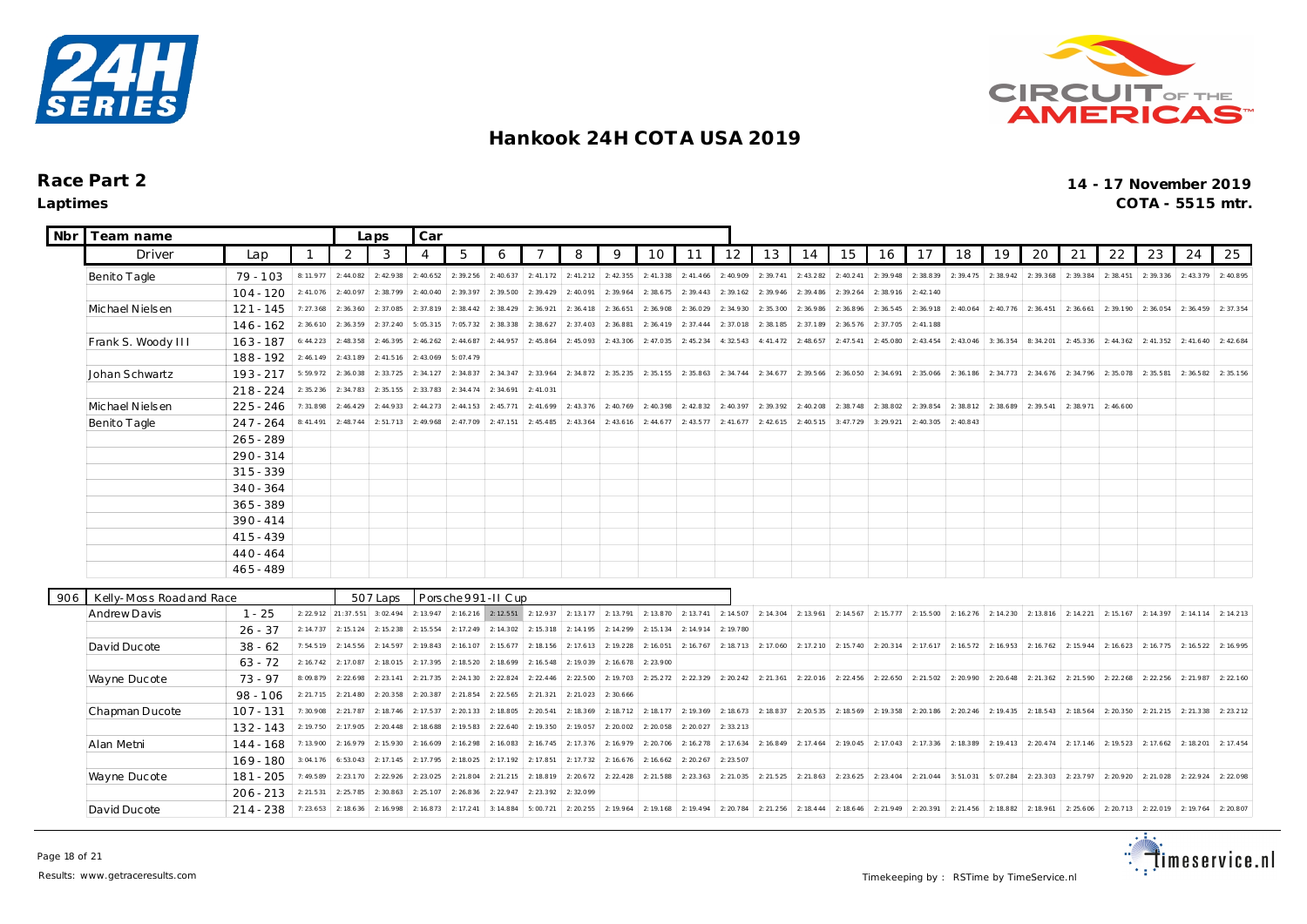



| <b>Nbr</b> | Team name               |             |           | Laps                | Car       |                |                    |           |           |           |           |           |           |           |           |                               |                                                                                                                                                                           |                                         |           |                       |           |           |           |                       |           |           |           |
|------------|-------------------------|-------------|-----------|---------------------|-----------|----------------|--------------------|-----------|-----------|-----------|-----------|-----------|-----------|-----------|-----------|-------------------------------|---------------------------------------------------------------------------------------------------------------------------------------------------------------------------|-----------------------------------------|-----------|-----------------------|-----------|-----------|-----------|-----------------------|-----------|-----------|-----------|
|            | Driver                  | Lap         |           | 2                   | 3         | $\overline{4}$ | 5                  | 6         | 7         | 8         | 9         | 10        | 11        | 12        | 13        | 14                            | 15                                                                                                                                                                        | 16                                      | 17        | 18                    | 19        | 20        | 21        | 22                    | 23        | 24        | 25        |
|            | Benito Tagle            | $79 - 103$  | 8:11.977  | 2:44.082            | 2:42.938  | 2:40.652       | 2:39.256           | 2: 40.637 | 2: 41.172 | 2: 41.212 | 2: 42.355 | 2:41.338  | 2: 41.466 | 2:40.909  | 2:39.741  | 2: 43.282                     | 2: 40.241                                                                                                                                                                 | 2:39.948                                | 2: 38.839 | 2:39.475              | 2:38.942  | 2:39.368  | 2:39.384  | 2:38.451              | 2: 39.336 | 2:43.379  | 2:40.895  |
|            |                         | $104 - 120$ | 2: 41.076 | 2:40.097            | 2:38.799  | 2:40.040       | 2:39.397           | 2:39.500  | 2:39.429  | 2:40.091  | 2:39.964  | 2:38.675  | 2:39.443  | 2:39.162  | 2:39.946  | 2:39.486                      | 2:39.264                                                                                                                                                                  | 2:38.916                                | 2: 42.140 |                       |           |           |           |                       |           |           |           |
|            | Michael Nielsen         | $121 - 145$ | 7:27.368  | 2: 36.360           | 2:37.085  | 2: 37.819      | 2: 38.442          | 2:38.429  | 2:36.921  | 2: 36.418 | 2:36.651  | 2:36.908  | 2:36.029  | 2:34.930  | 2:35.300  | 2:36.986                      | 2:36.896                                                                                                                                                                  | 2: 36.545                               | 2:36.918  | 2:40.064              | 2: 40.776 | 2: 36.451 | 2:36.661  | 2:39.190              | 2:36.054  | 2: 36.459 | 2: 37.354 |
|            |                         | $146 - 162$ | 2:36.610  | 2:36.359            | 2:37.240  | 5:05.315       | 7:05.732           | 2:38.338  | 2: 38.627 | 2: 37.403 | 2:36.881  | 2:36.419  | 2: 37.444 | 2:37.018  | 2:38.185  | 2:37.189                      | 2:36.576                                                                                                                                                                  | 2:37.705                                | 2: 41.188 |                       |           |           |           |                       |           |           |           |
|            | Frank S. Woody III      | $163 - 187$ | 6: 44.223 | 2:48.358            | 2:46.395  | 2:46.262       | 2: 44.687          | 2:44.957  | 2:45.864  | 2:45.093  | 2: 43.306 | 2:47.035  | 2:45.234  | 4:32.543  | 4: 41.472 | 2:48.657                      | 2: 47.541                                                                                                                                                                 | 2:45.080                                | 2: 43.454 | 2: 43.046             | 3:36.354  | 8:34.201  | 2: 45.336 | 2: 44.362             | 2: 41.352 | 2: 41.640 | 2:42.684  |
|            |                         | 188 - 192   | 2:46.149  | 2:43.189            | 2: 41.516 | 2:43.069       | 5:07.479           |           |           |           |           |           |           |           |           |                               |                                                                                                                                                                           |                                         |           |                       |           |           |           |                       |           |           |           |
|            | Johan Schwartz          | $193 - 217$ | 5:59.972  | 2:36.038            | 2: 33.725 | 2: 34.127      | 2:34.837           | 2: 34.347 | 2: 33.964 | 2: 34.872 | 2: 35.235 | 2:35.155  | 2: 35.863 | 2: 34.744 | 2: 34.677 | 2:39.566                      | 2:36.050                                                                                                                                                                  | 2: 34.691                               | 2:35.066  | 2:36.186              | 2: 34.773 | 2: 34.676 | 2: 34.796 | 2:35.078              | 2:35.581  | 2:36.582  | 2: 35.156 |
|            |                         | $218 - 224$ | 2: 35.236 | 2:34.783            | 2:35.155  | 2:33.783       | 2: 34.474          | 2:34.691  | 2: 41.031 |           |           |           |           |           |           |                               |                                                                                                                                                                           |                                         |           |                       |           |           |           |                       |           |           |           |
|            | Michael Nielsen         | $225 - 246$ | 7:31.898  | 2:46.429            | 2: 44.933 | 2: 44.273      | 2: 44.153          | 2:45.771  | 2: 41.699 | 2: 43.376 | 2: 40.769 | 2:40.398  | 2: 42.832 | 2: 40.397 | 2:39.392  | 2:40.208                      | 2:38.748                                                                                                                                                                  | 2:38.802                                | 2:39.854  | 2:38.812              | 2:38.689  | 2:39.541  | 2:38.971  | 2:46.600              |           |           |           |
|            | Benito Tagle            | $247 - 264$ | 8:41.491  | 2:48.744            | 2: 51.713 | 2:49.968       | 2: 47.709          | 2:47.151  | 2: 45.485 | 2: 43.364 | 2: 43.616 | 2: 44.677 | 2: 43.577 | 2: 41.677 | 2: 42.615 | 2:40.515                      | 3: 47.729                                                                                                                                                                 | 3:29.921                                | 2: 40.305 | 2:40.843              |           |           |           |                       |           |           |           |
|            |                         | $265 - 289$ |           |                     |           |                |                    |           |           |           |           |           |           |           |           |                               |                                                                                                                                                                           |                                         |           |                       |           |           |           |                       |           |           |           |
|            |                         | $290 - 314$ |           |                     |           |                |                    |           |           |           |           |           |           |           |           |                               |                                                                                                                                                                           |                                         |           |                       |           |           |           |                       |           |           |           |
|            |                         | $315 - 339$ |           |                     |           |                |                    |           |           |           |           |           |           |           |           |                               |                                                                                                                                                                           |                                         |           |                       |           |           |           |                       |           |           |           |
|            |                         | $340 - 364$ |           |                     |           |                |                    |           |           |           |           |           |           |           |           |                               |                                                                                                                                                                           |                                         |           |                       |           |           |           |                       |           |           |           |
|            |                         | $365 - 389$ |           |                     |           |                |                    |           |           |           |           |           |           |           |           |                               |                                                                                                                                                                           |                                         |           |                       |           |           |           |                       |           |           |           |
|            |                         | $390 - 414$ |           |                     |           |                |                    |           |           |           |           |           |           |           |           |                               |                                                                                                                                                                           |                                         |           |                       |           |           |           |                       |           |           |           |
|            |                         | $415 - 439$ |           |                     |           |                |                    |           |           |           |           |           |           |           |           |                               |                                                                                                                                                                           |                                         |           |                       |           |           |           |                       |           |           |           |
|            |                         | $440 - 464$ |           |                     |           |                |                    |           |           |           |           |           |           |           |           |                               |                                                                                                                                                                           |                                         |           |                       |           |           |           |                       |           |           |           |
|            |                         | $465 - 489$ |           |                     |           |                |                    |           |           |           |           |           |           |           |           |                               |                                                                                                                                                                           |                                         |           |                       |           |           |           |                       |           |           |           |
| 906        | Kelly-Moss Roadand Race |             |           |                     | 507 Laps  |                | Porsche 991-II Cup |           |           |           |           |           |           |           |           |                               |                                                                                                                                                                           |                                         |           |                       |           |           |           |                       |           |           |           |
|            | Andrew Davis            | $1 - 25$    |           | 2: 22.912 21:37.551 | 3:02.494  | 2: 13.947      | 2: 16.216          | 2: 12.551 | 2:12.937  | 2: 13.177 | 2: 13.791 | 2:13.870  | 2: 13.741 | 2: 14.507 | 2: 14.304 | 2:13.961                      | 2: 14.567                                                                                                                                                                 | 2: 15.777                               | 2: 15.500 | 2: 16.276             | 2: 14.230 | 2: 13.816 | 2: 14.221 | 2: 15.167             | 2: 14.397 | 2: 14.114 | 2: 14.213 |
|            |                         | $26 - 37$   | 2: 14.737 | 2:15.124            | 2: 15.238 | 2: 15.554      | 2: 17.249          | 2:14.302  | 2: 15.318 | 2: 14.195 | 2: 14.299 | 2:15.134  | 2: 14.914 | 2:19.780  |           |                               |                                                                                                                                                                           |                                         |           |                       |           |           |           |                       |           |           |           |
|            | David Ducote            | $38 - 62$   | 7:54.519  | 2:14.556            | 2: 14.597 | 2:19.843       | 2: 16.107          | 2: 15.677 | 2: 18.156 | 2: 17.613 | 2:19.228  | 2:16.051  | 2: 16.767 | 2: 18.713 | 2: 17.060 | 2:17.210                      |                                                                                                                                                                           | $2: 15.740$ 2: 20.314                   | 2: 17.617 | 2:16.572              | 2: 16.953 | 2: 16.762 | 2: 15.944 | 2: 16.623             | 2: 16.775 | 2: 16.522 | 2:16.995  |
|            |                         | $63 - 72$   | 2: 16.742 | 2:17.087            | 2:18.015  | 2: 17.395      | 2: 18.520          | 2:18.699  | 2: 16.548 | 2:19.039  | 2: 16.678 | 2:23.900  |           |           |           |                               |                                                                                                                                                                           |                                         |           |                       |           |           |           |                       |           |           |           |
|            | Wayne Ducote            | $73 - 97$   | 8:09.879  | 2: 22.698           | 2: 23.141 | 2:21.735       | 2: 24.130          | 2: 22.824 | 2: 22.446 | 2:22.500  | 2:19.703  | 2: 25.272 | 2: 22.329 | 2: 20.242 | 2: 21.361 | 2:22.016                      | 2: 22.456                                                                                                                                                                 | 2: 22.650                               | 2: 21.502 | 2:20.990              | 2: 20.648 | 2: 21.362 | 2: 21.590 | 2: 22.268             | 2: 22.256 | 2:21.987  | 2: 22.160 |
|            |                         | $98 - 106$  | 2: 21.715 | 2: 21.480           | 2:20.358  | 2:20.387       | 2: 21.854          | 2: 22.565 | 2: 21.321 | 2:21.023  | 2:30.666  |           |           |           |           |                               |                                                                                                                                                                           |                                         |           |                       |           |           |           |                       |           |           |           |
|            | Chapman Ducote          | $107 - 131$ | 7:30.908  | 2: 21.787           | 2: 18.746 | 2: 17.537      | 2:20.133           | 2:18.805  | 2: 20.541 | 2:18.369  | 2: 18.712 | 2: 18.177 | 2: 19.369 | 2: 18.673 | 2: 18.837 | 2: 20.535                     | 2: 18.569                                                                                                                                                                 | 2:19.358                                | 2: 20.186 | 2: 20.246             | 2: 19.435 | 2: 18.543 | 2: 18.564 | 2: 20.350             | 2: 21.215 | 2: 21.338 | 2: 23.212 |
|            |                         | $132 - 143$ | 2:19.750  | 2:17.905            | 2: 20.448 | 2:18.688       | 2:19.583           | 2: 22.640 | 2: 19.350 | 2:19.057  | 2:20.002  | 2:20.058  | 2:20.027  | 2: 33.213 |           |                               |                                                                                                                                                                           |                                         |           |                       |           |           |           |                       |           |           |           |
|            | Alan Metni              | $144 - 168$ | 7:13.900  | 2:16.979            | 2: 15.930 | 2:16.609       | 2: 16.298          | 2:16.083  | 2: 16.745 | 2:17.376  | 2: 16.979 | 2: 20.706 | 2: 16.278 | 2: 17.634 | 2: 16.849 | 2:17.464                      |                                                                                                                                                                           | 2: 19.045 2: 17.043                     |           | $2: 17.336$ 2: 18.389 | 2:19.413  | 2: 20.474 | 2: 17.146 | 2:19.523              | 2: 17.662 | 2:18.201  | 2: 17.454 |
|            |                         | $169 - 180$ | 3:04.176  | 6:53.043            | 2: 17.145 | 2: 17.795      | 2:18.025           | 2: 17.192 | 2: 17.851 | 2.17732   | 2: 16.676 | 2: 16.662 | 2:20.267  | 2: 23.507 |           |                               |                                                                                                                                                                           |                                         |           |                       |           |           |           |                       |           |           |           |
|            | Wayne Ducote            | 181 - 205   | 7:49.589  | 2:23.170            | 2: 22.926 | 2:23.025       | 2: 21.804          | 2: 21.215 | 2: 18.819 | 2: 20.672 | 2: 22.428 | 2:21.588  | 2: 23.363 |           |           | 2: 21.035 2: 21.525 2: 21.863 |                                                                                                                                                                           | 2: 23.625 2: 23.404 2: 21.044 3: 51.031 |           |                       | 5:07.284  | 2:23.303  |           | $2: 23.797$ 2: 20.920 | 2: 21.028 | 2:22.924  | 2:22.098  |
|            |                         | $206 - 213$ | 2: 21.531 | 2:25.785            | 2:30.863  | 2: 25.107      | 2:26.836           | 2: 22.947 | 2: 23.392 | 2:32.099  |           |           |           |           |           |                               |                                                                                                                                                                           |                                         |           |                       |           |           |           |                       |           |           |           |
|            | David Ducote            | $214 - 238$ |           | 7: 23.653 2: 18.636 | 2:16.998  | 2: 16.873      | 2: 17.241          | 3:14.884  | 5:00.721  |           |           |           |           |           |           |                               | 2.20.25 2:19.964 2:19.168 2:19.168 2:19.494 2:20.784 2:21.256 2:18.444 2:18.646 2:21.949 2:20.391 2:21.456 2:18.882 2:18.961 2:25.606 2:20.713 2:22.019 2:19.764 2:20.807 |                                         |           |                       |           |           |           |                       |           |           |           |

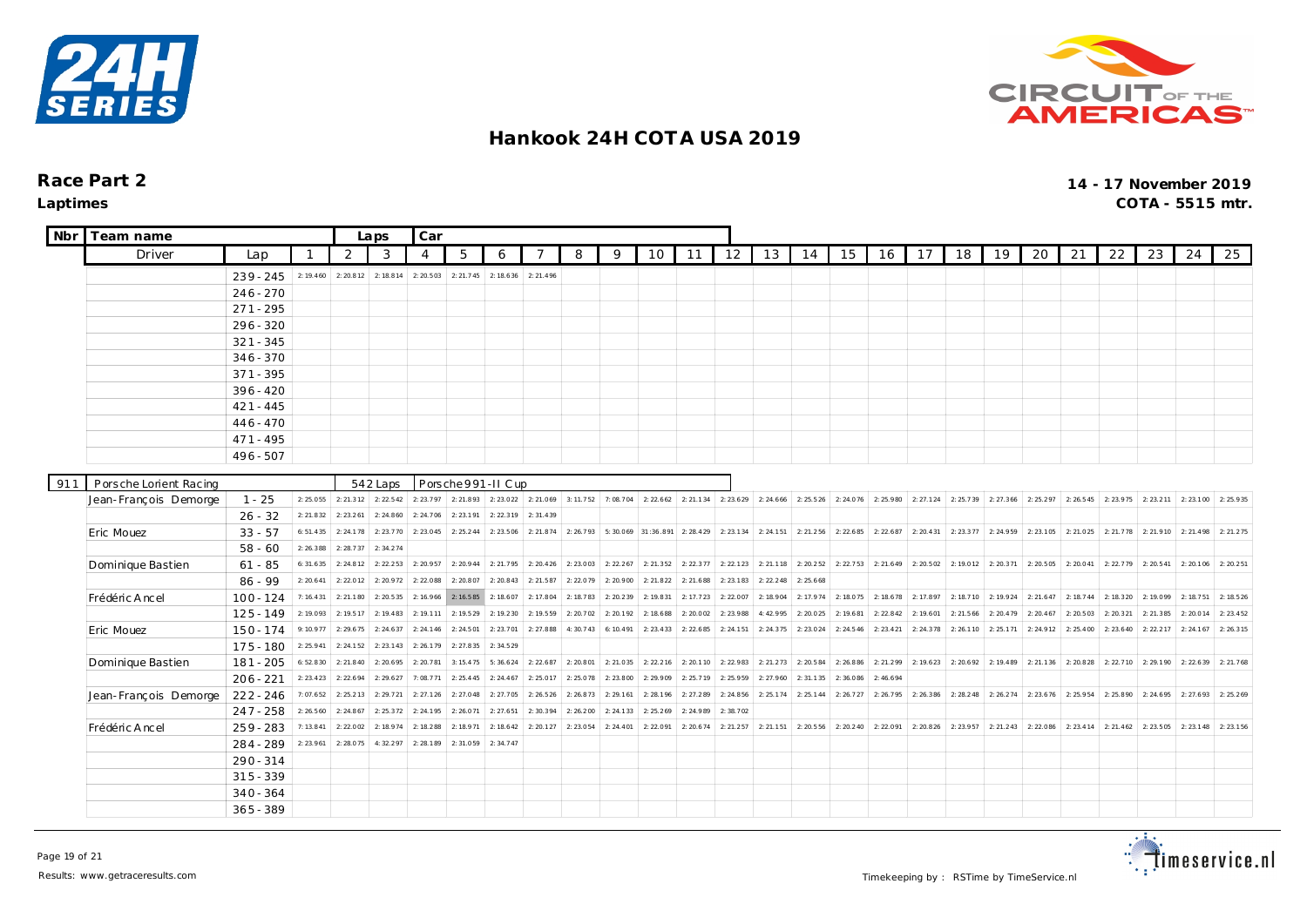



| <b>Nbr</b> | Team name              |                        |                      | Laps                  | Car                   |           |           |                                                                       |                       |                     |           |                    |           |           |           |                                                                                                   |                     |           |           |                     |           |           |                                                   |           |                       |           |           |
|------------|------------------------|------------------------|----------------------|-----------------------|-----------------------|-----------|-----------|-----------------------------------------------------------------------|-----------------------|---------------------|-----------|--------------------|-----------|-----------|-----------|---------------------------------------------------------------------------------------------------|---------------------|-----------|-----------|---------------------|-----------|-----------|---------------------------------------------------|-----------|-----------------------|-----------|-----------|
|            | Driver                 | Lap                    |                      | 2                     | 3                     | 4         | 5         | 6                                                                     |                       | 8                   | 9         | 10                 | 11        | 12        | 13        | 14                                                                                                | 15                  | 16        | 17        | 18                  | 19        | 20        | 21                                                | 22        | 23                    | 24        | 25        |
|            |                        | $239 - 245$            | 2: 19.460            | 2: 20.812             | 2: 18.814             | 2: 20.503 | 2:21.745  | 2: 18.636                                                             | 2: 21.496             |                     |           |                    |           |           |           |                                                                                                   |                     |           |           |                     |           |           |                                                   |           |                       |           |           |
|            |                        | $246 - 270$            |                      |                       |                       |           |           |                                                                       |                       |                     |           |                    |           |           |           |                                                                                                   |                     |           |           |                     |           |           |                                                   |           |                       |           |           |
|            |                        | $271 - 295$            |                      |                       |                       |           |           |                                                                       |                       |                     |           |                    |           |           |           |                                                                                                   |                     |           |           |                     |           |           |                                                   |           |                       |           |           |
|            |                        | $296 - 320$            |                      |                       |                       |           |           |                                                                       |                       |                     |           |                    |           |           |           |                                                                                                   |                     |           |           |                     |           |           |                                                   |           |                       |           |           |
|            |                        | $321 - 345$            |                      |                       |                       |           |           |                                                                       |                       |                     |           |                    |           |           |           |                                                                                                   |                     |           |           |                     |           |           |                                                   |           |                       |           |           |
|            |                        | $346 - 370$            |                      |                       |                       |           |           |                                                                       |                       |                     |           |                    |           |           |           |                                                                                                   |                     |           |           |                     |           |           |                                                   |           |                       |           |           |
|            |                        | $371 - 395$            |                      |                       |                       |           |           |                                                                       |                       |                     |           |                    |           |           |           |                                                                                                   |                     |           |           |                     |           |           |                                                   |           |                       |           |           |
|            |                        | $396 - 420$            |                      |                       |                       |           |           |                                                                       |                       |                     |           |                    |           |           |           |                                                                                                   |                     |           |           |                     |           |           |                                                   |           |                       |           |           |
|            |                        | $421 - 445$            |                      |                       |                       |           |           |                                                                       |                       |                     |           |                    |           |           |           |                                                                                                   |                     |           |           |                     |           |           |                                                   |           |                       |           |           |
|            |                        | $446 - 470$            |                      |                       |                       |           |           |                                                                       |                       |                     |           |                    |           |           |           |                                                                                                   |                     |           |           |                     |           |           |                                                   |           |                       |           |           |
|            |                        | $471 - 495$            |                      |                       |                       |           |           |                                                                       |                       |                     |           |                    |           |           |           |                                                                                                   |                     |           |           |                     |           |           |                                                   |           |                       |           |           |
|            |                        | 496 - 507              |                      |                       |                       |           |           |                                                                       |                       |                     |           |                    |           |           |           |                                                                                                   |                     |           |           |                     |           |           |                                                   |           |                       |           |           |
|            |                        |                        |                      |                       |                       |           |           |                                                                       |                       |                     |           |                    |           |           |           |                                                                                                   |                     |           |           |                     |           |           |                                                   |           |                       |           |           |
| 911        | Porsche Lorient Racing |                        |                      |                       | 542 Laps              |           |           | Porsche 991-II Cup                                                    |                       |                     |           |                    |           |           |           |                                                                                                   |                     |           |           |                     |           |           |                                                   |           |                       |           |           |
|            | Jean-François Demorge  | $1 - 25$               | 2:25.055             | 2: 21.312             | 2: 22.542             | 2: 23.797 |           | 2: 21.893 2: 23.022 2: 21.069 3: 11.752 7: 08.704 2: 22.662 2: 21.134 |                       |                     |           |                    |           |           |           | $\vert$ 2: 23.629 $\vert$ 2: 24.666 $\vert$ 2: 25.526 $\vert$ 2: 24.076 $\vert$ 2: 25.980 $\vert$ |                     |           |           | 2: 27.124 2: 25.739 | 2: 27.366 |           | 2: 25.297 2: 26.545 2: 23.975 2: 23.211 2: 23.100 |           |                       |           | 2:25.935  |
|            |                        | $26 - 32$              | 2: 21.832            | 2: 23.261             | 2: 24.860             | 2: 24.706 | 2:23.191  | 2: 22.319                                                             | 2:31.439              |                     |           |                    |           |           |           |                                                                                                   |                     |           |           |                     |           |           |                                                   |           |                       |           |           |
|            | Eric Mouez             | $33 - 57$              | 6:51.435             | 2:24.178<br>2: 28.737 | 2: 23.770<br>2:34.274 | 2: 23.045 | 2: 25.244 | 2: 23.506                                                             |                       | 2: 21.874 2: 26.793 |           | 5:30.069 31:36.891 | 2: 28.429 | 2: 23.134 | 2: 24.151 | 2: 21.256                                                                                         | 2:22.685            | 2: 22.687 | 2: 20.431 | 2: 23.377           | 2: 24.959 |           | 2: 23.105 2: 21.025                               | 2:21.778  | 2: 21.910             | 2:21.498  | 2: 21.275 |
|            |                        | $58 - 60$              | 2:26.388<br>6:31.635 | 2: 24.812             | 2: 22.253             | 2: 20.957 | 2: 20.944 |                                                                       | $2: 21.795$ 2: 20.426 | 2:23.003            | 2: 22.267 | 2: 21.352          | 2: 22.377 | 2: 22.123 | 2: 21.118 | 2: 20.252                                                                                         | 2: 22.753 2: 21.649 |           | 2: 20.502 | 2:19.012            | 2: 20.371 | 2:20.505  | 2:20.041                                          |           | $2: 22.779$ 2: 20.541 | 2: 20.106 | 2: 20.251 |
|            | Dominique Bastien      | $61 - 85$<br>$86 - 99$ | 2: 20.641            | 2:22.012              | 2: 20.972             | 2:22.088  | 2:20.807  | 2: 20.843                                                             | 2: 21.587             | 2:22.079            | 2:20.900  | 2: 21.822          | 2: 21.688 | 2: 23.183 | 2: 22.248 | 2: 25.668                                                                                         |                     |           |           |                     |           |           |                                                   |           |                       |           |           |
|            | Frédéric Ancel         | $100 - 124$            | 7: 16.431            | 2: 21.180             | 2: 20.535             | 2: 16.966 | 2:16.585  | 2:18.607                                                              | 2:17.804              | 2:18.783            | 2: 20.239 | 2:19.831           | 2: 17.723 | 2:22.007  | 2:18.904  | 2:17.974                                                                                          | 2:18.075            | 2:18.678  | 2:17.897  | 2:18.710            | 2:19.924  | 2: 21.647 | 2:18.744                                          |           | 2: 18.320 2: 19.099   | 2:18.751  | 2: 18.526 |
|            |                        | $125 - 149$            | 2:19.093             | 2: 19.517             | 2: 19.483             | 2: 19.111 | 2:19.529  | 2:19.230                                                              | 2:19.559              | 2: 20.702           | 2:20.192  | 2:18.688           | 2:20.002  | 2:23.988  | 4:42.995  | 2:20.025                                                                                          | 2: 19.681           | 2: 22.842 | 2:19.601  | 2: 21.566           | 2: 20.479 | 2: 20.467 | 2:20.503                                          | 2: 20.321 | 2: 21.385             | 2:20.014  | 2: 23.452 |
|            | Eric Mouez             | $150 - 174$            | 9:10.977             | 2: 29.675             | 2: 24.637             | 2: 24.146 | 2: 24.501 | 2: 23.701                                                             | 2:27.888              | 4:30.743            | 6:10.491  | 2: 23.433          | 2: 22.685 | 2: 24.151 | 2: 24.375 | 2: 23.024                                                                                         | 2:24.546            | 2: 23.421 | 2: 24.378 | 2:26.110            | 2: 25.171 | 2:24.912  | 2: 25.400                                         | 2: 23.640 | 2: 22.217             | 2: 24.167 | 2: 26.315 |
|            |                        | 175 - 180              | 2: 25.941            | 2: 24.152             | 2: 23.143             | 2: 26.179 | 2: 27.835 | 2: 34.529                                                             |                       |                     |           |                    |           |           |           |                                                                                                   |                     |           |           |                     |           |           |                                                   |           |                       |           |           |
|            | Dominique Bastien      | 181 - 205              | 6:52.830             | 2: 21.840             | 2: 20.695             | 2: 20.781 | 3:15.475  | 5:36.624                                                              | 2: 22.687             | 2:20.801            | 2: 21.035 | 2: 22.216          | 2:20.110  | 2: 22.983 | 2:21.273  | 2: 20.584                                                                                         | 2:26.886            | 2: 21.299 | 2: 19.623 | 2: 20.692           | 2:19.489  |           | 2: 21.136 2: 20.828                               |           | 2: 22.710 2: 29.190   | 2: 22.639 | 2: 21.768 |
|            |                        | $206 - 221$            | 2: 23.423            | 2:22.694              | 2: 29.627             | 7:08.771  | 2: 25.445 | 2: 24.467                                                             | 2:25.017              | 2:25.078            | 2:23.800  | 2:29.909           | 2:25.719  | 2:25.959  | 2:27.960  | 2:31.135                                                                                          | 2:36.086            | 2:46.694  |           |                     |           |           |                                                   |           |                       |           |           |
|            | Jean-François Demorge  | $222 - 246$            | 7:07.652             | 2: 25.213             | 2: 29.721             | 2: 27.126 | 2: 27.048 | 2: 27.705                                                             | 2: 26.526             | 2: 26.873           | 2: 29.161 | 2: 28.196          | 2: 27.289 | 2: 24.856 | 2: 25.174 | 2: 25.144                                                                                         | 2:26.727            | 2:26.795  | 2: 26.386 | 2: 28.248           | 2: 26.274 | 2:23.676  | 2:25.954                                          | 2:25.890  | 2: 24.695             | 2:27.693  | 2: 25.269 |
|            |                        | $247 - 258$            | 2:26.560             | 2: 24.867             | 2: 25.372             | 2: 24.195 | 2:26.071  | 2: 27.651                                                             | 2:30.394              | 2:26.200            | 2: 24.133 | 2: 25.269          | 2:24.989  | 2:38.702  |           |                                                                                                   |                     |           |           |                     |           |           |                                                   |           |                       |           |           |
|            | Frédéric Ancel         | $259 - 283$            | 7:13.841             | 2:22.002              | 2:18.974              | 2:18.288  | 2:18.971  | 2: 18.642                                                             | 2: 20.127             | 2:23.054            | 2: 24.401 | 2:22.091           | 2: 20.674 | 2: 21.257 | 2: 21.151 | 2: 20.556                                                                                         | 2: 20.240           | 2:22.091  | 2: 20.826 | 2: 23.957           | 2: 21.243 | 2:22.086  | 2: 23.414                                         | 2: 21.462 | 2: 23.505             | 2: 23.148 | 2: 23.156 |
|            |                        | 284 - 289              | 2: 23.961            | 2:28.07               | 4:32.297              | 2:28.189  | 2:31.059  | 2: 34.747                                                             |                       |                     |           |                    |           |           |           |                                                                                                   |                     |           |           |                     |           |           |                                                   |           |                       |           |           |
|            |                        | $290 - 314$            |                      |                       |                       |           |           |                                                                       |                       |                     |           |                    |           |           |           |                                                                                                   |                     |           |           |                     |           |           |                                                   |           |                       |           |           |
|            |                        | $315 - 339$            |                      |                       |                       |           |           |                                                                       |                       |                     |           |                    |           |           |           |                                                                                                   |                     |           |           |                     |           |           |                                                   |           |                       |           |           |
|            |                        | $340 - 364$            |                      |                       |                       |           |           |                                                                       |                       |                     |           |                    |           |           |           |                                                                                                   |                     |           |           |                     |           |           |                                                   |           |                       |           |           |
|            |                        | $365 - 389$            |                      |                       |                       |           |           |                                                                       |                       |                     |           |                    |           |           |           |                                                                                                   |                     |           |           |                     |           |           |                                                   |           |                       |           |           |

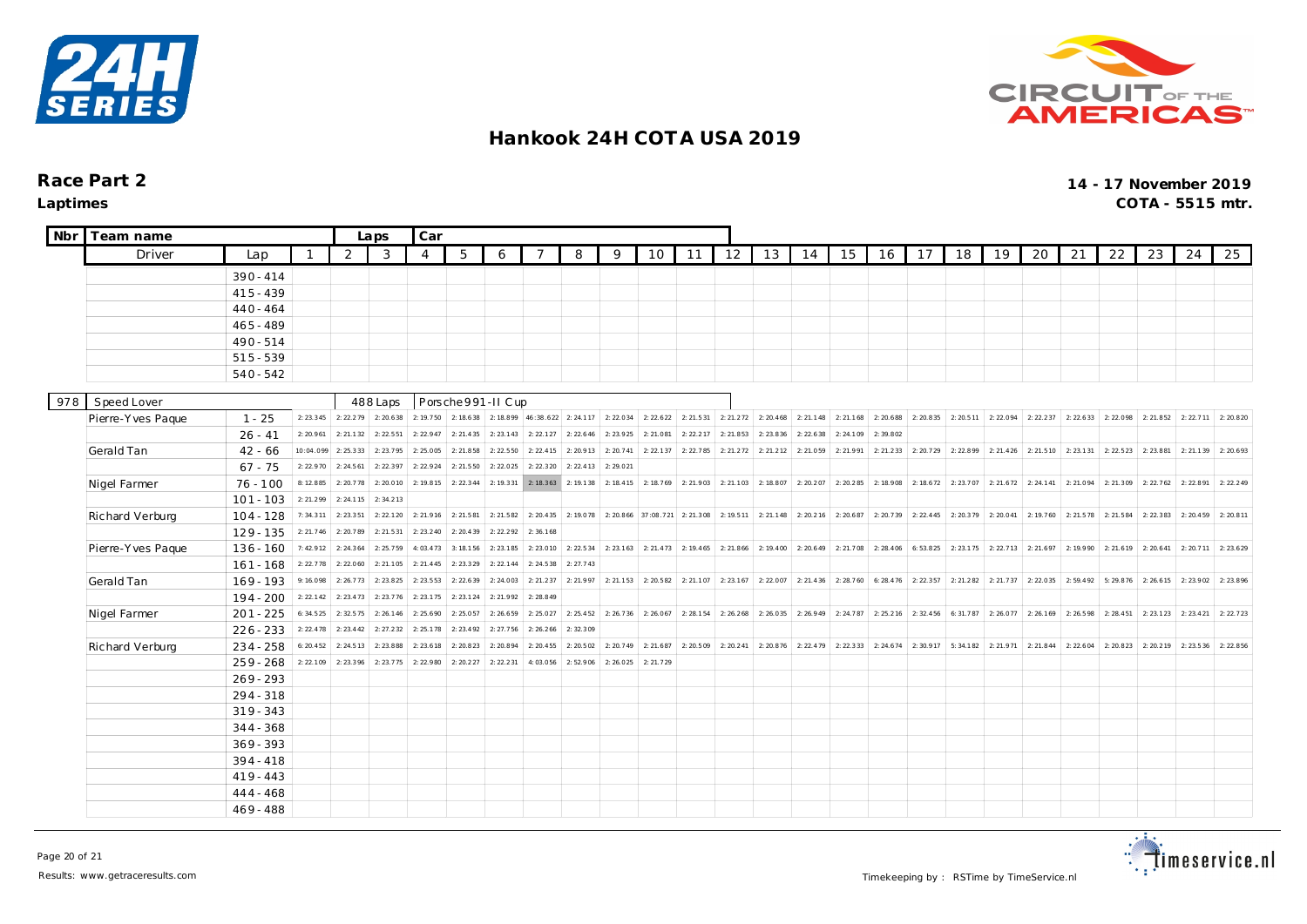



| Nbr | Team name         |             |             | Laps      | Car       |                |           |                    |           |                                         |           |                                             |           |                       |           |           |                               |                               |                       |                       |                                               |                       |                     |           |           |           |           |
|-----|-------------------|-------------|-------------|-----------|-----------|----------------|-----------|--------------------|-----------|-----------------------------------------|-----------|---------------------------------------------|-----------|-----------------------|-----------|-----------|-------------------------------|-------------------------------|-----------------------|-----------------------|-----------------------------------------------|-----------------------|---------------------|-----------|-----------|-----------|-----------|
|     | Driver            | Lap         | $\mathbf 1$ | 2         | 3         | $\overline{4}$ | 5         | 6                  | 7         | 8                                       | 9         | 10                                          | 11        | 12                    | 13        | 14        | 15                            | 16                            | 17                    | 18                    | 19                                            | 20                    | 21                  | 22        | 23        | 24        | 25        |
|     |                   | $390 - 414$ |             |           |           |                |           |                    |           |                                         |           |                                             |           |                       |           |           |                               |                               |                       |                       |                                               |                       |                     |           |           |           |           |
|     |                   | $415 - 439$ |             |           |           |                |           |                    |           |                                         |           |                                             |           |                       |           |           |                               |                               |                       |                       |                                               |                       |                     |           |           |           |           |
|     |                   | $440 - 464$ |             |           |           |                |           |                    |           |                                         |           |                                             |           |                       |           |           |                               |                               |                       |                       |                                               |                       |                     |           |           |           |           |
|     |                   | $465 - 489$ |             |           |           |                |           |                    |           |                                         |           |                                             |           |                       |           |           |                               |                               |                       |                       |                                               |                       |                     |           |           |           |           |
|     |                   | 490-514     |             |           |           |                |           |                    |           |                                         |           |                                             |           |                       |           |           |                               |                               |                       |                       |                                               |                       |                     |           |           |           |           |
|     |                   | $515 - 539$ |             |           |           |                |           |                    |           |                                         |           |                                             |           |                       |           |           |                               |                               |                       |                       |                                               |                       |                     |           |           |           |           |
|     |                   | $540 - 542$ |             |           |           |                |           |                    |           |                                         |           |                                             |           |                       |           |           |                               |                               |                       |                       |                                               |                       |                     |           |           |           |           |
|     |                   |             |             |           |           |                |           |                    |           |                                         |           |                                             |           |                       |           |           |                               |                               |                       |                       |                                               |                       |                     |           |           |           |           |
| 978 | Speed Lover       |             |             |           | 488 Laps  |                |           | Porsche 991-II Cup |           |                                         |           |                                             |           |                       |           |           |                               |                               |                       |                       |                                               |                       |                     |           |           |           |           |
|     | Pierre-Yves Paque | $1 - 25$    | 2: 23.345   | 2: 22.279 | 2: 20.638 | 2:19.750       | 2:18.638  |                    |           | 2: 18.899 46:38.622 2: 24.117 2: 22.034 |           | 2: 22.622                                   | 2: 21.531 | 2: 21.272             | 2: 20.468 | 2: 21.148 | 2: 21.168                     | 2:20.688                      | 2:20.835              | 2: 20.511             | 2:22.094                                      | 2: 22.237             | 2: 22.633           | 2:22.098  | 2: 21.852 | 2: 22.711 | 2:20.820  |
|     |                   | $26 - 41$   | 2: 20.961   | 2: 21.132 | 2: 22.551 | 2: 22.947      | 2: 21.435 | 2: 23.143          | 2: 22.127 | 2: 22.646                               | 2: 23.925 | 2:21.081                                    | 2: 22.217 | 2:21.853              | 2: 23.836 | 2: 22.638 | 2: 24.109                     | 2:39.802                      |                       |                       |                                               |                       |                     |           |           |           |           |
|     | Gerald Tan        | $42 - 66$   | 10:04.099   | 2:25.333  | 2:23.795  | 2:25.005       | 2: 21.858 | 2: 22.550          | 2: 22.415 | 2:20.913                                | 2: 20.741 | 2: 22.137                                   | 2: 22.785 | 2: 21.272             | 2: 21.212 | 2:21.059  | 2:21.991                      | 2: 21.233                     | 2:20.729              | 2:22.899              | 2: 21.426                                     | 2:21.510              | 2:23.131            | 2: 22.523 | 2:23.881  | 2: 21.139 | 2: 20.693 |
|     |                   | $67 - 75$   | 2: 22.970   | 2: 24.561 | 2: 22.397 | 2: 22.924      | 2: 21.550 | 2: 22.025          | 2: 22.320 | 2: 22.413                               | 2:29.021  |                                             |           |                       |           |           |                               |                               |                       |                       |                                               |                       |                     |           |           |           |           |
|     | Nigel Farmer      | $76 - 100$  | 8:12.885    | 2:20.778  | 2:20.010  | 2:19.815       | 2: 22.344 | 2: 19.331          | 2: 18.363 | 2:19.138                                |           | $2: 18.415$ 2: 18.769                       | 2: 21.903 | 2: 21.103             | 2:18.807  | 2:20.207  | 2: 20.285                     | 2:18.908                      |                       | 2: 18.672 2: 23.707   |                                               | $2: 21.672$ 2: 24.141 | 2:21.094            | 2: 21.309 | 2: 22.762 | 2:22.891  | 2: 22.249 |
|     |                   | $101 - 103$ | 2: 21.299   | 2:24.115  | 2:34.213  |                |           |                    |           |                                         |           |                                             |           |                       |           |           |                               |                               |                       |                       |                                               |                       |                     |           |           |           |           |
|     | Richard Verburg   | $104 - 128$ | 7:34.311    | 2: 23.351 | 2: 22.120 | 2: 21.916      | 2: 21.581 | 2: 21.582          | 2: 20.435 | 2:19.078                                |           | 2: 20.866 37:08.721                         | 2: 21.308 | 2:19.511              | 2: 21.148 | 2: 20.216 | 2: 20.687                     | 2:20.739                      | 2: 22.445             | 2:20.379              | 2:20.041                                      |                       | 2: 19.760 2: 21.578 | 2:21.584  | 2: 22.383 | 2: 20.459 | 2:20.811  |
|     |                   | $129 - 135$ | 2: 21.746   | 2:20.789  | 2: 21.531 | 2: 23.240      | 2: 20.439 | 2:22.292           | 2:36.168  |                                         |           |                                             |           |                       |           |           |                               |                               |                       |                       |                                               |                       |                     |           |           |           |           |
|     | Pierre-Yves Paque | $136 - 160$ | 7:42.912    | 2: 24.364 | 2: 25.759 | 4:03.473       | 3:18.156  | 2:23.185           | 2: 23.010 | 2:22.534                                |           | 2: 23.1 63 2: 21.4 73 2: 19.4 65 2: 21.8 66 |           |                       | 2: 19.400 |           | 2: 20.649 2: 21.708 2: 28.406 |                               |                       |                       | 6: 53.825   2: 23.175   2: 22.713   2: 21.697 |                       | 2:19.990            | 2: 21.619 | 2: 20.641 | 2: 20.711 | 2: 23.629 |
|     |                   | $161 - 168$ | 2: 22.778   | 2:22.060  | 2: 21.105 | 2: 21.445      | 2:23.329  | 2: 22.144          | 2: 24.538 | 2: 27.743                               |           |                                             |           |                       |           |           |                               |                               |                       |                       |                                               |                       |                     |           |           |           |           |
|     | Gerald Tan        | $169 - 193$ | 9:16.098    | 2:26.773  | 2: 23.825 | 2: 23.553      | 2: 22.639 | 2: 24.003          | 2: 21.237 | 2:21.997                                |           | $2: 21.153$ 2: 20.582                       |           | $2: 21.107$ 2: 23.167 | 2:22.007  | 2: 21.436 | 2: 28.760                     | 6: 28.476                     |                       | $2: 22.357$ 2: 21.282 | 2: 21.737                                     | 2:22.035              | 2:59.492            | 5:29.876  | 2: 26.615 | 2: 23.902 | 2: 23.896 |
|     |                   | $194 - 200$ | 2: 22.142   | 2: 23.473 | 2: 23.776 | 2: 23.175      | 2: 23.124 | 2: 21.992          | 2: 28.849 |                                         |           |                                             |           |                       |           |           |                               |                               |                       |                       |                                               |                       |                     |           |           |           |           |
|     | Nigel Farmer      | $201 - 225$ | 6:34.525    | 2:32.575  | 2: 26.146 | 2: 25.690      | 2:25.057  | 2:26.659           | 2:25.027  | 2: 25.452                               |           | $2: 26.736$ 2: 26.067                       |           | $2: 28.154$ 2: 26.268 | 2: 26.035 |           |                               | 2: 26.949 2: 24.787 2: 25.216 | $2: 32.456$ 6: 31.787 |                       |                                               | $2: 26.077$ 2: 26.169 | 2:26.598            | 2:28.451  | 2: 23.123 | 2: 23.421 | 2: 22.723 |
|     |                   | $226 - 233$ | 2: 22.478   | 2: 23.442 | 2: 27.232 | 2: 25.178      | 2: 23.492 | 2: 27.756          | 2: 26.266 | 2:32.309                                |           |                                             |           |                       |           |           |                               |                               |                       |                       |                                               |                       |                     |           |           |           |           |
|     | Richard Verburg   | $234 - 258$ | 6: 20.452   | 2:24.513  | 2: 23.888 | 2: 23.618      | 2: 20.823 | 2: 20.894          | 2: 20.455 | 2:20.502                                |           | $2: 20.749$ 2: 21.687                       |           | $2: 20.509$ 2: 20.241 | 2: 20.876 |           |                               | 2: 22.479 2: 22.333 2: 24.674 | 2:30.917              |                       | $5: 34.182$ 2: 21.971 2: 21.844               |                       | 2: 22.604           | 2:20.823  | 2:20.219  | 2: 23.536 | 2: 22.856 |
|     |                   | $259 - 268$ | 2:22.109    | 2:23.396  | 2:23.775  | 2:22.980       | 2: 20.227 | 2: 22.231          | 4:03.056  | 2:52.906                                | 2:26.025  | 2:21.729                                    |           |                       |           |           |                               |                               |                       |                       |                                               |                       |                     |           |           |           |           |
|     |                   | $269 - 293$ |             |           |           |                |           |                    |           |                                         |           |                                             |           |                       |           |           |                               |                               |                       |                       |                                               |                       |                     |           |           |           |           |
|     |                   | 294 - 318   |             |           |           |                |           |                    |           |                                         |           |                                             |           |                       |           |           |                               |                               |                       |                       |                                               |                       |                     |           |           |           |           |
|     |                   | $319 - 343$ |             |           |           |                |           |                    |           |                                         |           |                                             |           |                       |           |           |                               |                               |                       |                       |                                               |                       |                     |           |           |           |           |
|     |                   | $344 - 368$ |             |           |           |                |           |                    |           |                                         |           |                                             |           |                       |           |           |                               |                               |                       |                       |                                               |                       |                     |           |           |           |           |
|     |                   | $369 - 393$ |             |           |           |                |           |                    |           |                                         |           |                                             |           |                       |           |           |                               |                               |                       |                       |                                               |                       |                     |           |           |           |           |
|     |                   | $394 - 418$ |             |           |           |                |           |                    |           |                                         |           |                                             |           |                       |           |           |                               |                               |                       |                       |                                               |                       |                     |           |           |           |           |
|     |                   | $419 - 443$ |             |           |           |                |           |                    |           |                                         |           |                                             |           |                       |           |           |                               |                               |                       |                       |                                               |                       |                     |           |           |           |           |
|     |                   | 444 - 468   |             |           |           |                |           |                    |           |                                         |           |                                             |           |                       |           |           |                               |                               |                       |                       |                                               |                       |                     |           |           |           |           |
|     |                   | $469 - 488$ |             |           |           |                |           |                    |           |                                         |           |                                             |           |                       |           |           |                               |                               |                       |                       |                                               |                       |                     |           |           |           |           |